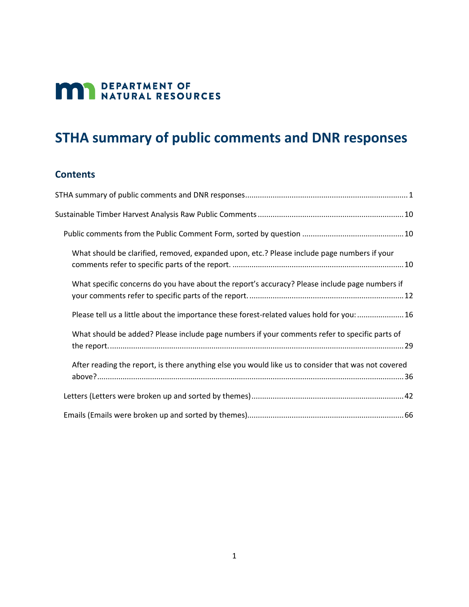# **MAN** DEPARTMENT OF NATURAL RESOURCES

# <span id="page-0-0"></span>**STHA summary of public comments and DNR responses**

#### **Contents**

| What should be clarified, removed, expanded upon, etc.? Please include page numbers if your         |
|-----------------------------------------------------------------------------------------------------|
| What specific concerns do you have about the report's accuracy? Please include page numbers if      |
| Please tell us a little about the importance these forest-related values hold for you: 16           |
| What should be added? Please include page numbers if your comments refer to specific parts of       |
| After reading the report, is there anything else you would like us to consider that was not covered |
|                                                                                                     |
|                                                                                                     |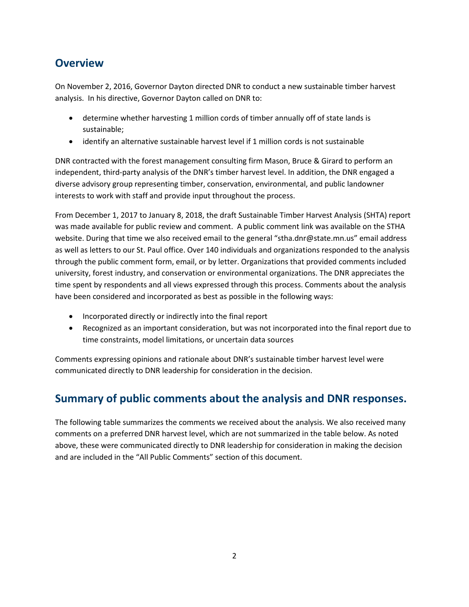## **Overview**

On November 2, 2016, Governor Dayton directed DNR to conduct a new sustainable timber harvest analysis. In his directive, Governor Dayton called on DNR to:

- determine whether harvesting 1 million cords of timber annually off of state lands is sustainable;
- identify an alternative sustainable harvest level if 1 million cords is not sustainable

DNR contracted with the forest management consulting firm Mason, Bruce & Girard to perform an independent, third-party analysis of the DNR's timber harvest level. In addition, the DNR engaged a diverse advisory group representing timber, conservation, environmental, and public landowner interests to work with staff and provide input throughout the process.

From December 1, 2017 to January 8, 2018, the draft Sustainable Timber Harvest Analysis (SHTA) report was made available for public review and comment. A public comment link was available on the STHA website. During that time we also received email to the general "stha.dnr@state.mn.us" email address as well as letters to our St. Paul office. Over 140 individuals and organizations responded to the analysis through the public comment form, email, or by letter. Organizations that provided comments included university, forest industry, and conservation or environmental organizations. The DNR appreciates the time spent by respondents and all views expressed through this process. Comments about the analysis have been considered and incorporated as best as possible in the following ways:

- Incorporated directly or indirectly into the final report
- Recognized as an important consideration, but was not incorporated into the final report due to time constraints, model limitations, or uncertain data sources

Comments expressing opinions and rationale about DNR's sustainable timber harvest level were communicated directly to DNR leadership for consideration in the decision.

# **Summary of public comments about the analysis and DNR responses.**

The following table summarizes the comments we received about the analysis. We also received many comments on a preferred DNR harvest level, which are not summarized in the table below. As noted above, these were communicated directly to DNR leadership for consideration in making the decision and are included in the "All Public Comments" section of this document.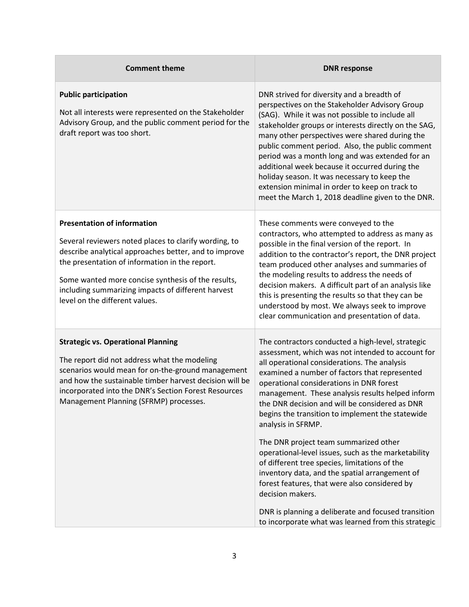| <b>Comment theme</b>                                                                                                                                                                                                                                                                                                                                 | <b>DNR response</b>                                                                                                                                                                                                                                                                                                                                                                                                                                                                                                                                                                                                                                                                                                                                                                                                       |
|------------------------------------------------------------------------------------------------------------------------------------------------------------------------------------------------------------------------------------------------------------------------------------------------------------------------------------------------------|---------------------------------------------------------------------------------------------------------------------------------------------------------------------------------------------------------------------------------------------------------------------------------------------------------------------------------------------------------------------------------------------------------------------------------------------------------------------------------------------------------------------------------------------------------------------------------------------------------------------------------------------------------------------------------------------------------------------------------------------------------------------------------------------------------------------------|
| <b>Public participation</b><br>Not all interests were represented on the Stakeholder<br>Advisory Group, and the public comment period for the<br>draft report was too short.                                                                                                                                                                         | DNR strived for diversity and a breadth of<br>perspectives on the Stakeholder Advisory Group<br>(SAG). While it was not possible to include all<br>stakeholder groups or interests directly on the SAG,<br>many other perspectives were shared during the<br>public comment period. Also, the public comment<br>period was a month long and was extended for an<br>additional week because it occurred during the<br>holiday season. It was necessary to keep the<br>extension minimal in order to keep on track to<br>meet the March 1, 2018 deadline given to the DNR.                                                                                                                                                                                                                                                  |
| <b>Presentation of information</b><br>Several reviewers noted places to clarify wording, to<br>describe analytical approaches better, and to improve<br>the presentation of information in the report.<br>Some wanted more concise synthesis of the results,<br>including summarizing impacts of different harvest<br>level on the different values. | These comments were conveyed to the<br>contractors, who attempted to address as many as<br>possible in the final version of the report. In<br>addition to the contractor's report, the DNR project<br>team produced other analyses and summaries of<br>the modeling results to address the needs of<br>decision makers. A difficult part of an analysis like<br>this is presenting the results so that they can be<br>understood by most. We always seek to improve<br>clear communication and presentation of data.                                                                                                                                                                                                                                                                                                      |
| <b>Strategic vs. Operational Planning</b><br>The report did not address what the modeling<br>scenarios would mean for on-the-ground management<br>and how the sustainable timber harvest decision will be<br>incorporated into the DNR's Section Forest Resources<br>Management Planning (SFRMP) processes.                                          | The contractors conducted a high-level, strategic<br>assessment, which was not intended to account for<br>all operational considerations. The analysis<br>examined a number of factors that represented<br>operational considerations in DNR forest<br>management. These analysis results helped inform<br>the DNR decision and will be considered as DNR<br>begins the transition to implement the statewide<br>analysis in SFRMP.<br>The DNR project team summarized other<br>operational-level issues, such as the marketability<br>of different tree species, limitations of the<br>inventory data, and the spatial arrangement of<br>forest features, that were also considered by<br>decision makers.<br>DNR is planning a deliberate and focused transition<br>to incorporate what was learned from this strategic |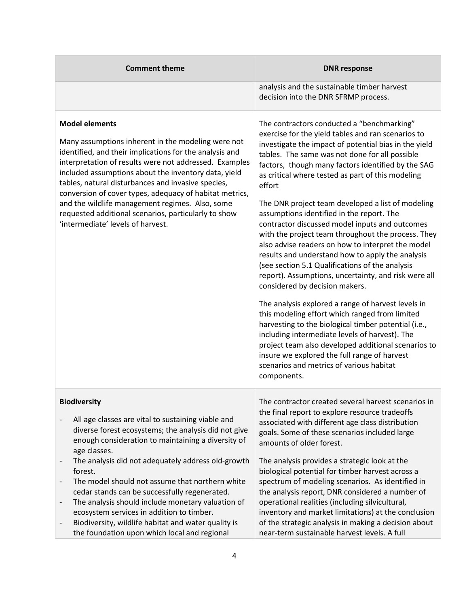| <b>Comment theme</b>                                                                                                                                                                                                                                                                                                                                                                                                                                                                                                                                                                                       | <b>DNR response</b>                                                                                                                                                                                                                                                                                                                                                                                                                                                                                                                                                                                                                                                                                                                                                                                                                                                                                                                                                                                                                                                                                                                                                                  |
|------------------------------------------------------------------------------------------------------------------------------------------------------------------------------------------------------------------------------------------------------------------------------------------------------------------------------------------------------------------------------------------------------------------------------------------------------------------------------------------------------------------------------------------------------------------------------------------------------------|--------------------------------------------------------------------------------------------------------------------------------------------------------------------------------------------------------------------------------------------------------------------------------------------------------------------------------------------------------------------------------------------------------------------------------------------------------------------------------------------------------------------------------------------------------------------------------------------------------------------------------------------------------------------------------------------------------------------------------------------------------------------------------------------------------------------------------------------------------------------------------------------------------------------------------------------------------------------------------------------------------------------------------------------------------------------------------------------------------------------------------------------------------------------------------------|
|                                                                                                                                                                                                                                                                                                                                                                                                                                                                                                                                                                                                            | analysis and the sustainable timber harvest<br>decision into the DNR SFRMP process.                                                                                                                                                                                                                                                                                                                                                                                                                                                                                                                                                                                                                                                                                                                                                                                                                                                                                                                                                                                                                                                                                                  |
| <b>Model elements</b><br>Many assumptions inherent in the modeling were not<br>identified, and their implications for the analysis and<br>interpretation of results were not addressed. Examples<br>included assumptions about the inventory data, yield<br>tables, natural disturbances and invasive species,<br>conversion of cover types, adequacy of habitat metrics,<br>and the wildlife management regimes. Also, some<br>requested additional scenarios, particularly to show<br>'intermediate' levels of harvest.                                                                                  | The contractors conducted a "benchmarking"<br>exercise for the yield tables and ran scenarios to<br>investigate the impact of potential bias in the yield<br>tables. The same was not done for all possible<br>factors, though many factors identified by the SAG<br>as critical where tested as part of this modeling<br>effort<br>The DNR project team developed a list of modeling<br>assumptions identified in the report. The<br>contractor discussed model inputs and outcomes<br>with the project team throughout the process. They<br>also advise readers on how to interpret the model<br>results and understand how to apply the analysis<br>(see section 5.1 Qualifications of the analysis<br>report). Assumptions, uncertainty, and risk were all<br>considered by decision makers.<br>The analysis explored a range of harvest levels in<br>this modeling effort which ranged from limited<br>harvesting to the biological timber potential (i.e.,<br>including intermediate levels of harvest). The<br>project team also developed additional scenarios to<br>insure we explored the full range of harvest<br>scenarios and metrics of various habitat<br>components. |
| <b>Biodiversity</b><br>All age classes are vital to sustaining viable and<br>diverse forest ecosystems; the analysis did not give<br>enough consideration to maintaining a diversity of<br>age classes.<br>The analysis did not adequately address old-growth<br>forest.<br>The model should not assume that northern white<br>cedar stands can be successfully regenerated.<br>The analysis should include monetary valuation of<br>ecosystem services in addition to timber.<br>Biodiversity, wildlife habitat and water quality is<br>$\qquad \qquad -$<br>the foundation upon which local and regional | The contractor created several harvest scenarios in<br>the final report to explore resource tradeoffs<br>associated with different age class distribution<br>goals. Some of these scenarios included large<br>amounts of older forest.<br>The analysis provides a strategic look at the<br>biological potential for timber harvest across a<br>spectrum of modeling scenarios. As identified in<br>the analysis report, DNR considered a number of<br>operational realities (including silvicultural,<br>inventory and market limitations) at the conclusion<br>of the strategic analysis in making a decision about<br>near-term sustainable harvest levels. A full                                                                                                                                                                                                                                                                                                                                                                                                                                                                                                                 |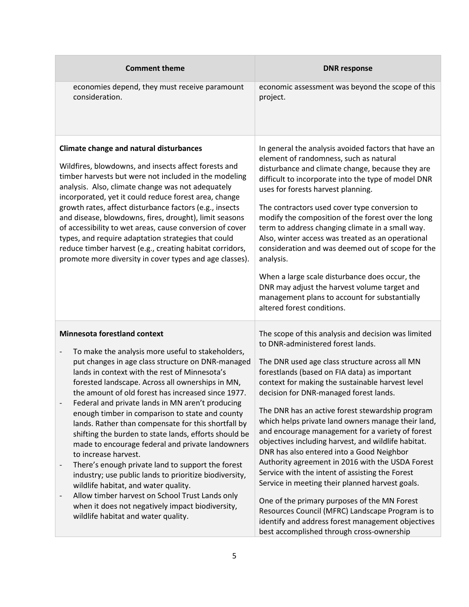| <b>Comment theme</b>                                                                                                                                                                                                                                                                                                                                                                                                                                                                                                                                                                                                                                                                                                                                                                                                                                                                                                                                              | <b>DNR response</b>                                                                                                                                                                                                                                                                                                                                                                                                                                                                                                                                                                                                                                                                                                                                                                                                                                                                                                        |
|-------------------------------------------------------------------------------------------------------------------------------------------------------------------------------------------------------------------------------------------------------------------------------------------------------------------------------------------------------------------------------------------------------------------------------------------------------------------------------------------------------------------------------------------------------------------------------------------------------------------------------------------------------------------------------------------------------------------------------------------------------------------------------------------------------------------------------------------------------------------------------------------------------------------------------------------------------------------|----------------------------------------------------------------------------------------------------------------------------------------------------------------------------------------------------------------------------------------------------------------------------------------------------------------------------------------------------------------------------------------------------------------------------------------------------------------------------------------------------------------------------------------------------------------------------------------------------------------------------------------------------------------------------------------------------------------------------------------------------------------------------------------------------------------------------------------------------------------------------------------------------------------------------|
| economies depend, they must receive paramount<br>consideration.                                                                                                                                                                                                                                                                                                                                                                                                                                                                                                                                                                                                                                                                                                                                                                                                                                                                                                   | economic assessment was beyond the scope of this<br>project.                                                                                                                                                                                                                                                                                                                                                                                                                                                                                                                                                                                                                                                                                                                                                                                                                                                               |
| Climate change and natural disturbances<br>Wildfires, blowdowns, and insects affect forests and<br>timber harvests but were not included in the modeling<br>analysis. Also, climate change was not adequately<br>incorporated, yet it could reduce forest area, change<br>growth rates, affect disturbance factors (e.g., insects<br>and disease, blowdowns, fires, drought), limit seasons<br>of accessibility to wet areas, cause conversion of cover<br>types, and require adaptation strategies that could<br>reduce timber harvest (e.g., creating habitat corridors,<br>promote more diversity in cover types and age classes).                                                                                                                                                                                                                                                                                                                             | In general the analysis avoided factors that have an<br>element of randomness, such as natural<br>disturbance and climate change, because they are<br>difficult to incorporate into the type of model DNR<br>uses for forests harvest planning.<br>The contractors used cover type conversion to<br>modify the composition of the forest over the long<br>term to address changing climate in a small way.<br>Also, winter access was treated as an operational<br>consideration and was deemed out of scope for the<br>analysis.<br>When a large scale disturbance does occur, the<br>DNR may adjust the harvest volume target and<br>management plans to account for substantially<br>altered forest conditions.                                                                                                                                                                                                         |
| <b>Minnesota forestland context</b><br>To make the analysis more useful to stakeholders,<br>$\qquad \qquad -$<br>put changes in age class structure on DNR-managed<br>lands in context with the rest of Minnesota's<br>forested landscape. Across all ownerships in MN,<br>the amount of old forest has increased since 1977.<br>Federal and private lands in MN aren't producing<br>enough timber in comparison to state and county<br>lands. Rather than compensate for this shortfall by<br>shifting the burden to state lands, efforts should be<br>made to encourage federal and private landowners<br>to increase harvest.<br>There's enough private land to support the forest<br>industry; use public lands to prioritize biodiversity,<br>wildlife habitat, and water quality.<br>Allow timber harvest on School Trust Lands only<br>$\overline{\phantom{a}}$<br>when it does not negatively impact biodiversity,<br>wildlife habitat and water quality. | The scope of this analysis and decision was limited<br>to DNR-administered forest lands.<br>The DNR used age class structure across all MN<br>forestlands (based on FIA data) as important<br>context for making the sustainable harvest level<br>decision for DNR-managed forest lands.<br>The DNR has an active forest stewardship program<br>which helps private land owners manage their land,<br>and encourage management for a variety of forest<br>objectives including harvest, and wildlife habitat.<br>DNR has also entered into a Good Neighbor<br>Authority agreement in 2016 with the USDA Forest<br>Service with the intent of assisting the Forest<br>Service in meeting their planned harvest goals.<br>One of the primary purposes of the MN Forest<br>Resources Council (MFRC) Landscape Program is to<br>identify and address forest management objectives<br>best accomplished through cross-ownership |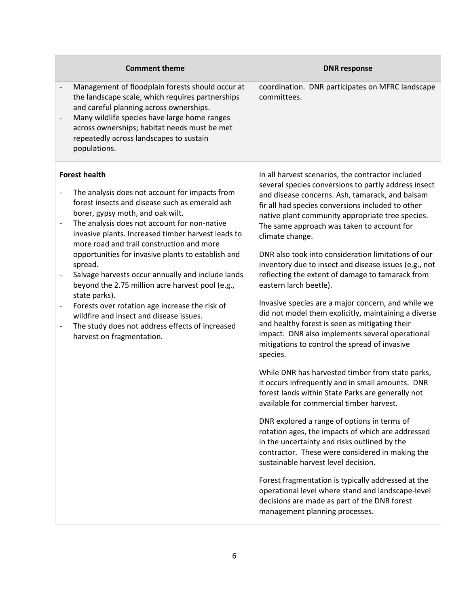| <b>Comment theme</b>                                                                                                                                                                                                                                                                                                                                                                                                                                                                                                                                                                                                                                                                                                                                                                          | <b>DNR response</b>                                                                                                                                                                                                                                                                                                                                                                                                                                                                                                                                                                                                                                                                                                                                                                                                                                                                                                                                                                                                                                                                                                                                                                                                                                                                                                                                                                                                                                                      |
|-----------------------------------------------------------------------------------------------------------------------------------------------------------------------------------------------------------------------------------------------------------------------------------------------------------------------------------------------------------------------------------------------------------------------------------------------------------------------------------------------------------------------------------------------------------------------------------------------------------------------------------------------------------------------------------------------------------------------------------------------------------------------------------------------|--------------------------------------------------------------------------------------------------------------------------------------------------------------------------------------------------------------------------------------------------------------------------------------------------------------------------------------------------------------------------------------------------------------------------------------------------------------------------------------------------------------------------------------------------------------------------------------------------------------------------------------------------------------------------------------------------------------------------------------------------------------------------------------------------------------------------------------------------------------------------------------------------------------------------------------------------------------------------------------------------------------------------------------------------------------------------------------------------------------------------------------------------------------------------------------------------------------------------------------------------------------------------------------------------------------------------------------------------------------------------------------------------------------------------------------------------------------------------|
| Management of floodplain forests should occur at<br>$\overline{\phantom{0}}$<br>the landscape scale, which requires partnerships<br>and careful planning across ownerships.<br>Many wildlife species have large home ranges<br>$\overline{\phantom{0}}$<br>across ownerships; habitat needs must be met<br>repeatedly across landscapes to sustain<br>populations.                                                                                                                                                                                                                                                                                                                                                                                                                            | coordination. DNR participates on MFRC landscape<br>committees.                                                                                                                                                                                                                                                                                                                                                                                                                                                                                                                                                                                                                                                                                                                                                                                                                                                                                                                                                                                                                                                                                                                                                                                                                                                                                                                                                                                                          |
| <b>Forest health</b><br>The analysis does not account for impacts from<br>$\overline{a}$<br>forest insects and disease such as emerald ash<br>borer, gypsy moth, and oak wilt.<br>The analysis does not account for non-native<br>$\qquad \qquad -$<br>invasive plants. Increased timber harvest leads to<br>more road and trail construction and more<br>opportunities for invasive plants to establish and<br>spread.<br>Salvage harvests occur annually and include lands<br>$\qquad \qquad -$<br>beyond the 2.75 million acre harvest pool (e.g.,<br>state parks).<br>Forests over rotation age increase the risk of<br>$\qquad \qquad -$<br>wildfire and insect and disease issues.<br>The study does not address effects of increased<br>$\qquad \qquad -$<br>harvest on fragmentation. | In all harvest scenarios, the contractor included<br>several species conversions to partly address insect<br>and disease concerns. Ash, tamarack, and balsam<br>fir all had species conversions included to other<br>native plant community appropriate tree species.<br>The same approach was taken to account for<br>climate change.<br>DNR also took into consideration limitations of our<br>inventory due to insect and disease issues (e.g., not<br>reflecting the extent of damage to tamarack from<br>eastern larch beetle).<br>Invasive species are a major concern, and while we<br>did not model them explicitly, maintaining a diverse<br>and healthy forest is seen as mitigating their<br>impact. DNR also implements several operational<br>mitigations to control the spread of invasive<br>species.<br>While DNR has harvested timber from state parks,<br>it occurs infrequently and in small amounts. DNR<br>forest lands within State Parks are generally not<br>available for commercial timber harvest.<br>DNR explored a range of options in terms of<br>rotation ages, the impacts of which are addressed<br>in the uncertainty and risks outlined by the<br>contractor. These were considered in making the<br>sustainable harvest level decision.<br>Forest fragmentation is typically addressed at the<br>operational level where stand and landscape-level<br>decisions are made as part of the DNR forest<br>management planning processes. |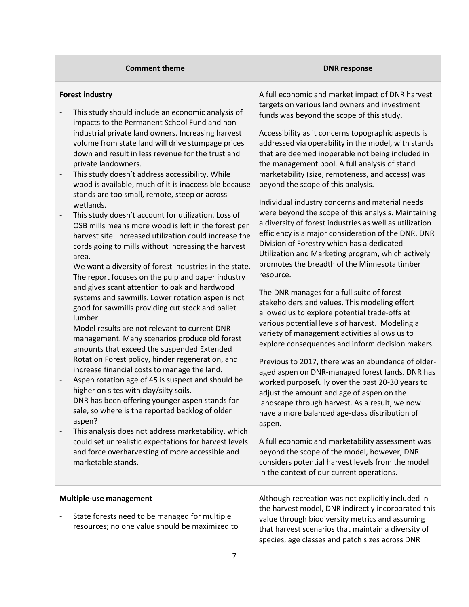| <b>Comment theme</b>                                                                                                                                                                                                                                                                                                                                                                                                                                                                                                                                                                                                                                                                                                                                                                                                                                                                                                                                                                                                                                                                                                                                                                                                                                                                                                                                                                                                                                                                                                                                                                                                                                                                                                                                                                                                           | <b>DNR response</b>                                                                                                                                                                                                                                                                                                                                                                                                                                                                                                                                                                                                                                                                                                                                                                                                                                                                                                                                                                                                                                                                                                                                                                                                                                                                                                                                                                                                                                                                                                                                                                                                                                                                          |
|--------------------------------------------------------------------------------------------------------------------------------------------------------------------------------------------------------------------------------------------------------------------------------------------------------------------------------------------------------------------------------------------------------------------------------------------------------------------------------------------------------------------------------------------------------------------------------------------------------------------------------------------------------------------------------------------------------------------------------------------------------------------------------------------------------------------------------------------------------------------------------------------------------------------------------------------------------------------------------------------------------------------------------------------------------------------------------------------------------------------------------------------------------------------------------------------------------------------------------------------------------------------------------------------------------------------------------------------------------------------------------------------------------------------------------------------------------------------------------------------------------------------------------------------------------------------------------------------------------------------------------------------------------------------------------------------------------------------------------------------------------------------------------------------------------------------------------|----------------------------------------------------------------------------------------------------------------------------------------------------------------------------------------------------------------------------------------------------------------------------------------------------------------------------------------------------------------------------------------------------------------------------------------------------------------------------------------------------------------------------------------------------------------------------------------------------------------------------------------------------------------------------------------------------------------------------------------------------------------------------------------------------------------------------------------------------------------------------------------------------------------------------------------------------------------------------------------------------------------------------------------------------------------------------------------------------------------------------------------------------------------------------------------------------------------------------------------------------------------------------------------------------------------------------------------------------------------------------------------------------------------------------------------------------------------------------------------------------------------------------------------------------------------------------------------------------------------------------------------------------------------------------------------------|
| <b>Forest industry</b><br>This study should include an economic analysis of<br>impacts to the Permanent School Fund and non-<br>industrial private land owners. Increasing harvest<br>volume from state land will drive stumpage prices<br>down and result in less revenue for the trust and<br>private landowners.<br>This study doesn't address accessibility. While<br>$\overline{\phantom{0}}$<br>wood is available, much of it is inaccessible because<br>stands are too small, remote, steep or across<br>wetlands.<br>This study doesn't account for utilization. Loss of<br>$\overline{\phantom{m}}$<br>OSB mills means more wood is left in the forest per<br>harvest site. Increased utilization could increase the<br>cords going to mills without increasing the harvest<br>area.<br>We want a diversity of forest industries in the state.<br>$\overline{\phantom{a}}$<br>The report focuses on the pulp and paper industry<br>and gives scant attention to oak and hardwood<br>systems and sawmills. Lower rotation aspen is not<br>good for sawmills providing cut stock and pallet<br>lumber.<br>Model results are not relevant to current DNR<br>-<br>management. Many scenarios produce old forest<br>amounts that exceed the suspended Extended<br>Rotation Forest policy, hinder regeneration, and<br>increase financial costs to manage the land.<br>Aspen rotation age of 45 is suspect and should be<br>$\overline{\phantom{0}}$<br>higher on sites with clay/silty soils.<br>DNR has been offering younger aspen stands for<br>sale, so where is the reported backlog of older<br>aspen?<br>This analysis does not address marketability, which<br>$\qquad \qquad -$<br>could set unrealistic expectations for harvest levels<br>and force overharvesting of more accessible and<br>marketable stands. | A full economic and market impact of DNR harvest<br>targets on various land owners and investment<br>funds was beyond the scope of this study.<br>Accessibility as it concerns topographic aspects is<br>addressed via operability in the model, with stands<br>that are deemed inoperable not being included in<br>the management pool. A full analysis of stand<br>marketability (size, remoteness, and access) was<br>beyond the scope of this analysis.<br>Individual industry concerns and material needs<br>were beyond the scope of this analysis. Maintaining<br>a diversity of forest industries as well as utilization<br>efficiency is a major consideration of the DNR. DNR<br>Division of Forestry which has a dedicated<br>Utilization and Marketing program, which actively<br>promotes the breadth of the Minnesota timber<br>resource.<br>The DNR manages for a full suite of forest<br>stakeholders and values. This modeling effort<br>allowed us to explore potential trade-offs at<br>various potential levels of harvest. Modeling a<br>variety of management activities allows us to<br>explore consequences and inform decision makers.<br>Previous to 2017, there was an abundance of older-<br>aged aspen on DNR-managed forest lands. DNR has<br>worked purposefully over the past 20-30 years to<br>adjust the amount and age of aspen on the<br>landscape through harvest. As a result, we now<br>have a more balanced age-class distribution of<br>aspen.<br>A full economic and marketability assessment was<br>beyond the scope of the model, however, DNR<br>considers potential harvest levels from the model<br>in the context of our current operations. |
| <b>Multiple-use management</b><br>State forests need to be managed for multiple<br>resources; no one value should be maximized to                                                                                                                                                                                                                                                                                                                                                                                                                                                                                                                                                                                                                                                                                                                                                                                                                                                                                                                                                                                                                                                                                                                                                                                                                                                                                                                                                                                                                                                                                                                                                                                                                                                                                              | Although recreation was not explicitly included in<br>the harvest model, DNR indirectly incorporated this<br>value through biodiversity metrics and assuming<br>that harvest scenarios that maintain a diversity of<br>species, age classes and patch sizes across DNR                                                                                                                                                                                                                                                                                                                                                                                                                                                                                                                                                                                                                                                                                                                                                                                                                                                                                                                                                                                                                                                                                                                                                                                                                                                                                                                                                                                                                       |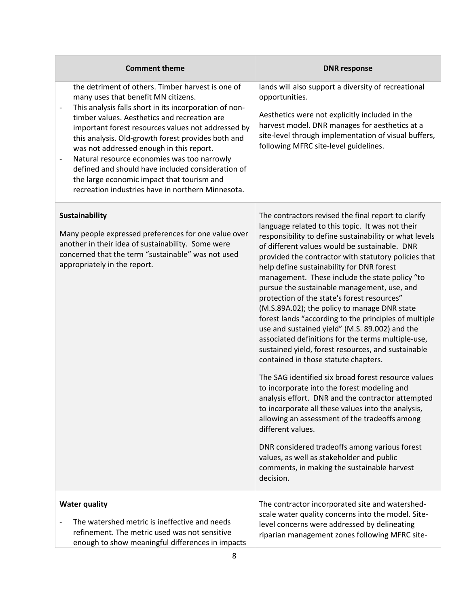| <b>Comment theme</b>                                                                                                                                                                                                                                                                                                                                                                                                                                                                                                                                                                              | <b>DNR response</b>                                                                                                                                                                                                                                                                                                                                                                                                                                                                                                                                                                                                                                                                                                                                                                                                                                                                                                                                                                                                                                                                                                                                                                                                                     |
|---------------------------------------------------------------------------------------------------------------------------------------------------------------------------------------------------------------------------------------------------------------------------------------------------------------------------------------------------------------------------------------------------------------------------------------------------------------------------------------------------------------------------------------------------------------------------------------------------|-----------------------------------------------------------------------------------------------------------------------------------------------------------------------------------------------------------------------------------------------------------------------------------------------------------------------------------------------------------------------------------------------------------------------------------------------------------------------------------------------------------------------------------------------------------------------------------------------------------------------------------------------------------------------------------------------------------------------------------------------------------------------------------------------------------------------------------------------------------------------------------------------------------------------------------------------------------------------------------------------------------------------------------------------------------------------------------------------------------------------------------------------------------------------------------------------------------------------------------------|
| the detriment of others. Timber harvest is one of<br>many uses that benefit MN citizens.<br>This analysis falls short in its incorporation of non-<br>timber values. Aesthetics and recreation are<br>important forest resources values not addressed by<br>this analysis. Old-growth forest provides both and<br>was not addressed enough in this report.<br>Natural resource economies was too narrowly<br>$\qquad \qquad \blacksquare$<br>defined and should have included consideration of<br>the large economic impact that tourism and<br>recreation industries have in northern Minnesota. | lands will also support a diversity of recreational<br>opportunities.<br>Aesthetics were not explicitly included in the<br>harvest model. DNR manages for aesthetics at a<br>site-level through implementation of visual buffers,<br>following MFRC site-level guidelines.                                                                                                                                                                                                                                                                                                                                                                                                                                                                                                                                                                                                                                                                                                                                                                                                                                                                                                                                                              |
| Sustainability<br>Many people expressed preferences for one value over<br>another in their idea of sustainability. Some were<br>concerned that the term "sustainable" was not used<br>appropriately in the report.                                                                                                                                                                                                                                                                                                                                                                                | The contractors revised the final report to clarify<br>language related to this topic. It was not their<br>responsibility to define sustainability or what levels<br>of different values would be sustainable. DNR<br>provided the contractor with statutory policies that<br>help define sustainability for DNR forest<br>management. These include the state policy "to<br>pursue the sustainable management, use, and<br>protection of the state's forest resources"<br>(M.S.89A.02); the policy to manage DNR state<br>forest lands "according to the principles of multiple<br>use and sustained yield" (M.S. 89.002) and the<br>associated definitions for the terms multiple-use,<br>sustained yield, forest resources, and sustainable<br>contained in those statute chapters.<br>The SAG identified six broad forest resource values<br>to incorporate into the forest modeling and<br>analysis effort. DNR and the contractor attempted<br>to incorporate all these values into the analysis,<br>allowing an assessment of the tradeoffs among<br>different values.<br>DNR considered tradeoffs among various forest<br>values, as well as stakeholder and public<br>comments, in making the sustainable harvest<br>decision. |
| <b>Water quality</b><br>The watershed metric is ineffective and needs<br>refinement. The metric used was not sensitive<br>enough to show meaningful differences in impacts                                                                                                                                                                                                                                                                                                                                                                                                                        | The contractor incorporated site and watershed-<br>scale water quality concerns into the model. Site-<br>level concerns were addressed by delineating<br>riparian management zones following MFRC site-                                                                                                                                                                                                                                                                                                                                                                                                                                                                                                                                                                                                                                                                                                                                                                                                                                                                                                                                                                                                                                 |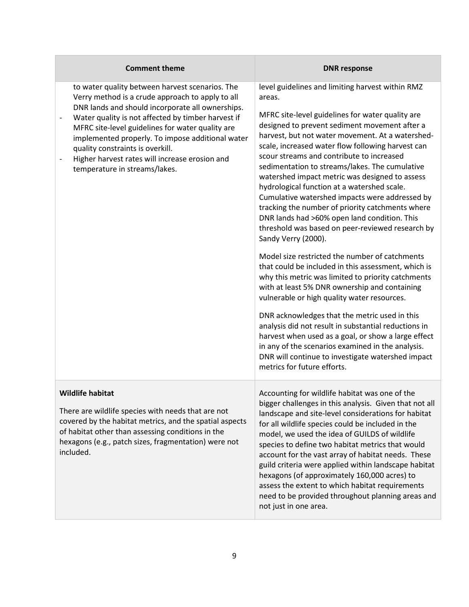<span id="page-8-0"></span>

| <b>Comment theme</b>                                                                                                                                                                                                                                                                                                                                                                                                                         | <b>DNR response</b>                                                                                                                                                                                                                                                                                                                                                                                                                                                                                                                                                                                                                                                                                                                                                                                                                                                                                                                                                                                                                                                                                                                                                                                                                                                               |
|----------------------------------------------------------------------------------------------------------------------------------------------------------------------------------------------------------------------------------------------------------------------------------------------------------------------------------------------------------------------------------------------------------------------------------------------|-----------------------------------------------------------------------------------------------------------------------------------------------------------------------------------------------------------------------------------------------------------------------------------------------------------------------------------------------------------------------------------------------------------------------------------------------------------------------------------------------------------------------------------------------------------------------------------------------------------------------------------------------------------------------------------------------------------------------------------------------------------------------------------------------------------------------------------------------------------------------------------------------------------------------------------------------------------------------------------------------------------------------------------------------------------------------------------------------------------------------------------------------------------------------------------------------------------------------------------------------------------------------------------|
| to water quality between harvest scenarios. The<br>Verry method is a crude approach to apply to all<br>DNR lands and should incorporate all ownerships.<br>Water quality is not affected by timber harvest if<br>MFRC site-level guidelines for water quality are<br>implemented properly. To impose additional water<br>quality constraints is overkill.<br>Higher harvest rates will increase erosion and<br>temperature in streams/lakes. | level guidelines and limiting harvest within RMZ<br>areas.<br>MFRC site-level guidelines for water quality are<br>designed to prevent sediment movement after a<br>harvest, but not water movement. At a watershed-<br>scale, increased water flow following harvest can<br>scour streams and contribute to increased<br>sedimentation to streams/lakes. The cumulative<br>watershed impact metric was designed to assess<br>hydrological function at a watershed scale.<br>Cumulative watershed impacts were addressed by<br>tracking the number of priority catchments where<br>DNR lands had >60% open land condition. This<br>threshold was based on peer-reviewed research by<br>Sandy Verry (2000).<br>Model size restricted the number of catchments<br>that could be included in this assessment, which is<br>why this metric was limited to priority catchments<br>with at least 5% DNR ownership and containing<br>vulnerable or high quality water resources.<br>DNR acknowledges that the metric used in this<br>analysis did not result in substantial reductions in<br>harvest when used as a goal, or show a large effect<br>in any of the scenarios examined in the analysis.<br>DNR will continue to investigate watershed impact<br>metrics for future efforts. |
| <b>Wildlife habitat</b><br>There are wildlife species with needs that are not<br>covered by the habitat metrics, and the spatial aspects<br>of habitat other than assessing conditions in the<br>hexagons (e.g., patch sizes, fragmentation) were not<br>included.                                                                                                                                                                           | Accounting for wildlife habitat was one of the<br>bigger challenges in this analysis. Given that not all<br>landscape and site-level considerations for habitat<br>for all wildlife species could be included in the<br>model, we used the idea of GUILDS of wildlife<br>species to define two habitat metrics that would<br>account for the vast array of habitat needs. These<br>guild criteria were applied within landscape habitat<br>hexagons (of approximately 160,000 acres) to<br>assess the extent to which habitat requirements<br>need to be provided throughout planning areas and<br>not just in one area.                                                                                                                                                                                                                                                                                                                                                                                                                                                                                                                                                                                                                                                          |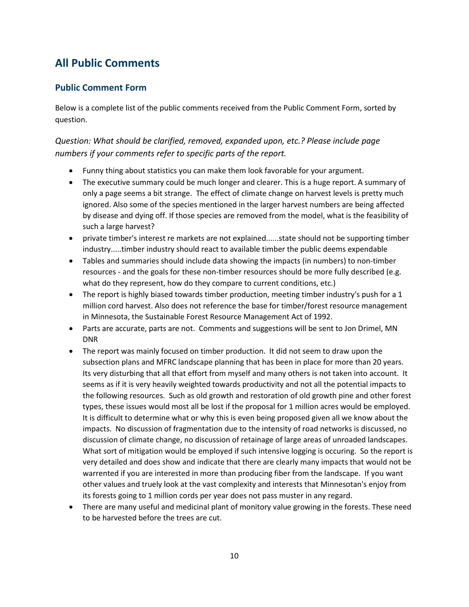## **All Public Comments**

#### <span id="page-9-0"></span>**Public Comment Form**

Below is a complete list of the public comments received from the Public Comment Form, sorted by question.

#### <span id="page-9-1"></span>*Question: What should be clarified, removed, expanded upon, etc.? Please include page numbers if your comments refer to specific parts of the report.*

- Funny thing about statistics you can make them look favorable for your argument.
- The executive summary could be much longer and clearer. This is a huge report. A summary of only a page seems a bit strange. The effect of climate change on harvest levels is pretty much ignored. Also some of the species mentioned in the larger harvest numbers are being affected by disease and dying off. If those species are removed from the model, what is the feasibility of such a large harvest?
- private timber's interest re markets are not explained......state should not be supporting timber industry.....timber industry should react to available timber the public deems expendable
- Tables and summaries should include data showing the impacts (in numbers) to non-timber resources - and the goals for these non-timber resources should be more fully described (e.g. what do they represent, how do they compare to current conditions, etc.)
- The report is highly biased towards timber production, meeting timber industry's push for a 1 million cord harvest. Also does not reference the base for timber/forest resource management in Minnesota, the Sustainable Forest Resource Management Act of 1992.
- Parts are accurate, parts are not. Comments and suggestions will be sent to Jon Drimel, MN DNR
- The report was mainly focused on timber production. It did not seem to draw upon the subsection plans and MFRC landscape planning that has been in place for more than 20 years. Its very disturbing that all that effort from myself and many others is not taken into account. It seems as if it is very heavily weighted towards productivity and not all the potential impacts to the following resources. Such as old growth and restoration of old growth pine and other forest types, these issues would most all be lost if the proposal for 1 million acres would be employed. It is difficult to determine what or why this is even being proposed given all we know about the impacts. No discussion of fragmentation due to the intensity of road networks is discussed, no discussion of climate change, no discussion of retainage of large areas of unroaded landscapes. What sort of mitigation would be employed if such intensive logging is occuring. So the report is very detailed and does show and indicate that there are clearly many impacts that would not be warrented if you are interested in more than producing fiber from the landscape. If you want other values and truely look at the vast complexity and interests that Minnesotan's enjoy from its forests going to 1 million cords per year does not pass muster in any regard.
- There are many useful and medicinal plant of monitory value growing in the forests. These need to be harvested before the trees are cut.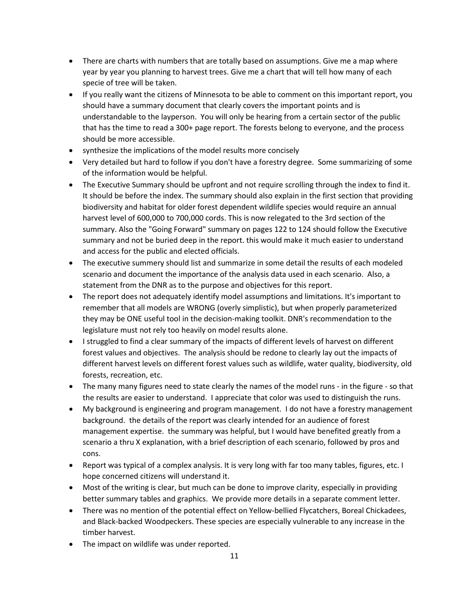- There are charts with numbers that are totally based on assumptions. Give me a map where year by year you planning to harvest trees. Give me a chart that will tell how many of each specie of tree will be taken.
- If you really want the citizens of Minnesota to be able to comment on this important report, you should have a summary document that clearly covers the important points and is understandable to the layperson. You will only be hearing from a certain sector of the public that has the time to read a 300+ page report. The forests belong to everyone, and the process should be more accessible.
- synthesize the implications of the model results more concisely
- Very detailed but hard to follow if you don't have a forestry degree. Some summarizing of some of the information would be helpful.
- The Executive Summary should be upfront and not require scrolling through the index to find it. It should be before the index. The summary should also explain in the first section that providing biodiversity and habitat for older forest dependent wildlife species would require an annual harvest level of 600,000 to 700,000 cords. This is now relegated to the 3rd section of the summary. Also the "Going Forward" summary on pages 122 to 124 should follow the Executive summary and not be buried deep in the report. this would make it much easier to understand and access for the public and elected officials.
- The executive summery should list and summarize in some detail the results of each modeled scenario and document the importance of the analysis data used in each scenario. Also, a statement from the DNR as to the purpose and objectives for this report.
- The report does not adequately identify model assumptions and limitations. It's important to remember that all models are WRONG (overly simplistic), but when properly parameterized they may be ONE useful tool in the decision-making toolkit. DNR's recommendation to the legislature must not rely too heavily on model results alone.
- I struggled to find a clear summary of the impacts of different levels of harvest on different forest values and objectives. The analysis should be redone to clearly lay out the impacts of different harvest levels on different forest values such as wildlife, water quality, biodiversity, old forests, recreation, etc.
- The many many figures need to state clearly the names of the model runs in the figure so that the results are easier to understand. I appreciate that color was used to distinguish the runs.
- My background is engineering and program management. I do not have a forestry management background. the details of the report was clearly intended for an audience of forest management expertise. the summary was helpful, but I would have benefited greatly from a scenario a thru X explanation, with a brief description of each scenario, followed by pros and cons.
- Report was typical of a complex analysis. It is very long with far too many tables, figures, etc. I hope concerned citizens will understand it.
- Most of the writing is clear, but much can be done to improve clarity, especially in providing better summary tables and graphics. We provide more details in a separate comment letter.
- There was no mention of the potential effect on Yellow-bellied Flycatchers, Boreal Chickadees, and Black-backed Woodpeckers. These species are especially vulnerable to any increase in the timber harvest.
- The impact on wildlife was under reported.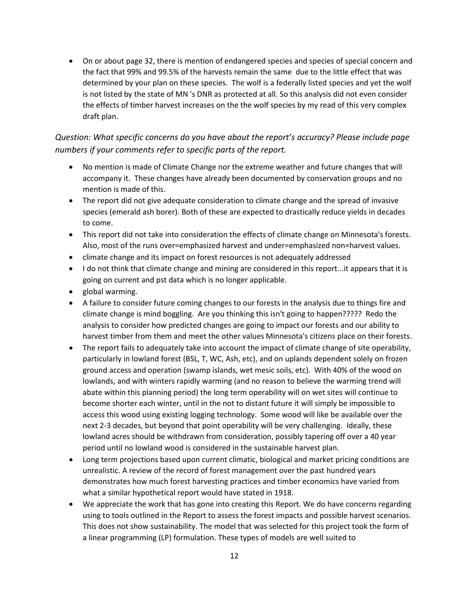• On or about page 32, there is mention of endangered species and species of special concern and the fact that 99% and 99.5% of the harvests remain the same due to the little effect that was determined by your plan on these species. The wolf is a federally listed species and yet the wolf is not listed by the state of MN 's DNR as protected at all. So this analysis did not even consider the effects of timber harvest increases on the the wolf species by my read of this very complex draft plan.

#### <span id="page-11-0"></span>*Question: What specific concerns do you have about the report's accuracy? Please include page numbers if your comments refer to specific parts of the report.*

- No mention is made of Climate Change nor the extreme weather and future changes that will accompany it. These changes have already been documented by conservation groups and no mention is made of this.
- The report did not give adequate consideration to climate change and the spread of invasive species (emerald ash borer). Both of these are expected to drastically reduce yields in decades to come.
- This report did not take into consideration the effects of climate change on Minnesota's forests. Also, most of the runs over=emphasized harvest and under=emphasized non=harvest values.
- climate change and its impact on forest resources is not adequately addressed
- I do not think that climate change and mining are considered in this report...it appears that it is going on current and pst data which is no longer applicable.
- global warming.
- A failure to consider future coming changes to our forests in the analysis due to things fire and climate change is mind boggling. Are you thinking this isn't going to happen????? Redo the analysis to consider how predicted changes are going to impact our forests and our ability to harvest timber from them and meet the other values Minnesota's citizens place on their forests.
- The report fails to adequately take into account the impact of climate change of site operability, particularly in lowland forest (BSL, T, WC, Ash, etc), and on uplands dependent solely on frozen ground access and operation (swamp islands, wet mesic soils, etc). With 40% of the wood on lowlands, and with winters rapidly warming (and no reason to believe the warming trend will abate within this planning period) the long term operability will on wet sites will continue to become shorter each winter, until in the not to distant future it will simply be impossible to access this wood using existing logging technology. Some wood will like be available over the next 2-3 decades, but beyond that point operability will be very challenging. Ideally, these lowland acres should be withdrawn from consideration, possibly tapering off over a 40 year period until no lowland wood is considered in the sustainable harvest plan.
- Long term projections based upon current climatic, biological and market pricing conditions are unrealistic. A review of the record of forest management over the past hundred years demonstrates how much forest harvesting practices and timber economics have varied from what a similar hypothetical report would have stated in 1918.
- We appreciate the work that has gone into creating this Report. We do have concerns regarding using to tools outlined in the Report to assess the forest impacts and possible harvest scenarios. This does not show sustainability. The model that was selected for this project took the form of a linear programming (LP) formulation. These types of models are well suited to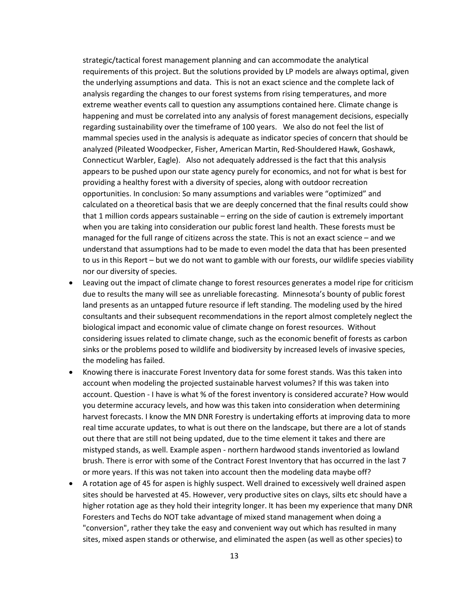strategic/tactical forest management planning and can accommodate the analytical requirements of this project. But the solutions provided by LP models are always optimal, given the underlying assumptions and data. This is not an exact science and the complete lack of analysis regarding the changes to our forest systems from rising temperatures, and more extreme weather events call to question any assumptions contained here. Climate change is happening and must be correlated into any analysis of forest management decisions, especially regarding sustainability over the timeframe of 100 years. We also do not feel the list of mammal species used in the analysis is adequate as indicator species of concern that should be analyzed (Pileated Woodpecker, Fisher, American Martin, Red-Shouldered Hawk, Goshawk, Connecticut Warbler, Eagle). Also not adequately addressed is the fact that this analysis appears to be pushed upon our state agency purely for economics, and not for what is best for providing a healthy forest with a diversity of species, along with outdoor recreation opportunities. In conclusion: So many assumptions and variables were "optimized" and calculated on a theoretical basis that we are deeply concerned that the final results could show that 1 million cords appears sustainable – erring on the side of caution is extremely important when you are taking into consideration our public forest land health. These forests must be managed for the full range of citizens across the state. This is not an exact science – and we understand that assumptions had to be made to even model the data that has been presented to us in this Report – but we do not want to gamble with our forests, our wildlife species viability nor our diversity of species.

- Leaving out the impact of climate change to forest resources generates a model ripe for criticism due to results the many will see as unreliable forecasting. Minnesota's bounty of public forest land presents as an untapped future resource if left standing. The modeling used by the hired consultants and their subsequent recommendations in the report almost completely neglect the biological impact and economic value of climate change on forest resources. Without considering issues related to climate change, such as the economic benefit of forests as carbon sinks or the problems posed to wildlife and biodiversity by increased levels of invasive species, the modeling has failed.
- Knowing there is inaccurate Forest Inventory data for some forest stands. Was this taken into account when modeling the projected sustainable harvest volumes? If this was taken into account. Question - I have is what % of the forest inventory is considered accurate? How would you determine accuracy levels, and how was this taken into consideration when determining harvest forecasts. I know the MN DNR Forestry is undertaking efforts at improving data to more real time accurate updates, to what is out there on the landscape, but there are a lot of stands out there that are still not being updated, due to the time element it takes and there are mistyped stands, as well. Example aspen - northern hardwood stands inventoried as lowland brush. There is error with some of the Contract Forest Inventory that has occurred in the last 7 or more years. If this was not taken into account then the modeling data maybe off?
- A rotation age of 45 for aspen is highly suspect. Well drained to excessively well drained aspen sites should be harvested at 45. However, very productive sites on clays, silts etc should have a higher rotation age as they hold their integrity longer. It has been my experience that many DNR Foresters and Techs do NOT take advantage of mixed stand management when doing a "conversion", rather they take the easy and convenient way out which has resulted in many sites, mixed aspen stands or otherwise, and eliminated the aspen (as well as other species) to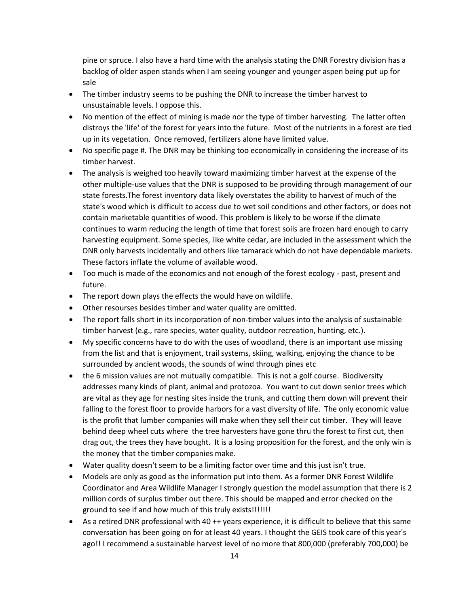pine or spruce. I also have a hard time with the analysis stating the DNR Forestry division has a backlog of older aspen stands when I am seeing younger and younger aspen being put up for sale

- The timber industry seems to be pushing the DNR to increase the timber harvest to unsustainable levels. I oppose this.
- No mention of the effect of mining is made nor the type of timber harvesting. The latter often distroys the 'life' of the forest for years into the future. Most of the nutrients in a forest are tied up in its vegetation. Once removed, fertilizers alone have limited value.
- No specific page #. The DNR may be thinking too economically in considering the increase of its timber harvest.
- The analysis is weighed too heavily toward maximizing timber harvest at the expense of the other multiple-use values that the DNR is supposed to be providing through management of our state forests.The forest inventory data likely overstates the ability to harvest of much of the state's wood which is difficult to access due to wet soil conditions and other factors, or does not contain marketable quantities of wood. This problem is likely to be worse if the climate continues to warm reducing the length of time that forest soils are frozen hard enough to carry harvesting equipment. Some species, like white cedar, are included in the assessment which the DNR only harvests incidentally and others like tamarack which do not have dependable markets. These factors inflate the volume of available wood.
- Too much is made of the economics and not enough of the forest ecology past, present and future.
- The report down plays the effects the would have on wildlife.
- Other resourses besides timber and water quality are omitted.
- The report falls short in its incorporation of non-timber values into the analysis of sustainable timber harvest (e.g., rare species, water quality, outdoor recreation, hunting, etc.).
- My specific concerns have to do with the uses of woodland, there is an important use missing from the list and that is enjoyment, trail systems, skiing, walking, enjoying the chance to be surrounded by ancient woods, the sounds of wind through pines etc
- the 6 mission values are not mutually compatible. This is not a golf course. Biodiversity addresses many kinds of plant, animal and protozoa. You want to cut down senior trees which are vital as they age for nesting sites inside the trunk, and cutting them down will prevent their falling to the forest floor to provide harbors for a vast diversity of life. The only economic value is the profit that lumber companies will make when they sell their cut timber. They will leave behind deep wheel cuts where the tree harvesters have gone thru the forest to first cut, then drag out, the trees they have bought. It is a losing proposition for the forest, and the only win is the money that the timber companies make.
- Water quality doesn't seem to be a limiting factor over time and this just isn't true.
- Models are only as good as the information put into them. As a former DNR Forest Wildlife Coordinator and Area Wildlife Manager I strongly question the model assumption that there is 2 million cords of surplus timber out there. This should be mapped and error checked on the ground to see if and how much of this truly exists!!!!!!!!
- As a retired DNR professional with 40 ++ years experience, it is difficult to believe that this same conversation has been going on for at least 40 years. I thought the GEIS took care of this year's ago!! I recommend a sustainable harvest level of no more that 800,000 (preferably 700,000) be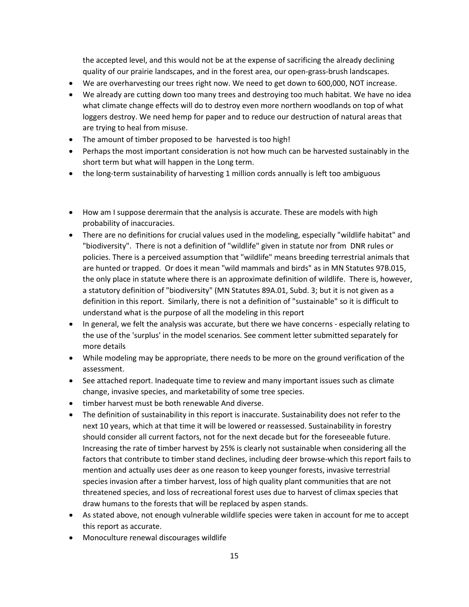the accepted level, and this would not be at the expense of sacrificing the already declining quality of our prairie landscapes, and in the forest area, our open-grass-brush landscapes.

- We are overharvesting our trees right now. We need to get down to 600,000, NOT increase.
- We already are cutting down too many trees and destroying too much habitat. We have no idea what climate change effects will do to destroy even more northern woodlands on top of what loggers destroy. We need hemp for paper and to reduce our destruction of natural areas that are trying to heal from misuse.
- The amount of timber proposed to be harvested is too high!
- Perhaps the most important consideration is not how much can be harvested sustainably in the short term but what will happen in the Long term.
- the long-term sustainability of harvesting 1 million cords annually is left too ambiguous
- How am I suppose derermain that the analysis is accurate. These are models with high probability of inaccuracies.
- There are no definitions for crucial values used in the modeling, especially "wildlife habitat" and "biodiversity". There is not a definition of "wildlife" given in statute nor from DNR rules or policies. There is a perceived assumption that "wildlife" means breeding terrestrial animals that are hunted or trapped. Or does it mean "wild mammals and birds" as in MN Statutes 97B.015, the only place in statute where there is an approximate definition of wildlife. There is, however, a statutory definition of "biodiversity" (MN Statutes 89A.01, Subd. 3; but it is not given as a definition in this report. Similarly, there is not a definition of "sustainable" so it is difficult to understand what is the purpose of all the modeling in this report
- In general, we felt the analysis was accurate, but there we have concerns especially relating to the use of the 'surplus' in the model scenarios. See comment letter submitted separately for more details
- While modeling may be appropriate, there needs to be more on the ground verification of the assessment.
- See attached report. Inadequate time to review and many important issues such as climate change, invasive species, and marketability of some tree species.
- timber harvest must be both renewable And diverse.
- The definition of sustainability in this report is inaccurate. Sustainability does not refer to the next 10 years, which at that time it will be lowered or reassessed. Sustainability in forestry should consider all current factors, not for the next decade but for the foreseeable future. Increasing the rate of timber harvest by 25% is clearly not sustainable when considering all the factors that contribute to timber stand declines, including deer browse-which this report fails to mention and actually uses deer as one reason to keep younger forests, invasive terrestrial species invasion after a timber harvest, loss of high quality plant communities that are not threatened species, and loss of recreational forest uses due to harvest of climax species that draw humans to the forests that will be replaced by aspen stands.
- As stated above, not enough vulnerable wildlife species were taken in account for me to accept this report as accurate.
- Monoculture renewal discourages wildlife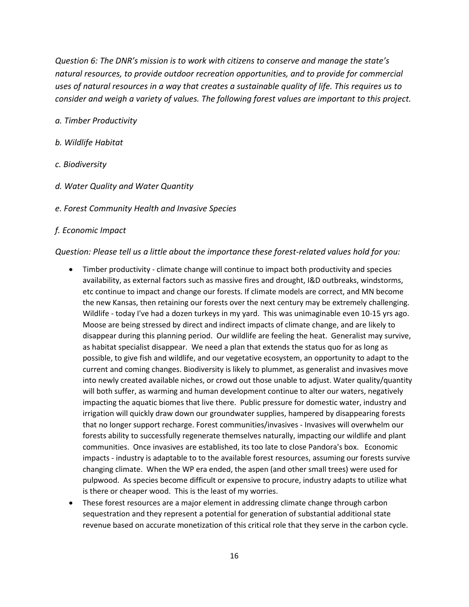*Question 6: The DNR's mission is to work with citizens to conserve and manage the state's natural resources, to provide outdoor recreation opportunities, and to provide for commercial uses of natural resources in a way that creates a sustainable quality of life. This requires us to consider and weigh a variety of values. The following forest values are important to this project.*

#### *a. Timber Productivity*

- *b. Wildlife Habitat*
- *c. Biodiversity*
- *d. Water Quality and Water Quantity*
- *e. Forest Community Health and Invasive Species*

#### *f. Economic Impact*

<span id="page-15-0"></span>*Question: Please tell us a little about the importance these forest-related values hold for you:*

- Timber productivity climate change will continue to impact both productivity and species availability, as external factors such as massive fires and drought, I&D outbreaks, windstorms, etc continue to impact and change our forests. If climate models are correct, and MN become the new Kansas, then retaining our forests over the next century may be extremely challenging. Wildlife - today I've had a dozen turkeys in my yard. This was unimaginable even 10-15 yrs ago. Moose are being stressed by direct and indirect impacts of climate change, and are likely to disappear during this planning period. Our wildlife are feeling the heat. Generalist may survive, as habitat specialist disappear. We need a plan that extends the status quo for as long as possible, to give fish and wildlife, and our vegetative ecosystem, an opportunity to adapt to the current and coming changes. Biodiversity is likely to plummet, as generalist and invasives move into newly created available niches, or crowd out those unable to adjust. Water quality/quantity will both suffer, as warming and human development continue to alter our waters, negatively impacting the aquatic biomes that live there. Public pressure for domestic water, industry and irrigation will quickly draw down our groundwater supplies, hampered by disappearing forests that no longer support recharge. Forest communities/invasives - Invasives will overwhelm our forests ability to successfully regenerate themselves naturally, impacting our wildlife and plant communities. Once invasives are established, its too late to close Pandora's box. Economic impacts - industry is adaptable to to the available forest resources, assuming our forests survive changing climate. When the WP era ended, the aspen (and other small trees) were used for pulpwood. As species become difficult or expensive to procure, industry adapts to utilize what is there or cheaper wood. This is the least of my worries.
- These forest resources are a major element in addressing climate change through carbon sequestration and they represent a potential for generation of substantial additional state revenue based on accurate monetization of this critical role that they serve in the carbon cycle.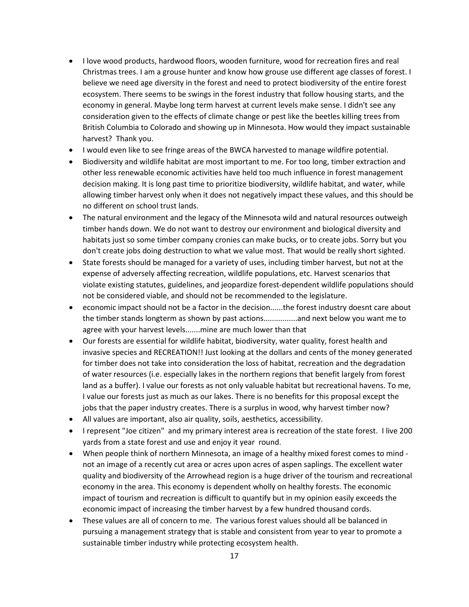- I love wood products, hardwood floors, wooden furniture, wood for recreation fires and real Christmas trees. I am a grouse hunter and know how grouse use different age classes of forest. I believe we need age diversity in the forest and need to protect biodiversity of the entire forest ecosystem. There seems to be swings in the forest industry that follow housing starts, and the economy in general. Maybe long term harvest at current levels make sense. I didn't see any consideration given to the effects of climate change or pest like the beetles killing trees from British Columbia to Colorado and showing up in Minnesota. How would they impact sustainable harvest? Thank you.
- I would even like to see fringe areas of the BWCA harvested to manage wildfire potential.
- Biodiversity and wildlife habitat are most important to me. For too long, timber extraction and other less renewable economic activities have held too much influence in forest management decision making. It is long past time to prioritize biodiversity, wildlife habitat, and water, while allowing timber harvest only when it does not negatively impact these values, and this should be no different on school trust lands.
- The natural environment and the legacy of the Minnesota wild and natural resources outweigh timber hands down. We do not want to destroy our environment and biological diversity and habitats just so some timber company cronies can make bucks, or to create jobs. Sorry but you don't create jobs doing destruction to what we value most. That would be really short sighted.
- State forests should be managed for a variety of uses, including timber harvest, but not at the expense of adversely affecting recreation, wildlife populations, etc. Harvest scenarios that violate existing statutes, guidelines, and jeopardize forest-dependent wildlife populations should not be considered viable, and should not be recommended to the legislature.
- economic impact should not be a factor in the decision......the forest industry doesnt care about the timber stands longterm as shown by past actions................and next below you want me to agree with your harvest levels.......mine are much lower than that
- Our forests are essential for wildlife habitat, biodiversity, water quality, forest health and invasive species and RECREATION!! Just looking at the dollars and cents of the money generated for timber does not take into consideration the loss of habitat, recreation and the degradation of water resources (i.e. especially lakes in the northern regions that benefit largely from forest land as a buffer). I value our forests as not only valuable habitat but recreational havens. To me, I value our forests just as much as our lakes. There is no benefits for this proposal except the jobs that the paper industry creates. There is a surplus in wood, why harvest timber now?
- All values are important, also air quality, soils, aesthetics, accessibility.
- I represent "Joe citizen" and my primary interest area is recreation of the state forest. I live 200 yards from a state forest and use and enjoy it year round.
- When people think of northern Minnesota, an image of a healthy mixed forest comes to mind not an image of a recently cut area or acres upon acres of aspen saplings. The excellent water quality and biodiversity of the Arrowhead region is a huge driver of the tourism and recreational economy in the area. This economy is dependent wholly on healthy forests. The economic impact of tourism and recreation is difficult to quantify but in my opinion easily exceeds the economic impact of increasing the timber harvest by a few hundred thousand cords.
- These values are all of concern to me. The various forest values should all be balanced in pursuing a management strategy that is stable and consistent from year to year to promote a sustainable timber industry while protecting ecosystem health.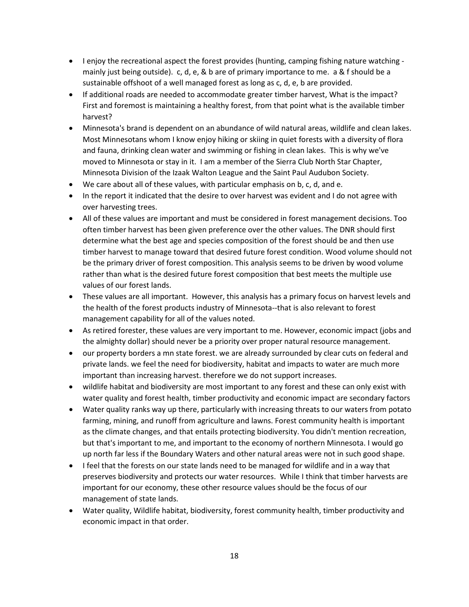- I enjoy the recreational aspect the forest provides (hunting, camping fishing nature watching mainly just being outside). c, d, e, & b are of primary importance to me. a & f should be a sustainable offshoot of a well managed forest as long as c, d, e, b are provided.
- If additional roads are needed to accommodate greater timber harvest, What is the impact? First and foremost is maintaining a healthy forest, from that point what is the available timber harvest?
- Minnesota's brand is dependent on an abundance of wild natural areas, wildlife and clean lakes. Most Minnesotans whom I know enjoy hiking or skiing in quiet forests with a diversity of flora and fauna, drinking clean water and swimming or fishing in clean lakes. This is why we've moved to Minnesota or stay in it. I am a member of the Sierra Club North Star Chapter, Minnesota Division of the Izaak Walton League and the Saint Paul Audubon Society.
- We care about all of these values, with particular emphasis on b, c, d, and e.
- In the report it indicated that the desire to over harvest was evident and I do not agree with over harvesting trees.
- All of these values are important and must be considered in forest management decisions. Too often timber harvest has been given preference over the other values. The DNR should first determine what the best age and species composition of the forest should be and then use timber harvest to manage toward that desired future forest condition. Wood volume should not be the primary driver of forest composition. This analysis seems to be driven by wood volume rather than what is the desired future forest composition that best meets the multiple use values of our forest lands.
- These values are all important. However, this analysis has a primary focus on harvest levels and the health of the forest products industry of Minnesota--that is also relevant to forest management capability for all of the values noted.
- As retired forester, these values are very important to me. However, economic impact (jobs and the almighty dollar) should never be a priority over proper natural resource management.
- our property borders a mn state forest. we are already surrounded by clear cuts on federal and private lands. we feel the need for biodiversity, habitat and impacts to water are much more important than increasing harvest. therefore we do not support increases.
- wildlife habitat and biodiversity are most important to any forest and these can only exist with water quality and forest health, timber productivity and economic impact are secondary factors
- Water quality ranks way up there, particularly with increasing threats to our waters from potato farming, mining, and runoff from agriculture and lawns. Forest community health is important as the climate changes, and that entails protecting biodiversity. You didn't mention recreation, but that's important to me, and important to the economy of northern Minnesota. I would go up north far less if the Boundary Waters and other natural areas were not in such good shape.
- I feel that the forests on our state lands need to be managed for wildlife and in a way that preserves biodiversity and protects our water resources. While I think that timber harvests are important for our economy, these other resource values should be the focus of our management of state lands.
- Water quality, Wildlife habitat, biodiversity, forest community health, timber productivity and economic impact in that order.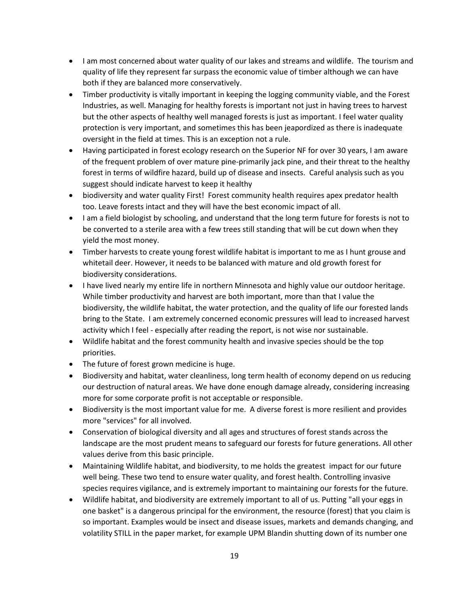- I am most concerned about water quality of our lakes and streams and wildlife. The tourism and quality of life they represent far surpass the economic value of timber although we can have both if they are balanced more conservatively.
- Timber productivity is vitally important in keeping the logging community viable, and the Forest Industries, as well. Managing for healthy forests is important not just in having trees to harvest but the other aspects of healthy well managed forests is just as important. I feel water quality protection is very important, and sometimes this has been jeapordized as there is inadequate oversight in the field at times. This is an exception not a rule.
- Having participated in forest ecology research on the Superior NF for over 30 years, I am aware of the frequent problem of over mature pine-primarily jack pine, and their threat to the healthy forest in terms of wildfire hazard, build up of disease and insects. Careful analysis such as you suggest should indicate harvest to keep it healthy
- biodiversity and water quality First! Forest community health requires apex predator health too. Leave forests intact and they will have the best economic impact of all.
- I am a field biologist by schooling, and understand that the long term future for forests is not to be converted to a sterile area with a few trees still standing that will be cut down when they yield the most money.
- Timber harvests to create young forest wildlife habitat is important to me as I hunt grouse and whitetail deer. However, it needs to be balanced with mature and old growth forest for biodiversity considerations.
- I have lived nearly my entire life in northern Minnesota and highly value our outdoor heritage. While timber productivity and harvest are both important, more than that I value the biodiversity, the wildlife habitat, the water protection, and the quality of life our forested lands bring to the State. I am extremely concerned economic pressures will lead to increased harvest activity which I feel - especially after reading the report, is not wise nor sustainable.
- Wildlife habitat and the forest community health and invasive species should be the top priorities.
- The future of forest grown medicine is huge.
- Biodiversity and habitat, water cleanliness, long term health of economy depend on us reducing our destruction of natural areas. We have done enough damage already, considering increasing more for some corporate profit is not acceptable or responsible.
- Biodiversity is the most important value for me. A diverse forest is more resilient and provides more "services" for all involved.
- Conservation of biological diversity and all ages and structures of forest stands across the landscape are the most prudent means to safeguard our forests for future generations. All other values derive from this basic principle.
- Maintaining Wildlife habitat, and biodiversity, to me holds the greatest impact for our future well being. These two tend to ensure water quality, and forest health. Controlling invasive species requires vigilance, and is extremely important to maintaining our forests for the future.
- Wildlife habitat, and biodiversity are extremely important to all of us. Putting "all your eggs in one basket" is a dangerous principal for the environment, the resource (forest) that you claim is so important. Examples would be insect and disease issues, markets and demands changing, and volatility STILL in the paper market, for example UPM Blandin shutting down of its number one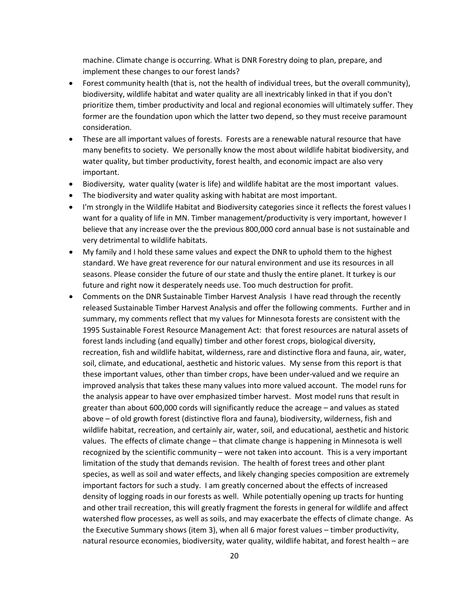machine. Climate change is occurring. What is DNR Forestry doing to plan, prepare, and implement these changes to our forest lands?

- Forest community health (that is, not the health of individual trees, but the overall community), biodiversity, wildlife habitat and water quality are all inextricably linked in that if you don't prioritize them, timber productivity and local and regional economies will ultimately suffer. They former are the foundation upon which the latter two depend, so they must receive paramount consideration.
- These are all important values of forests. Forests are a renewable natural resource that have many benefits to society. We personally know the most about wildlife habitat biodiversity, and water quality, but timber productivity, forest health, and economic impact are also very important.
- Biodiversity, water quality (water is life) and wildlife habitat are the most important values.
- The biodiversity and water quality asking with habitat are most important.
- I'm strongly in the Wildlife Habitat and Biodiversity categories since it reflects the forest values I want for a quality of life in MN. Timber management/productivity is very important, however I believe that any increase over the the previous 800,000 cord annual base is not sustainable and very detrimental to wildlife habitats.
- My family and I hold these same values and expect the DNR to uphold them to the highest standard. We have great reverence for our natural environment and use its resources in all seasons. Please consider the future of our state and thusly the entire planet. It turkey is our future and right now it desperately needs use. Too much destruction for profit.
- Comments on the DNR Sustainable Timber Harvest Analysis I have read through the recently released Sustainable Timber Harvest Analysis and offer the following comments. Further and in summary, my comments reflect that my values for Minnesota forests are consistent with the 1995 Sustainable Forest Resource Management Act: that forest resources are natural assets of forest lands including (and equally) timber and other forest crops, biological diversity, recreation, fish and wildlife habitat, wilderness, rare and distinctive flora and fauna, air, water, soil, climate, and educational, aesthetic and historic values. My sense from this report is that these important values, other than timber crops, have been under-valued and we require an improved analysis that takes these many values into more valued account. The model runs for the analysis appear to have over emphasized timber harvest. Most model runs that result in greater than about 600,000 cords will significantly reduce the acreage – and values as stated above – of old growth forest (distinctive flora and fauna), biodiversity, wilderness, fish and wildlife habitat, recreation, and certainly air, water, soil, and educational, aesthetic and historic values. The effects of climate change – that climate change is happening in Minnesota is well recognized by the scientific community – were not taken into account. This is a very important limitation of the study that demands revision. The health of forest trees and other plant species, as well as soil and water effects, and likely changing species composition are extremely important factors for such a study. I am greatly concerned about the effects of increased density of logging roads in our forests as well. While potentially opening up tracts for hunting and other trail recreation, this will greatly fragment the forests in general for wildlife and affect watershed flow processes, as well as soils, and may exacerbate the effects of climate change. As the Executive Summary shows (item 3), when all 6 major forest values – timber productivity, natural resource economies, biodiversity, water quality, wildlife habitat, and forest health – are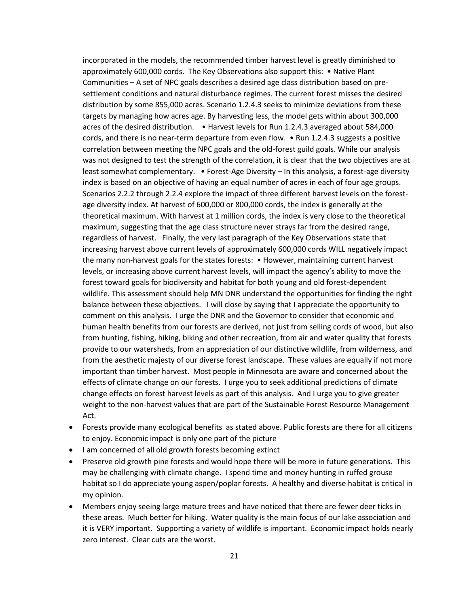incorporated in the models, the recommended timber harvest level is greatly diminished to approximately 600,000 cords. The Key Observations also support this: • Native Plant Communities – A set of NPC goals describes a desired age class distribution based on presettlement conditions and natural disturbance regimes. The current forest misses the desired distribution by some 855,000 acres. Scenario 1.2.4.3 seeks to minimize deviations from these targets by managing how acres age. By harvesting less, the model gets within about 300,000 acres of the desired distribution. • Harvest levels for Run 1.2.4.3 averaged about 584,000 cords, and there is no near-term departure from even flow. • Run 1.2.4.3 suggests a positive correlation between meeting the NPC goals and the old-forest guild goals. While our analysis was not designed to test the strength of the correlation, it is clear that the two objectives are at least somewhat complementary. • Forest-Age Diversity – In this analysis, a forest-age diversity index is based on an objective of having an equal number of acres in each of four age groups. Scenarios 2.2.2 through 2.2.4 explore the impact of three different harvest levels on the forestage diversity index. At harvest of 600,000 or 800,000 cords, the index is generally at the theoretical maximum. With harvest at 1 million cords, the index is very close to the theoretical maximum, suggesting that the age class structure never strays far from the desired range, regardless of harvest. Finally, the very last paragraph of the Key Observations state that increasing harvest above current levels of approximately 600,000 cords WILL negatively impact the many non-harvest goals for the states forests: • However, maintaining current harvest levels, or increasing above current harvest levels, will impact the agency's ability to move the forest toward goals for biodiversity and habitat for both young and old forest-dependent wildlife. This assessment should help MN DNR understand the opportunities for finding the right balance between these objectives. I will close by saying that I appreciate the opportunity to comment on this analysis. I urge the DNR and the Governor to consider that economic and human health benefits from our forests are derived, not just from selling cords of wood, but also from hunting, fishing, hiking, biking and other recreation, from air and water quality that forests provide to our watersheds, from an appreciation of our distinctive wildlife, from wilderness, and from the aesthetic majesty of our diverse forest landscape. These values are equally if not more important than timber harvest. Most people in Minnesota are aware and concerned about the effects of climate change on our forests. I urge you to seek additional predictions of climate change effects on forest harvest levels as part of this analysis. And I urge you to give greater weight to the non-harvest values that are part of the Sustainable Forest Resource Management Act.

- Forests provide many ecological benefits as stated above. Public forests are there for all citizens to enjoy. Economic impact is only one part of the picture
- I am concerned of all old growth forests becoming extinct
- Preserve old growth pine forests and would hope there will be more in future generations. This may be challenging with climate change. I spend time and money hunting in ruffed grouse habitat so I do appreciate young aspen/poplar forests. A healthy and diverse habitat is critical in my opinion.
- Members enjoy seeing large mature trees and have noticed that there are fewer deer ticks in these areas. Much better for hiking. Water quality is the main focus of our lake association and it is VERY important. Supporting a variety of wildlife is important. Economic impact holds nearly zero interest. Clear cuts are the worst.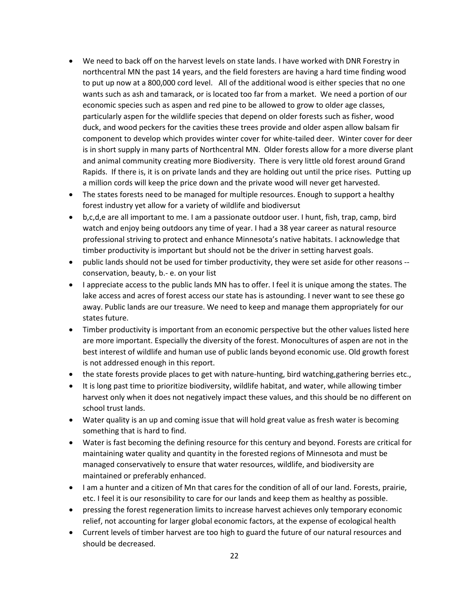- We need to back off on the harvest levels on state lands. I have worked with DNR Forestry in northcentral MN the past 14 years, and the field foresters are having a hard time finding wood to put up now at a 800,000 cord level. All of the additional wood is either species that no one wants such as ash and tamarack, or is located too far from a market. We need a portion of our economic species such as aspen and red pine to be allowed to grow to older age classes, particularly aspen for the wildlife species that depend on older forests such as fisher, wood duck, and wood peckers for the cavities these trees provide and older aspen allow balsam fir component to develop which provides winter cover for white-tailed deer. Winter cover for deer is in short supply in many parts of Northcentral MN. Older forests allow for a more diverse plant and animal community creating more Biodiversity. There is very little old forest around Grand Rapids. If there is, it is on private lands and they are holding out until the price rises. Putting up a million cords will keep the price down and the private wood will never get harvested.
- The states forests need to be managed for multiple resources. Enough to support a healthy forest industry yet allow for a variety of wildlife and biodiversut
- b,c,d,e are all important to me. I am a passionate outdoor user. I hunt, fish, trap, camp, bird watch and enjoy being outdoors any time of year. I had a 38 year career as natural resource professional striving to protect and enhance Minnesota's native habitats. I acknowledge that timber productivity is important but should not be the driver in setting harvest goals.
- public lands should not be used for timber productivity, they were set aside for other reasons conservation, beauty, b.- e. on your list
- I appreciate access to the public lands MN has to offer. I feel it is unique among the states. The lake access and acres of forest access our state has is astounding. I never want to see these go away. Public lands are our treasure. We need to keep and manage them appropriately for our states future.
- Timber productivity is important from an economic perspective but the other values listed here are more important. Especially the diversity of the forest. Monocultures of aspen are not in the best interest of wildlife and human use of public lands beyond economic use. Old growth forest is not addressed enough in this report.
- the state forests provide places to get with nature-hunting, bird watching, gathering berries etc.,
- It is long past time to prioritize biodiversity, wildlife habitat, and water, while allowing timber harvest only when it does not negatively impact these values, and this should be no different on school trust lands.
- Water quality is an up and coming issue that will hold great value as fresh water is becoming something that is hard to find.
- Water is fast becoming the defining resource for this century and beyond. Forests are critical for maintaining water quality and quantity in the forested regions of Minnesota and must be managed conservatively to ensure that water resources, wildlife, and biodiversity are maintained or preferably enhanced.
- I am a hunter and a citizen of Mn that cares for the condition of all of our land. Forests, prairie, etc. I feel it is our resonsibility to care for our lands and keep them as healthy as possible.
- pressing the forest regeneration limits to increase harvest achieves only temporary economic relief, not accounting for larger global economic factors, at the expense of ecological health
- Current levels of timber harvest are too high to guard the future of our natural resources and should be decreased.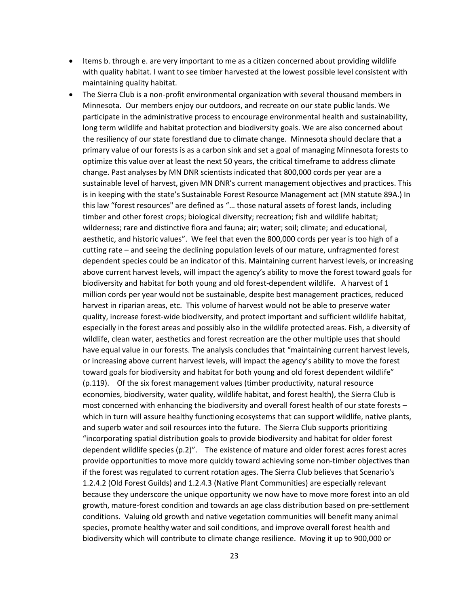- Items b. through e. are very important to me as a citizen concerned about providing wildlife with quality habitat. I want to see timber harvested at the lowest possible level consistent with maintaining quality habitat.
- The Sierra Club is a non-profit environmental organization with several thousand members in Minnesota. Our members enjoy our outdoors, and recreate on our state public lands. We participate in the administrative process to encourage environmental health and sustainability, long term wildlife and habitat protection and biodiversity goals. We are also concerned about the resiliency of our state forestland due to climate change. Minnesota should declare that a primary value of our forests is as a carbon sink and set a goal of managing Minnesota forests to optimize this value over at least the next 50 years, the critical timeframe to address climate change. Past analyses by MN DNR scientists indicated that 800,000 cords per year are a sustainable level of harvest, given MN DNR's current management objectives and practices. This is in keeping with the state's Sustainable Forest Resource Management act (MN statute 89A.) In this law "forest resources" are defined as "… those natural assets of forest lands, including timber and other forest crops; biological diversity; recreation; fish and wildlife habitat; wilderness; rare and distinctive flora and fauna; air; water; soil; climate; and educational, aesthetic, and historic values". We feel that even the 800,000 cords per year is too high of a cutting rate – and seeing the declining population levels of our mature, unfragmented forest dependent species could be an indicator of this. Maintaining current harvest levels, or increasing above current harvest levels, will impact the agency's ability to move the forest toward goals for biodiversity and habitat for both young and old forest-dependent wildlife. A harvest of 1 million cords per year would not be sustainable, despite best management practices, reduced harvest in riparian areas, etc. This volume of harvest would not be able to preserve water quality, increase forest-wide biodiversity, and protect important and sufficient wildlife habitat, especially in the forest areas and possibly also in the wildlife protected areas. Fish, a diversity of wildlife, clean water, aesthetics and forest recreation are the other multiple uses that should have equal value in our forests. The analysis concludes that "maintaining current harvest levels, or increasing above current harvest levels, will impact the agency's ability to move the forest toward goals for biodiversity and habitat for both young and old forest dependent wildlife" (p.119). Of the six forest management values (timber productivity, natural resource economies, biodiversity, water quality, wildlife habitat, and forest health), the Sierra Club is most concerned with enhancing the biodiversity and overall forest health of our state forests – which in turn will assure healthy functioning ecosystems that can support wildlife, native plants, and superb water and soil resources into the future. The Sierra Club supports prioritizing "incorporating spatial distribution goals to provide biodiversity and habitat for older forest dependent wildlife species (p.2)". The existence of mature and older forest acres forest acres provide opportunities to move more quickly toward achieving some non-timber objectives than if the forest was regulated to current rotation ages. The Sierra Club believes that Scenario's 1.2.4.2 (Old Forest Guilds) and 1.2.4.3 (Native Plant Communities) are especially relevant because they underscore the unique opportunity we now have to move more forest into an old growth, mature-forest condition and towards an age class distribution based on pre-settlement conditions. Valuing old growth and native vegetation communities will benefit many animal species, promote healthy water and soil conditions, and improve overall forest health and biodiversity which will contribute to climate change resilience. Moving it up to 900,000 or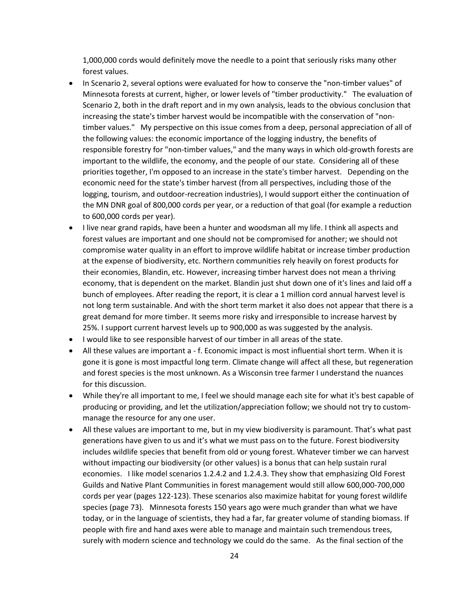1,000,000 cords would definitely move the needle to a point that seriously risks many other forest values.

- In Scenario 2, several options were evaluated for how to conserve the "non-timber values" of Minnesota forests at current, higher, or lower levels of "timber productivity." The evaluation of Scenario 2, both in the draft report and in my own analysis, leads to the obvious conclusion that increasing the state's timber harvest would be incompatible with the conservation of "nontimber values." My perspective on this issue comes from a deep, personal appreciation of all of the following values: the economic importance of the logging industry, the benefits of responsible forestry for "non-timber values," and the many ways in which old-growth forests are important to the wildlife, the economy, and the people of our state. Considering all of these priorities together, I'm opposed to an increase in the state's timber harvest. Depending on the economic need for the state's timber harvest (from all perspectives, including those of the logging, tourism, and outdoor-recreation industries), I would support either the continuation of the MN DNR goal of 800,000 cords per year, or a reduction of that goal (for example a reduction to 600,000 cords per year).
- I live near grand rapids, have been a hunter and woodsman all my life. I think all aspects and forest values are important and one should not be compromised for another; we should not compromise water quality in an effort to improve wildlife habitat or increase timber production at the expense of biodiversity, etc. Northern communities rely heavily on forest products for their economies, Blandin, etc. However, increasing timber harvest does not mean a thriving economy, that is dependent on the market. Blandin just shut down one of it's lines and laid off a bunch of employees. After reading the report, it is clear a 1 million cord annual harvest level is not long term sustainable. And with the short term market it also does not appear that there is a great demand for more timber. It seems more risky and irresponsible to increase harvest by 25%. I support current harvest levels up to 900,000 as was suggested by the analysis.
- I would like to see responsible harvest of our timber in all areas of the state.
- All these values are important a f. Economic impact is most influential short term. When it is gone it is gone is most impactful long term. Climate change will affect all these, but regeneration and forest species is the most unknown. As a Wisconsin tree farmer I understand the nuances for this discussion.
- While they're all important to me, I feel we should manage each site for what it's best capable of producing or providing, and let the utilization/appreciation follow; we should not try to custommanage the resource for any one user.
- All these values are important to me, but in my view biodiversity is paramount. That's what past generations have given to us and it's what we must pass on to the future. Forest biodiversity includes wildlife species that benefit from old or young forest. Whatever timber we can harvest without impacting our biodiversity (or other values) is a bonus that can help sustain rural economies. I like model scenarios 1.2.4.2 and 1.2.4.3. They show that emphasizing Old Forest Guilds and Native Plant Communities in forest management would still allow 600,000-700,000 cords per year (pages 122-123). These scenarios also maximize habitat for young forest wildlife species (page 73). Minnesota forests 150 years ago were much grander than what we have today, or in the language of scientists, they had a far, far greater volume of standing biomass. If people with fire and hand axes were able to manage and maintain such tremendous trees, surely with modern science and technology we could do the same. As the final section of the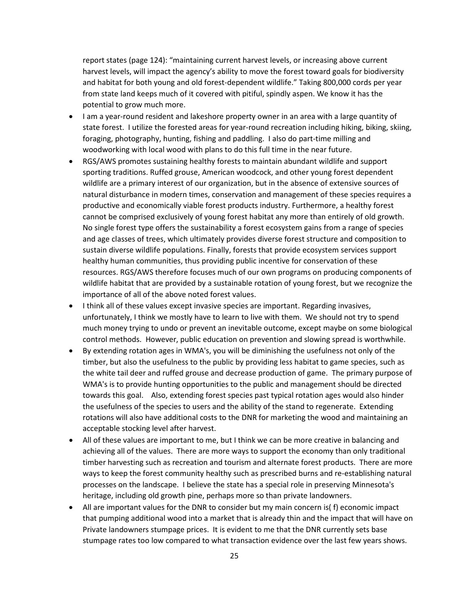report states (page 124): "maintaining current harvest levels, or increasing above current harvest levels, will impact the agency's ability to move the forest toward goals for biodiversity and habitat for both young and old forest-dependent wildlife." Taking 800,000 cords per year from state land keeps much of it covered with pitiful, spindly aspen. We know it has the potential to grow much more.

- I am a year-round resident and lakeshore property owner in an area with a large quantity of state forest. I utilize the forested areas for year-round recreation including hiking, biking, skiing, foraging, photography, hunting, fishing and paddling. I also do part-time milling and woodworking with local wood with plans to do this full time in the near future.
- RGS/AWS promotes sustaining healthy forests to maintain abundant wildlife and support sporting traditions. Ruffed grouse, American woodcock, and other young forest dependent wildlife are a primary interest of our organization, but in the absence of extensive sources of natural disturbance in modern times, conservation and management of these species requires a productive and economically viable forest products industry. Furthermore, a healthy forest cannot be comprised exclusively of young forest habitat any more than entirely of old growth. No single forest type offers the sustainability a forest ecosystem gains from a range of species and age classes of trees, which ultimately provides diverse forest structure and composition to sustain diverse wildlife populations. Finally, forests that provide ecosystem services support healthy human communities, thus providing public incentive for conservation of these resources. RGS/AWS therefore focuses much of our own programs on producing components of wildlife habitat that are provided by a sustainable rotation of young forest, but we recognize the importance of all of the above noted forest values.
- I think all of these values except invasive species are important. Regarding invasives, unfortunately, I think we mostly have to learn to live with them. We should not try to spend much money trying to undo or prevent an inevitable outcome, except maybe on some biological control methods. However, public education on prevention and slowing spread is worthwhile.
- By extending rotation ages in WMA's, you will be diminishing the usefulness not only of the timber, but also the usefulness to the public by providing less habitat to game species, such as the white tail deer and ruffed grouse and decrease production of game. The primary purpose of WMA's is to provide hunting opportunities to the public and management should be directed towards this goal. Also, extending forest species past typical rotation ages would also hinder the usefulness of the species to users and the ability of the stand to regenerate. Extending rotations will also have additional costs to the DNR for marketing the wood and maintaining an acceptable stocking level after harvest.
- All of these values are important to me, but I think we can be more creative in balancing and achieving all of the values. There are more ways to support the economy than only traditional timber harvesting such as recreation and tourism and alternate forest products. There are more ways to keep the forest community healthy such as prescribed burns and re-establishing natural processes on the landscape. I believe the state has a special role in preserving Minnesota's heritage, including old growth pine, perhaps more so than private landowners.
- All are important values for the DNR to consider but my main concern is( f) economic impact that pumping additional wood into a market that is already thin and the impact that will have on Private landowners stumpage prices. It is evident to me that the DNR currently sets base stumpage rates too low compared to what transaction evidence over the last few years shows.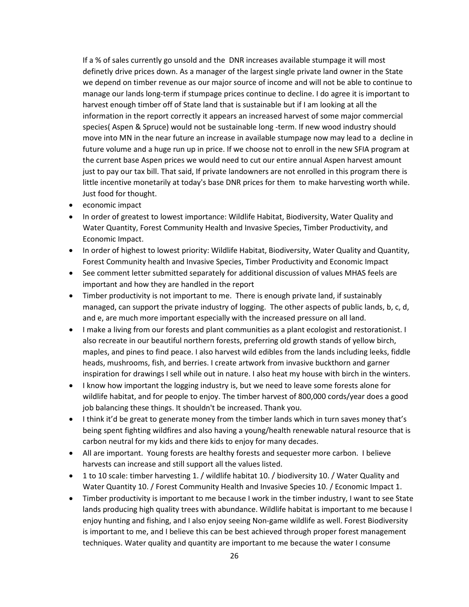If a % of sales currently go unsold and the DNR increases available stumpage it will most definetly drive prices down. As a manager of the largest single private land owner in the State we depend on timber revenue as our major source of income and will not be able to continue to manage our lands long-term if stumpage prices continue to decline. I do agree it is important to harvest enough timber off of State land that is sustainable but if I am looking at all the information in the report correctly it appears an increased harvest of some major commercial species( Aspen & Spruce) would not be sustainable long -term. If new wood industry should move into MN in the near future an increase in available stumpage now may lead to a decline in future volume and a huge run up in price. If we choose not to enroll in the new SFIA program at the current base Aspen prices we would need to cut our entire annual Aspen harvest amount just to pay our tax bill. That said, If private landowners are not enrolled in this program there is little incentive monetarily at today's base DNR prices for them to make harvesting worth while. Just food for thought.

- economic impact
- In order of greatest to lowest importance: Wildlife Habitat, Biodiversity, Water Quality and Water Quantity, Forest Community Health and Invasive Species, Timber Productivity, and Economic Impact.
- In order of highest to lowest priority: Wildlife Habitat, Biodiversity, Water Quality and Quantity, Forest Community health and Invasive Species, Timber Productivity and Economic Impact
- See comment letter submitted separately for additional discussion of values MHAS feels are important and how they are handled in the report
- Timber productivity is not important to me. There is enough private land, if sustainably managed, can support the private industry of logging. The other aspects of public lands, b, c, d, and e, are much more important especially with the increased pressure on all land.
- I make a living from our forests and plant communities as a plant ecologist and restorationist. I also recreate in our beautiful northern forests, preferring old growth stands of yellow birch, maples, and pines to find peace. I also harvest wild edibles from the lands including leeks, fiddle heads, mushrooms, fish, and berries. I create artwork from invasive buckthorn and garner inspiration for drawings I sell while out in nature. I also heat my house with birch in the winters.
- I know how important the logging industry is, but we need to leave some forests alone for wildlife habitat, and for people to enjoy. The timber harvest of 800,000 cords/year does a good job balancing these things. It shouldn't be increased. Thank you.
- I think it'd be great to generate money from the timber lands which in turn saves money that's being spent fighting wildfires and also having a young/health renewable natural resource that is carbon neutral for my kids and there kids to enjoy for many decades.
- All are important. Young forests are healthy forests and sequester more carbon. I believe harvests can increase and still support all the values listed.
- 1 to 10 scale: timber harvesting 1. / wildlife habitat 10. / biodiversity 10. / Water Quality and Water Quantity 10. / Forest Community Health and Invasive Species 10. / Economic Impact 1.
- Timber productivity is important to me because I work in the timber industry, I want to see State lands producing high quality trees with abundance. Wildlife habitat is important to me because I enjoy hunting and fishing, and I also enjoy seeing Non-game wildlife as well. Forest Biodiversity is important to me, and I believe this can be best achieved through proper forest management techniques. Water quality and quantity are important to me because the water I consume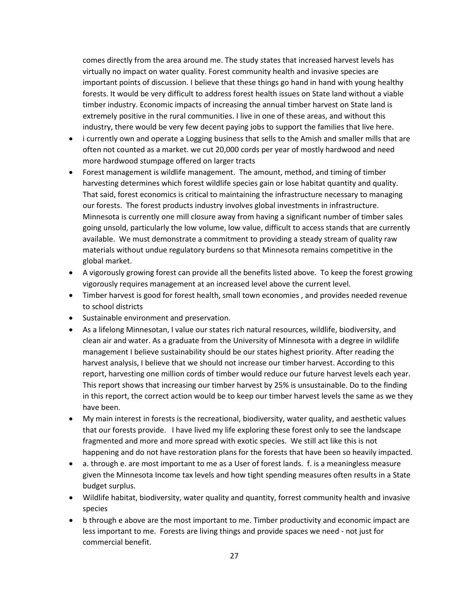comes directly from the area around me. The study states that increased harvest levels has virtually no impact on water quality. Forest community health and invasive species are important points of discussion. I believe that these things go hand in hand with young healthy forests. It would be very difficult to address forest health issues on State land without a viable timber industry. Economic impacts of increasing the annual timber harvest on State land is extremely positive in the rural communities. I live in one of these areas, and without this industry, there would be very few decent paying jobs to support the families that live here.

- i currently own and operate a Logging business that sells to the Amish and smaller mills that are often not counted as a market. we cut 20,000 cords per year of mostly hardwood and need more hardwood stumpage offered on larger tracts
- Forest management is wildlife management. The amount, method, and timing of timber harvesting determines which forest wildlife species gain or lose habitat quantity and quality. That said, forest economics is critical to maintaining the infrastructure necessary to managing our forests. The forest products industry involves global investments in infrastructure. Minnesota is currently one mill closure away from having a significant number of timber sales going unsold, particularly the low volume, low value, difficult to access stands that are currently available. We must demonstrate a commitment to providing a steady stream of quality raw materials without undue regulatory burdens so that Minnesota remains competitive in the global market.
- A vigorously growing forest can provide all the benefits listed above. To keep the forest growing vigorously requires management at an increased level above the current level.
- Timber harvest is good for forest health, small town economies , and provides needed revenue to school districts
- Sustainable environment and preservation.
- As a lifelong Minnesotan, I value our states rich natural resources, wildlife, biodiversity, and clean air and water. As a graduate from the University of Minnesota with a degree in wildlife management I believe sustainability should be our states highest priority. After reading the harvest analysis, I believe that we should not increase our timber harvest. According to this report, harvesting one million cords of timber would reduce our future harvest levels each year. This report shows that increasing our timber harvest by 25% is unsustainable. Do to the finding in this report, the correct action would be to keep our timber harvest levels the same as we they have been.
- My main interest in forests is the recreational, biodiversity, water quality, and aesthetic values that our forests provide. I have lived my life exploring these forest only to see the landscape fragmented and more and more spread with exotic species. We still act like this is not happening and do not have restoration plans for the forests that have been so heavily impacted.
- a. through e. are most important to me as a User of forest lands. f. is a meaningless measure given the Minnesota Income tax levels and how tight spending measures often results in a State budget surplus.
- Wildlife habitat, biodiversity, water quality and quantity, forrest community health and invasive species
- b through e above are the most important to me. Timber productivity and economic impact are less important to me. Forests are living things and provide spaces we need - not just for commercial benefit.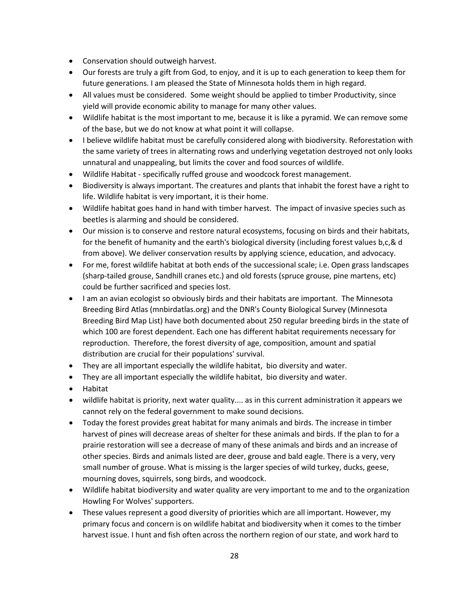- Conservation should outweigh harvest.
- Our forests are truly a gift from God, to enjoy, and it is up to each generation to keep them for future generations. I am pleased the State of Minnesota holds them in high regard.
- All values must be considered. Some weight should be applied to timber Productivity, since yield will provide economic ability to manage for many other values.
- Wildlife habitat is the most important to me, because it is like a pyramid. We can remove some of the base, but we do not know at what point it will collapse.
- I believe wildlife habitat must be carefully considered along with biodiversity. Reforestation with the same variety of trees in alternating rows and underlying vegetation destroyed not only looks unnatural and unappealing, but limits the cover and food sources of wildlife.
- Wildlife Habitat specifically ruffed grouse and woodcock forest management.
- Biodiversity is always important. The creatures and plants that inhabit the forest have a right to life. Wildlife habitat is very important, it is their home.
- Wildlife habitat goes hand in hand with timber harvest. The impact of invasive species such as beetles is alarming and should be considered.
- Our mission is to conserve and restore natural ecosystems, focusing on birds and their habitats, for the benefit of humanity and the earth's biological diversity (including forest values b,c,& d from above). We deliver conservation results by applying science, education, and advocacy.
- For me, forest wildlife habitat at both ends of the successional scale; i.e. Open grass landscapes (sharp-tailed grouse, Sandhill cranes etc.) and old forests (spruce grouse, pine martens, etc) could be further sacrificed and species lost.
- I am an avian ecologist so obviously birds and their habitats are important. The Minnesota Breeding Bird Atlas (mnbirdatlas.org) and the DNR's County Biological Survey (Minnesota Breeding Bird Map List) have both documented about 250 regular breeding birds in the state of which 100 are forest dependent. Each one has different habitat requirements necessary for reproduction. Therefore, the forest diversity of age, composition, amount and spatial distribution are crucial for their populations' survival.
- They are all important especially the wildlife habitat, bio diversity and water.
- They are all important especially the wildlife habitat, bio diversity and water.
- Habitat
- wildlife habitat is priority, next water quality.... as in this current administration it appears we cannot rely on the federal government to make sound decisions.
- Today the forest provides great habitat for many animals and birds. The increase in timber harvest of pines will decrease areas of shelter for these animals and birds. If the plan to for a prairie restoration will see a decrease of many of these animals and birds and an increase of other species. Birds and animals listed are deer, grouse and bald eagle. There is a very, very small number of grouse. What is missing is the larger species of wild turkey, ducks, geese, mourning doves, squirrels, song birds, and woodcock.
- Wildlife habitat biodiversity and water quality are very important to me and to the organization Howling For Wolves' supporters.
- These values represent a good diversity of priorities which are all important. However, my primary focus and concern is on wildlife habitat and biodiversity when it comes to the timber harvest issue. I hunt and fish often across the northern region of our state, and work hard to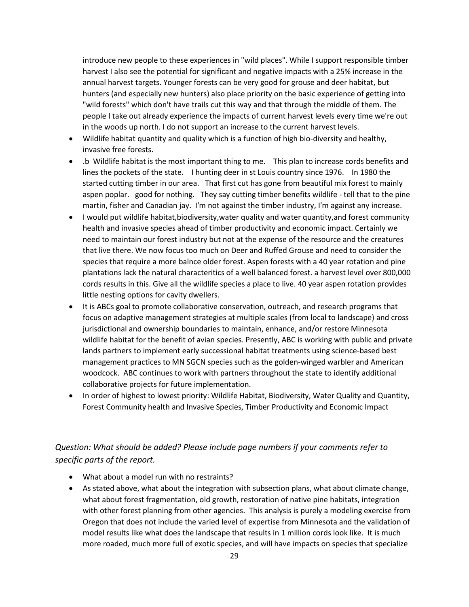introduce new people to these experiences in "wild places". While I support responsible timber harvest I also see the potential for significant and negative impacts with a 25% increase in the annual harvest targets. Younger forests can be very good for grouse and deer habitat, but hunters (and especially new hunters) also place priority on the basic experience of getting into "wild forests" which don't have trails cut this way and that through the middle of them. The people I take out already experience the impacts of current harvest levels every time we're out in the woods up north. I do not support an increase to the current harvest levels.

- Wildlife habitat quantity and quality which is a function of high bio-diversity and healthy, invasive free forests.
- .b Wildlife habitat is the most important thing to me. This plan to increase cords benefits and lines the pockets of the state. I hunting deer in st Louis country since 1976. In 1980 the started cutting timber in our area. That first cut has gone from beautiful mix forest to mainly aspen poplar. good for nothing. They say cutting timber benefits wildlife - tell that to the pine martin, fisher and Canadian jay. I'm not against the timber industry, I'm against any increase.
- I would put wildlife habitat,biodiversity,water quality and water quantity,and forest community health and invasive species ahead of timber productivity and economic impact. Certainly we need to maintain our forest industry but not at the expense of the resource and the creatures that live there. We now focus too much on Deer and Ruffed Grouse and need to consider the species that require a more balnce older forest. Aspen forests with a 40 year rotation and pine plantations lack the natural characteritics of a well balanced forest. a harvest level over 800,000 cords results in this. Give all the wildlife species a place to live. 40 year aspen rotation provides little nesting options for cavity dwellers.
- It is ABCs goal to promote collaborative conservation, outreach, and research programs that focus on adaptive management strategies at multiple scales (from local to landscape) and cross jurisdictional and ownership boundaries to maintain, enhance, and/or restore Minnesota wildlife habitat for the benefit of avian species. Presently, ABC is working with public and private lands partners to implement early successional habitat treatments using science-based best management practices to MN SGCN species such as the golden-winged warbler and American woodcock. ABC continues to work with partners throughout the state to identify additional collaborative projects for future implementation.
- In order of highest to lowest priority: Wildlife Habitat, Biodiversity, Water Quality and Quantity, Forest Community health and Invasive Species, Timber Productivity and Economic Impact

#### <span id="page-28-0"></span>*Question: What should be added? Please include page numbers if your comments refer to specific parts of the report.*

- What about a model run with no restraints?
- As stated above, what about the integration with subsection plans, what about climate change, what about forest fragmentation, old growth, restoration of native pine habitats, integration with other forest planning from other agencies. This analysis is purely a modeling exercise from Oregon that does not include the varied level of expertise from Minnesota and the validation of model results like what does the landscape that results in 1 million cords look like. It is much more roaded, much more full of exotic species, and will have impacts on species that specialize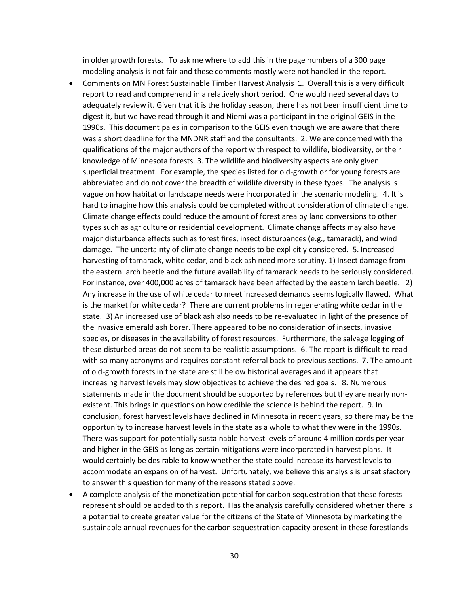in older growth forests. To ask me where to add this in the page numbers of a 300 page modeling analysis is not fair and these comments mostly were not handled in the report.

- Comments on MN Forest Sustainable Timber Harvest Analysis 1. Overall this is a very difficult report to read and comprehend in a relatively short period. One would need several days to adequately review it. Given that it is the holiday season, there has not been insufficient time to digest it, but we have read through it and Niemi was a participant in the original GEIS in the 1990s. This document pales in comparison to the GEIS even though we are aware that there was a short deadline for the MNDNR staff and the consultants. 2. We are concerned with the qualifications of the major authors of the report with respect to wildlife, biodiversity, or their knowledge of Minnesota forests. 3. The wildlife and biodiversity aspects are only given superficial treatment. For example, the species listed for old-growth or for young forests are abbreviated and do not cover the breadth of wildlife diversity in these types. The analysis is vague on how habitat or landscape needs were incorporated in the scenario modeling. 4. It is hard to imagine how this analysis could be completed without consideration of climate change. Climate change effects could reduce the amount of forest area by land conversions to other types such as agriculture or residential development. Climate change affects may also have major disturbance effects such as forest fires, insect disturbances (e.g., tamarack), and wind damage. The uncertainty of climate change needs to be explicitly considered. 5. Increased harvesting of tamarack, white cedar, and black ash need more scrutiny. 1) Insect damage from the eastern larch beetle and the future availability of tamarack needs to be seriously considered. For instance, over 400,000 acres of tamarack have been affected by the eastern larch beetle. 2) Any increase in the use of white cedar to meet increased demands seems logically flawed. What is the market for white cedar? There are current problems in regenerating white cedar in the state. 3) An increased use of black ash also needs to be re-evaluated in light of the presence of the invasive emerald ash borer. There appeared to be no consideration of insects, invasive species, or diseases in the availability of forest resources. Furthermore, the salvage logging of these disturbed areas do not seem to be realistic assumptions. 6. The report is difficult to read with so many acronyms and requires constant referral back to previous sections. 7. The amount of old-growth forests in the state are still below historical averages and it appears that increasing harvest levels may slow objectives to achieve the desired goals. 8. Numerous statements made in the document should be supported by references but they are nearly nonexistent. This brings in questions on how credible the science is behind the report. 9. In conclusion, forest harvest levels have declined in Minnesota in recent years, so there may be the opportunity to increase harvest levels in the state as a whole to what they were in the 1990s. There was support for potentially sustainable harvest levels of around 4 million cords per year and higher in the GEIS as long as certain mitigations were incorporated in harvest plans. It would certainly be desirable to know whether the state could increase its harvest levels to accommodate an expansion of harvest. Unfortunately, we believe this analysis is unsatisfactory to answer this question for many of the reasons stated above.
- A complete analysis of the monetization potential for carbon sequestration that these forests represent should be added to this report. Has the analysis carefully considered whether there is a potential to create greater value for the citizens of the State of Minnesota by marketing the sustainable annual revenues for the carbon sequestration capacity present in these forestlands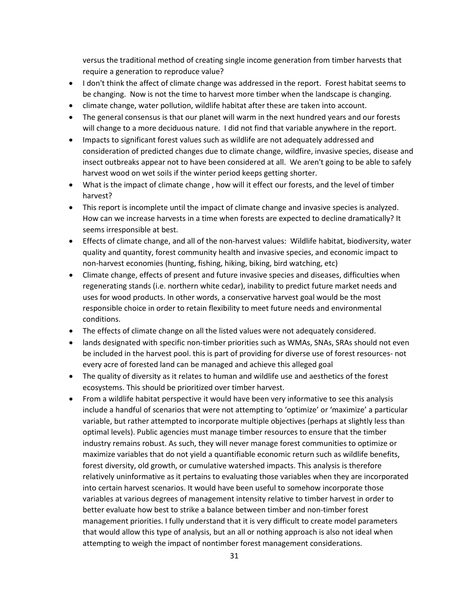versus the traditional method of creating single income generation from timber harvests that require a generation to reproduce value?

- I don't think the affect of climate change was addressed in the report. Forest habitat seems to be changing. Now is not the time to harvest more timber when the landscape is changing.
- climate change, water pollution, wildlife habitat after these are taken into account.
- The general consensus is that our planet will warm in the next hundred years and our forests will change to a more deciduous nature. I did not find that variable anywhere in the report.
- Impacts to significant forest values such as wildlife are not adequately addressed and consideration of predicted changes due to climate change, wildfire, invasive species, disease and insect outbreaks appear not to have been considered at all. We aren't going to be able to safely harvest wood on wet soils if the winter period keeps getting shorter.
- What is the impact of climate change , how will it effect our forests, and the level of timber harvest?
- This report is incomplete until the impact of climate change and invasive species is analyzed. How can we increase harvests in a time when forests are expected to decline dramatically? It seems irresponsible at best.
- Effects of climate change, and all of the non-harvest values: Wildlife habitat, biodiversity, water quality and quantity, forest community health and invasive species, and economic impact to non-harvest economies (hunting, fishing, hiking, biking, bird watching, etc)
- Climate change, effects of present and future invasive species and diseases, difficulties when regenerating stands (i.e. northern white cedar), inability to predict future market needs and uses for wood products. In other words, a conservative harvest goal would be the most responsible choice in order to retain flexibility to meet future needs and environmental conditions.
- The effects of climate change on all the listed values were not adequately considered.
- lands designated with specific non-timber priorities such as WMAs, SNAs, SRAs should not even be included in the harvest pool. this is part of providing for diverse use of forest resources- not every acre of forested land can be managed and achieve this alleged goal
- The quality of diversity as it relates to human and wildlife use and aesthetics of the forest ecosystems. This should be prioritized over timber harvest.
- From a wildlife habitat perspective it would have been very informative to see this analysis include a handful of scenarios that were not attempting to 'optimize' or 'maximize' a particular variable, but rather attempted to incorporate multiple objectives (perhaps at slightly less than optimal levels). Public agencies must manage timber resources to ensure that the timber industry remains robust. As such, they will never manage forest communities to optimize or maximize variables that do not yield a quantifiable economic return such as wildlife benefits, forest diversity, old growth, or cumulative watershed impacts. This analysis is therefore relatively uninformative as it pertains to evaluating those variables when they are incorporated into certain harvest scenarios. It would have been useful to somehow incorporate those variables at various degrees of management intensity relative to timber harvest in order to better evaluate how best to strike a balance between timber and non-timber forest management priorities. I fully understand that it is very difficult to create model parameters that would allow this type of analysis, but an all or nothing approach is also not ideal when attempting to weigh the impact of nontimber forest management considerations.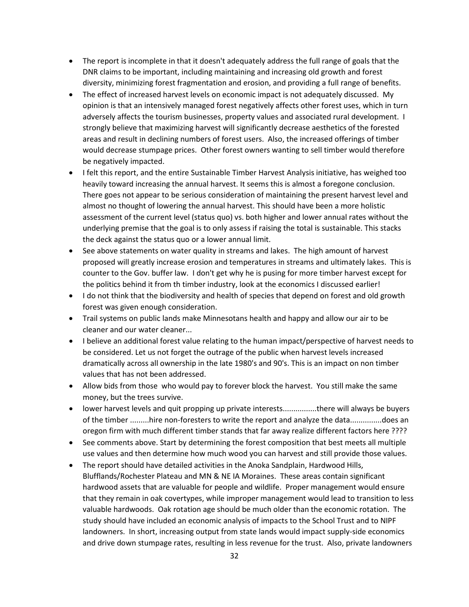- The report is incomplete in that it doesn't adequately address the full range of goals that the DNR claims to be important, including maintaining and increasing old growth and forest diversity, minimizing forest fragmentation and erosion, and providing a full range of benefits.
- The effect of increased harvest levels on economic impact is not adequately discussed. My opinion is that an intensively managed forest negatively affects other forest uses, which in turn adversely affects the tourism businesses, property values and associated rural development. I strongly believe that maximizing harvest will significantly decrease aesthetics of the forested areas and result in declining numbers of forest users. Also, the increased offerings of timber would decrease stumpage prices. Other forest owners wanting to sell timber would therefore be negatively impacted.
- I felt this report, and the entire Sustainable Timber Harvest Analysis initiative, has weighed too heavily toward increasing the annual harvest. It seems this is almost a foregone conclusion. There goes not appear to be serious consideration of maintaining the present harvest level and almost no thought of lowering the annual harvest. This should have been a more holistic assessment of the current level (status quo) vs. both higher and lower annual rates without the underlying premise that the goal is to only assess if raising the total is sustainable. This stacks the deck against the status quo or a lower annual limit.
- See above statements on water quality in streams and lakes. The high amount of harvest proposed will greatly increase erosion and temperatures in streams and ultimately lakes. This is counter to the Gov. buffer law. I don't get why he is pusing for more timber harvest except for the politics behind it from th timber industry, look at the economics I discussed earlier!
- I do not think that the biodiversity and health of species that depend on forest and old growth forest was given enough consideration.
- Trail systems on public lands make Minnesotans health and happy and allow our air to be cleaner and our water cleaner...
- I believe an additional forest value relating to the human impact/perspective of harvest needs to be considered. Let us not forget the outrage of the public when harvest levels increased dramatically across all ownership in the late 1980's and 90's. This is an impact on non timber values that has not been addressed.
- Allow bids from those who would pay to forever block the harvest. You still make the same money, but the trees survive.
- lower harvest levels and quit propping up private interests................there will always be buyers of the timber .........hire non-foresters to write the report and analyze the data...............does an oregon firm with much different timber stands that far away realize different factors here ????
- See comments above. Start by determining the forest composition that best meets all multiple use values and then determine how much wood you can harvest and still provide those values.
- The report should have detailed activities in the Anoka Sandplain, Hardwood Hills, Blufflands/Rochester Plateau and MN & NE IA Moraines. These areas contain significant hardwood assets that are valuable for people and wildlife. Proper management would ensure that they remain in oak covertypes, while improper management would lead to transition to less valuable hardwoods. Oak rotation age should be much older than the economic rotation. The study should have included an economic analysis of impacts to the School Trust and to NIPF landowners. In short, increasing output from state lands would impact supply-side economics and drive down stumpage rates, resulting in less revenue for the trust. Also, private landowners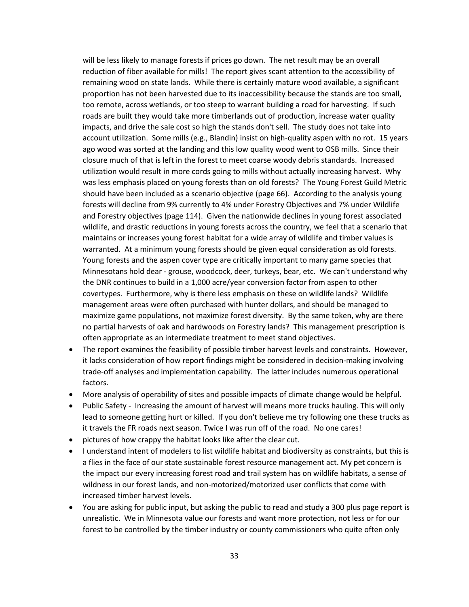will be less likely to manage forests if prices go down. The net result may be an overall reduction of fiber available for mills! The report gives scant attention to the accessibility of remaining wood on state lands. While there is certainly mature wood available, a significant proportion has not been harvested due to its inaccessibility because the stands are too small, too remote, across wetlands, or too steep to warrant building a road for harvesting. If such roads are built they would take more timberlands out of production, increase water quality impacts, and drive the sale cost so high the stands don't sell. The study does not take into account utilization. Some mills (e.g., Blandin) insist on high-quality aspen with no rot. 15 years ago wood was sorted at the landing and this low quality wood went to OSB mills. Since their closure much of that is left in the forest to meet coarse woody debris standards. Increased utilization would result in more cords going to mills without actually increasing harvest. Why was less emphasis placed on young forests than on old forests? The Young Forest Guild Metric should have been included as a scenario objective (page 66). According to the analysis young forests will decline from 9% currently to 4% under Forestry Objectives and 7% under Wildlife and Forestry objectives (page 114). Given the nationwide declines in young forest associated wildlife, and drastic reductions in young forests across the country, we feel that a scenario that maintains or increases young forest habitat for a wide array of wildlife and timber values is warranted. At a minimum young forests should be given equal consideration as old forests. Young forests and the aspen cover type are critically important to many game species that Minnesotans hold dear - grouse, woodcock, deer, turkeys, bear, etc. We can't understand why the DNR continues to build in a 1,000 acre/year conversion factor from aspen to other covertypes. Furthermore, why is there less emphasis on these on wildlife lands? Wildlife management areas were often purchased with hunter dollars, and should be managed to maximize game populations, not maximize forest diversity. By the same token, why are there no partial harvests of oak and hardwoods on Forestry lands? This management prescription is often appropriate as an intermediate treatment to meet stand objectives.

- The report examines the feasibility of possible timber harvest levels and constraints. However, it lacks consideration of how report findings might be considered in decision-making involving trade-off analyses and implementation capability. The latter includes numerous operational factors.
- More analysis of operability of sites and possible impacts of climate change would be helpful.
- Public Safety Increasing the amount of harvest will means more trucks hauling. This will only lead to someone getting hurt or killed. If you don't believe me try following one these trucks as it travels the FR roads next season. Twice I was run off of the road. No one cares!
- pictures of how crappy the habitat looks like after the clear cut.
- I understand intent of modelers to list wildlife habitat and biodiversity as constraints, but this is a flies in the face of our state sustainable forest resource management act. My pet concern is the impact our every increasing forest road and trail system has on wildlife habitats, a sense of wildness in our forest lands, and non-motorized/motorized user conflicts that come with increased timber harvest levels.
- You are asking for public input, but asking the public to read and study a 300 plus page report is unrealistic. We in Minnesota value our forests and want more protection, not less or for our forest to be controlled by the timber industry or county commissioners who quite often only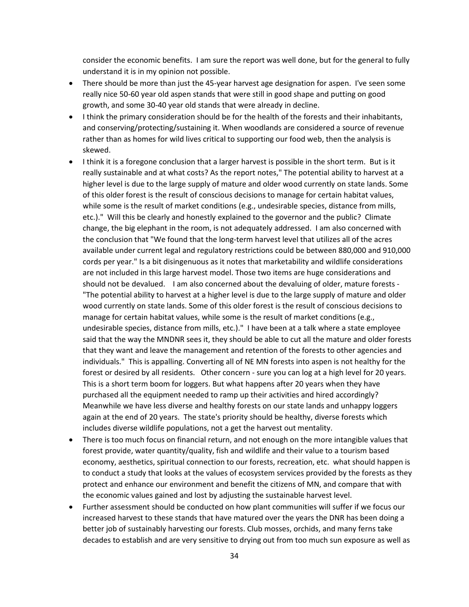consider the economic benefits. I am sure the report was well done, but for the general to fully understand it is in my opinion not possible.

- There should be more than just the 45-year harvest age designation for aspen. I've seen some really nice 50-60 year old aspen stands that were still in good shape and putting on good growth, and some 30-40 year old stands that were already in decline.
- I think the primary consideration should be for the health of the forests and their inhabitants, and conserving/protecting/sustaining it. When woodlands are considered a source of revenue rather than as homes for wild lives critical to supporting our food web, then the analysis is skewed.
- I think it is a foregone conclusion that a larger harvest is possible in the short term. But is it really sustainable and at what costs? As the report notes," The potential ability to harvest at a higher level is due to the large supply of mature and older wood currently on state lands. Some of this older forest is the result of conscious decisions to manage for certain habitat values, while some is the result of market conditions (e.g., undesirable species, distance from mills, etc.)." Will this be clearly and honestly explained to the governor and the public? Climate change, the big elephant in the room, is not adequately addressed. I am also concerned with the conclusion that "We found that the long-term harvest level that utilizes all of the acres available under current legal and regulatory restrictions could be between 880,000 and 910,000 cords per year." Is a bit disingenuous as it notes that marketability and wildlife considerations are not included in this large harvest model. Those two items are huge considerations and should not be devalued. I am also concerned about the devaluing of older, mature forests - "The potential ability to harvest at a higher level is due to the large supply of mature and older wood currently on state lands. Some of this older forest is the result of conscious decisions to manage for certain habitat values, while some is the result of market conditions (e.g., undesirable species, distance from mills, etc.)." I have been at a talk where a state employee said that the way the MNDNR sees it, they should be able to cut all the mature and older forests that they want and leave the management and retention of the forests to other agencies and individuals." This is appalling. Converting all of NE MN forests into aspen is not healthy for the forest or desired by all residents. Other concern - sure you can log at a high level for 20 years. This is a short term boom for loggers. But what happens after 20 years when they have purchased all the equipment needed to ramp up their activities and hired accordingly? Meanwhile we have less diverse and healthy forests on our state lands and unhappy loggers again at the end of 20 years. The state's priority should be healthy, diverse forests which includes diverse wildlife populations, not a get the harvest out mentality.
- There is too much focus on financial return, and not enough on the more intangible values that forest provide, water quantity/quality, fish and wildlife and their value to a tourism based economy, aesthetics, spiritual connection to our forests, recreation, etc. what should happen is to conduct a study that looks at the values of ecosystem services provided by the forests as they protect and enhance our environment and benefit the citizens of MN, and compare that with the economic values gained and lost by adjusting the sustainable harvest level.
- Further assessment should be conducted on how plant communities will suffer if we focus our increased harvest to these stands that have matured over the years the DNR has been doing a better job of sustainably harvesting our forests. Club mosses, orchids, and many ferns take decades to establish and are very sensitive to drying out from too much sun exposure as well as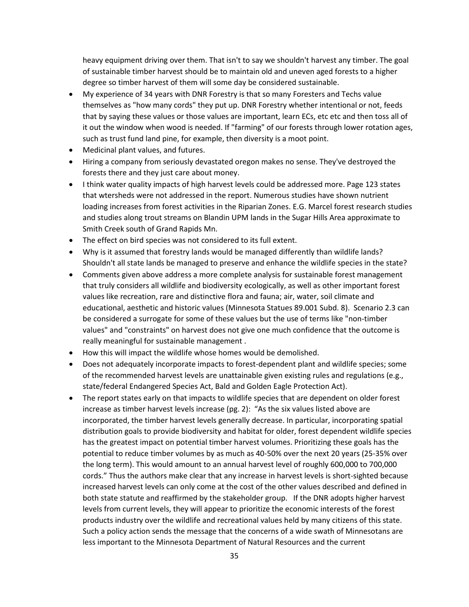heavy equipment driving over them. That isn't to say we shouldn't harvest any timber. The goal of sustainable timber harvest should be to maintain old and uneven aged forests to a higher degree so timber harvest of them will some day be considered sustainable.

- My experience of 34 years with DNR Forestry is that so many Foresters and Techs value themselves as "how many cords" they put up. DNR Forestry whether intentional or not, feeds that by saying these values or those values are important, learn ECs, etc etc and then toss all of it out the window when wood is needed. If "farming" of our forests through lower rotation ages, such as trust fund land pine, for example, then diversity is a moot point.
- Medicinal plant values, and futures.
- Hiring a company from seriously devastated oregon makes no sense. They've destroyed the forests there and they just care about money.
- I think water quality impacts of high harvest levels could be addressed more. Page 123 states that wtersheds were not addressed in the report. Numerous studies have shown nutrient loading increases from forest activities in the Riparian Zones. E.G. Marcel forest research studies and studies along trout streams on Blandin UPM lands in the Sugar Hills Area approximate to Smith Creek south of Grand Rapids Mn.
- The effect on bird species was not considered to its full extent.
- Why is it assumed that forestry lands would be managed differently than wildlife lands? Shouldn't all state lands be managed to preserve and enhance the wildlife species in the state?
- Comments given above address a more complete analysis for sustainable forest management that truly considers all wildlife and biodiversity ecologically, as well as other important forest values like recreation, rare and distinctive flora and fauna; air, water, soil climate and educational, aesthetic and historic values (Minnesota Statues 89.001 Subd. 8). Scenario 2.3 can be considered a surrogate for some of these values but the use of terms like "non-timber values" and "constraints" on harvest does not give one much confidence that the outcome is really meaningful for sustainable management .
- How this will impact the wildlife whose homes would be demolished.
- Does not adequately incorporate impacts to forest-dependent plant and wildlife species; some of the recommended harvest levels are unattainable given existing rules and regulations (e.g., state/federal Endangered Species Act, Bald and Golden Eagle Protection Act).
- The report states early on that impacts to wildlife species that are dependent on older forest increase as timber harvest levels increase (pg. 2): "As the six values listed above are incorporated, the timber harvest levels generally decrease. In particular, incorporating spatial distribution goals to provide biodiversity and habitat for older, forest dependent wildlife species has the greatest impact on potential timber harvest volumes. Prioritizing these goals has the potential to reduce timber volumes by as much as 40-50% over the next 20 years (25-35% over the long term). This would amount to an annual harvest level of roughly 600,000 to 700,000 cords." Thus the authors make clear that any increase in harvest levels is short-sighted because increased harvest levels can only come at the cost of the other values described and defined in both state statute and reaffirmed by the stakeholder group. If the DNR adopts higher harvest levels from current levels, they will appear to prioritize the economic interests of the forest products industry over the wildlife and recreational values held by many citizens of this state. Such a policy action sends the message that the concerns of a wide swath of Minnesotans are less important to the Minnesota Department of Natural Resources and the current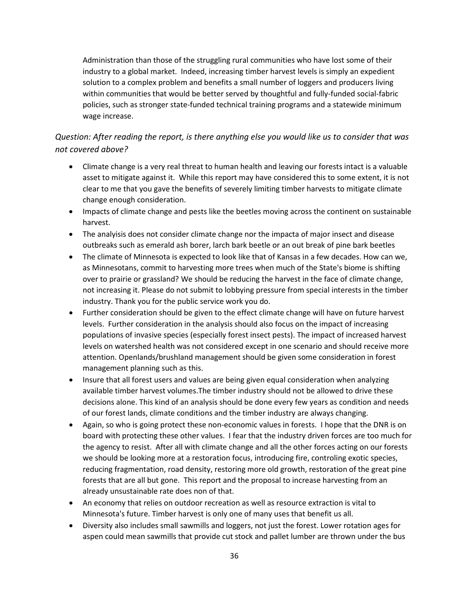Administration than those of the struggling rural communities who have lost some of their industry to a global market. Indeed, increasing timber harvest levels is simply an expedient solution to a complex problem and benefits a small number of loggers and producers living within communities that would be better served by thoughtful and fully-funded social-fabric policies, such as stronger state-funded technical training programs and a statewide minimum wage increase.

#### <span id="page-35-0"></span>*Question: After reading the report, is there anything else you would like us to consider that was not covered above?*

- Climate change is a very real threat to human health and leaving our forests intact is a valuable asset to mitigate against it. While this report may have considered this to some extent, it is not clear to me that you gave the benefits of severely limiting timber harvests to mitigate climate change enough consideration.
- Impacts of climate change and pests like the beetles moving across the continent on sustainable harvest.
- The analyisis does not consider climate change nor the impacta of major insect and disease outbreaks such as emerald ash borer, larch bark beetle or an out break of pine bark beetles
- The climate of Minnesota is expected to look like that of Kansas in a few decades. How can we, as Minnesotans, commit to harvesting more trees when much of the State's biome is shifting over to prairie or grassland? We should be reducing the harvest in the face of climate change, not increasing it. Please do not submit to lobbying pressure from special interests in the timber industry. Thank you for the public service work you do.
- Further consideration should be given to the effect climate change will have on future harvest levels. Further consideration in the analysis should also focus on the impact of increasing populations of invasive species (especially forest insect pests). The impact of increased harvest levels on watershed health was not considered except in one scenario and should receive more attention. Openlands/brushland management should be given some consideration in forest management planning such as this.
- Insure that all forest users and values are being given equal consideration when analyzing available timber harvest volumes.The timber industry should not be allowed to drive these decisions alone. This kind of an analysis should be done every few years as condition and needs of our forest lands, climate conditions and the timber industry are always changing.
- Again, so who is going protect these non-economic values in forests. I hope that the DNR is on board with protecting these other values. I fear that the industry driven forces are too much for the agency to resist. After all with climate change and all the other forces acting on our forests we should be looking more at a restoration focus, introducing fire, controling exotic species, reducing fragmentation, road density, restoring more old growth, restoration of the great pine forests that are all but gone. This report and the proposal to increase harvesting from an already unsustainable rate does non of that.
- An economy that relies on outdoor recreation as well as resource extraction is vital to Minnesota's future. Timber harvest is only one of many uses that benefit us all.
- Diversity also includes small sawmills and loggers, not just the forest. Lower rotation ages for aspen could mean sawmills that provide cut stock and pallet lumber are thrown under the bus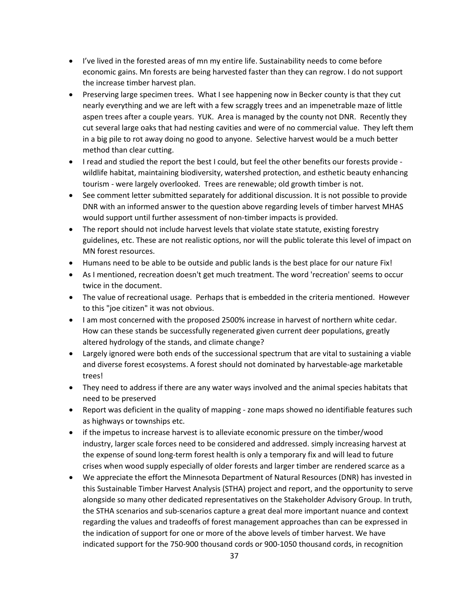- I've lived in the forested areas of mn my entire life. Sustainability needs to come before economic gains. Mn forests are being harvested faster than they can regrow. I do not support the increase timber harvest plan.
- Preserving large specimen trees. What I see happening now in Becker county is that they cut nearly everything and we are left with a few scraggly trees and an impenetrable maze of little aspen trees after a couple years. YUK. Area is managed by the county not DNR. Recently they cut several large oaks that had nesting cavities and were of no commercial value. They left them in a big pile to rot away doing no good to anyone. Selective harvest would be a much better method than clear cutting.
- I read and studied the report the best I could, but feel the other benefits our forests provide wildlife habitat, maintaining biodiversity, watershed protection, and esthetic beauty enhancing tourism - were largely overlooked. Trees are renewable; old growth timber is not.
- See comment letter submitted separately for additional discussion. It is not possible to provide DNR with an informed answer to the question above regarding levels of timber harvest MHAS would support until further assessment of non-timber impacts is provided.
- The report should not include harvest levels that violate state statute, existing forestry guidelines, etc. These are not realistic options, nor will the public tolerate this level of impact on MN forest resources.
- Humans need to be able to be outside and public lands is the best place for our nature Fix!
- As I mentioned, recreation doesn't get much treatment. The word 'recreation' seems to occur twice in the document.
- The value of recreational usage. Perhaps that is embedded in the criteria mentioned. However to this "joe citizen" it was not obvious.
- I am most concerned with the proposed 2500% increase in harvest of northern white cedar. How can these stands be successfully regenerated given current deer populations, greatly altered hydrology of the stands, and climate change?
- Largely ignored were both ends of the successional spectrum that are vital to sustaining a viable and diverse forest ecosystems. A forest should not dominated by harvestable-age marketable trees!
- They need to address if there are any water ways involved and the animal species habitats that need to be preserved
- Report was deficient in the quality of mapping zone maps showed no identifiable features such as highways or townships etc.
- if the impetus to increase harvest is to alleviate economic pressure on the timber/wood industry, larger scale forces need to be considered and addressed. simply increasing harvest at the expense of sound long-term forest health is only a temporary fix and will lead to future crises when wood supply especially of older forests and larger timber are rendered scarce as a
- We appreciate the effort the Minnesota Department of Natural Resources (DNR) has invested in this Sustainable Timber Harvest Analysis (STHA) project and report, and the opportunity to serve alongside so many other dedicated representatives on the Stakeholder Advisory Group. In truth, the STHA scenarios and sub-scenarios capture a great deal more important nuance and context regarding the values and tradeoffs of forest management approaches than can be expressed in the indication of support for one or more of the above levels of timber harvest. We have indicated support for the 750-900 thousand cords or 900-1050 thousand cords, in recognition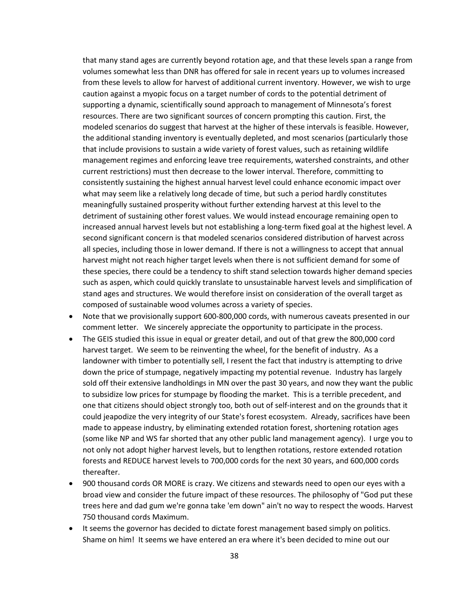that many stand ages are currently beyond rotation age, and that these levels span a range from volumes somewhat less than DNR has offered for sale in recent years up to volumes increased from these levels to allow for harvest of additional current inventory. However, we wish to urge caution against a myopic focus on a target number of cords to the potential detriment of supporting a dynamic, scientifically sound approach to management of Minnesota's forest resources. There are two significant sources of concern prompting this caution. First, the modeled scenarios do suggest that harvest at the higher of these intervals is feasible. However, the additional standing inventory is eventually depleted, and most scenarios (particularly those that include provisions to sustain a wide variety of forest values, such as retaining wildlife management regimes and enforcing leave tree requirements, watershed constraints, and other current restrictions) must then decrease to the lower interval. Therefore, committing to consistently sustaining the highest annual harvest level could enhance economic impact over what may seem like a relatively long decade of time, but such a period hardly constitutes meaningfully sustained prosperity without further extending harvest at this level to the detriment of sustaining other forest values. We would instead encourage remaining open to increased annual harvest levels but not establishing a long-term fixed goal at the highest level. A second significant concern is that modeled scenarios considered distribution of harvest across all species, including those in lower demand. If there is not a willingness to accept that annual harvest might not reach higher target levels when there is not sufficient demand for some of these species, there could be a tendency to shift stand selection towards higher demand species such as aspen, which could quickly translate to unsustainable harvest levels and simplification of stand ages and structures. We would therefore insist on consideration of the overall target as composed of sustainable wood volumes across a variety of species.

- Note that we provisionally support 600-800,000 cords, with numerous caveats presented in our comment letter. We sincerely appreciate the opportunity to participate in the process.
- The GEIS studied this issue in equal or greater detail, and out of that grew the 800,000 cord harvest target. We seem to be reinventing the wheel, for the benefit of industry. As a landowner with timber to potentially sell, I resent the fact that industry is attempting to drive down the price of stumpage, negatively impacting my potential revenue. Industry has largely sold off their extensive landholdings in MN over the past 30 years, and now they want the public to subsidize low prices for stumpage by flooding the market. This is a terrible precedent, and one that citizens should object strongly too, both out of self-interest and on the grounds that it could jeapodize the very integrity of our State's forest ecosystem. Already, sacrifices have been made to appease industry, by eliminating extended rotation forest, shortening rotation ages (some like NP and WS far shorted that any other public land management agency). I urge you to not only not adopt higher harvest levels, but to lengthen rotations, restore extended rotation forests and REDUCE harvest levels to 700,000 cords for the next 30 years, and 600,000 cords thereafter.
- 900 thousand cords OR MORE is crazy. We citizens and stewards need to open our eyes with a broad view and consider the future impact of these resources. The philosophy of "God put these trees here and dad gum we're gonna take 'em down" ain't no way to respect the woods. Harvest 750 thousand cords Maximum.
- It seems the governor has decided to dictate forest management based simply on politics. Shame on him! It seems we have entered an era where it's been decided to mine out our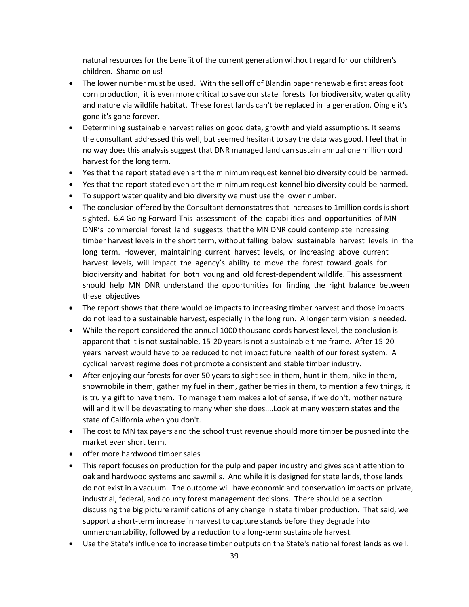natural resources for the benefit of the current generation without regard for our children's children. Shame on us!

- The lower number must be used. With the sell off of Blandin paper renewable first areas foot corn production, it is even more critical to save our state forests for biodiversity, water quality and nature via wildlife habitat. These forest lands can't be replaced in a generation. Oing e it's gone it's gone forever.
- Determining sustainable harvest relies on good data, growth and yield assumptions. It seems the consultant addressed this well, but seemed hesitant to say the data was good. I feel that in no way does this analysis suggest that DNR managed land can sustain annual one million cord harvest for the long term.
- Yes that the report stated even art the minimum request kennel bio diversity could be harmed.
- Yes that the report stated even art the minimum request kennel bio diversity could be harmed.
- To support water quality and bio diversity we must use the lower number.
- The conclusion offered by the Consultant demonstatres that increases to 1 million cords is short sighted. 6.4 Going Forward This assessment of the capabilities and opportunities of MN DNR's commercial forest land suggests that the MN DNR could contemplate increasing timber harvest levels in the short term, without falling below sustainable harvest levels in the long term. However, maintaining current harvest levels, or increasing above current harvest levels, will impact the agency's ability to move the forest toward goals for biodiversity and habitat for both young and old forest-dependent wildlife. This assessment should help MN DNR understand the opportunities for finding the right balance between these objectives
- The report shows that there would be impacts to increasing timber harvest and those impacts do not lead to a sustainable harvest, especially in the long run. A longer term vision is needed.
- While the report considered the annual 1000 thousand cords harvest level, the conclusion is apparent that it is not sustainable, 15-20 years is not a sustainable time frame. After 15-20 years harvest would have to be reduced to not impact future health of our forest system. A cyclical harvest regime does not promote a consistent and stable timber industry.
- After enjoying our forests for over 50 years to sight see in them, hunt in them, hike in them, snowmobile in them, gather my fuel in them, gather berries in them, to mention a few things, it is truly a gift to have them. To manage them makes a lot of sense, if we don't, mother nature will and it will be devastating to many when she does....Look at many western states and the state of California when you don't.
- The cost to MN tax payers and the school trust revenue should more timber be pushed into the market even short term.
- offer more hardwood timber sales
- This report focuses on production for the pulp and paper industry and gives scant attention to oak and hardwood systems and sawmills. And while it is designed for state lands, those lands do not exist in a vacuum. The outcome will have economic and conservation impacts on private, industrial, federal, and county forest management decisions. There should be a section discussing the big picture ramifications of any change in state timber production. That said, we support a short-term increase in harvest to capture stands before they degrade into unmerchantability, followed by a reduction to a long-term sustainable harvest.
- Use the State's influence to increase timber outputs on the State's national forest lands as well.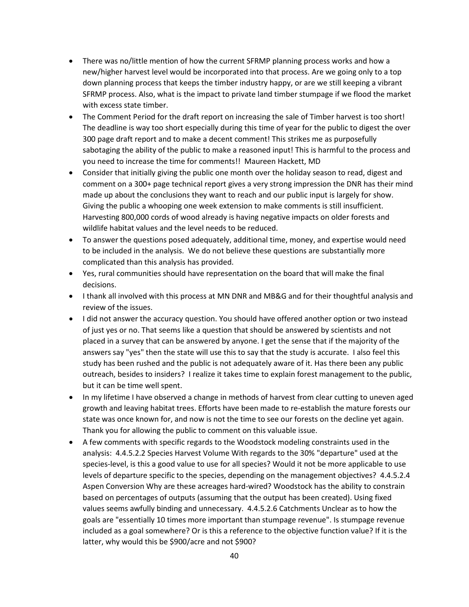- There was no/little mention of how the current SFRMP planning process works and how a new/higher harvest level would be incorporated into that process. Are we going only to a top down planning process that keeps the timber industry happy, or are we still keeping a vibrant SFRMP process. Also, what is the impact to private land timber stumpage if we flood the market with excess state timber.
- The Comment Period for the draft report on increasing the sale of Timber harvest is too short! The deadline is way too short especially during this time of year for the public to digest the over 300 page draft report and to make a decent comment! This strikes me as purposefully sabotaging the ability of the public to make a reasoned input! This is harmful to the process and you need to increase the time for comments!! Maureen Hackett, MD
- Consider that initially giving the public one month over the holiday season to read, digest and comment on a 300+ page technical report gives a very strong impression the DNR has their mind made up about the conclusions they want to reach and our public input is largely for show. Giving the public a whooping one week extension to make comments is still insufficient. Harvesting 800,000 cords of wood already is having negative impacts on older forests and wildlife habitat values and the level needs to be reduced.
- To answer the questions posed adequately, additional time, money, and expertise would need to be included in the analysis. We do not believe these questions are substantially more complicated than this analysis has provided.
- Yes, rural communities should have representation on the board that will make the final decisions.
- I thank all involved with this process at MN DNR and MB&G and for their thoughtful analysis and review of the issues.
- I did not answer the accuracy question. You should have offered another option or two instead of just yes or no. That seems like a question that should be answered by scientists and not placed in a survey that can be answered by anyone. I get the sense that if the majority of the answers say "yes" then the state will use this to say that the study is accurate. I also feel this study has been rushed and the public is not adequately aware of it. Has there been any public outreach, besides to insiders? I realize it takes time to explain forest management to the public, but it can be time well spent.
- In my lifetime I have observed a change in methods of harvest from clear cutting to uneven aged growth and leaving habitat trees. Efforts have been made to re-establish the mature forests our state was once known for, and now is not the time to see our forests on the decline yet again. Thank you for allowing the public to comment on this valuable issue.
- A few comments with specific regards to the Woodstock modeling constraints used in the analysis: 4.4.5.2.2 Species Harvest Volume With regards to the 30% "departure" used at the species-level, is this a good value to use for all species? Would it not be more applicable to use levels of departure specific to the species, depending on the management objectives? 4.4.5.2.4 Aspen Conversion Why are these acreages hard-wired? Woodstock has the ability to constrain based on percentages of outputs (assuming that the output has been created). Using fixed values seems awfully binding and unnecessary. 4.4.5.2.6 Catchments Unclear as to how the goals are "essentially 10 times more important than stumpage revenue". Is stumpage revenue included as a goal somewhere? Or is this a reference to the objective function value? If it is the latter, why would this be \$900/acre and not \$900?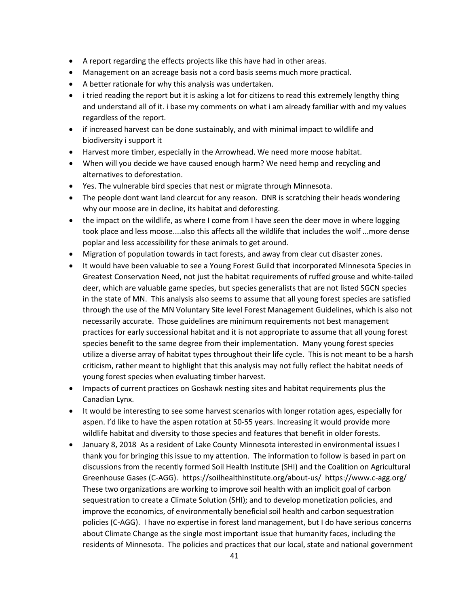- A report regarding the effects projects like this have had in other areas.
- Management on an acreage basis not a cord basis seems much more practical.
- A better rationale for why this analysis was undertaken.
- i tried reading the report but it is asking a lot for citizens to read this extremely lengthy thing and understand all of it. i base my comments on what i am already familiar with and my values regardless of the report.
- if increased harvest can be done sustainably, and with minimal impact to wildlife and biodiversity i support it
- Harvest more timber, especially in the Arrowhead. We need more moose habitat.
- When will you decide we have caused enough harm? We need hemp and recycling and alternatives to deforestation.
- Yes. The vulnerable bird species that nest or migrate through Minnesota.
- The people dont want land clearcut for any reason. DNR is scratching their heads wondering why our moose are in decline, its habitat and deforesting.
- the impact on the wildlife, as where I come from I have seen the deer move in where logging took place and less moose....also this affects all the wildlife that includes the wolf ...more dense poplar and less accessibility for these animals to get around.
- Migration of population towards in tact forests, and away from clear cut disaster zones.
- It would have been valuable to see a Young Forest Guild that incorporated Minnesota Species in Greatest Conservation Need, not just the habitat requirements of ruffed grouse and white-tailed deer, which are valuable game species, but species generalists that are not listed SGCN species in the state of MN. This analysis also seems to assume that all young forest species are satisfied through the use of the MN Voluntary Site level Forest Management Guidelines, which is also not necessarily accurate. Those guidelines are minimum requirements not best management practices for early successional habitat and it is not appropriate to assume that all young forest species benefit to the same degree from their implementation. Many young forest species utilize a diverse array of habitat types throughout their life cycle. This is not meant to be a harsh criticism, rather meant to highlight that this analysis may not fully reflect the habitat needs of young forest species when evaluating timber harvest.
- Impacts of current practices on Goshawk nesting sites and habitat requirements plus the Canadian Lynx.
- It would be interesting to see some harvest scenarios with longer rotation ages, especially for aspen. I'd like to have the aspen rotation at 50-55 years. Increasing it would provide more wildlife habitat and diversity to those species and features that benefit in older forests.
- January 8, 2018 As a resident of Lake County Minnesota interested in environmental issues I thank you for bringing this issue to my attention. The information to follow is based in part on discussions from the recently formed Soil Health Institute (SHI) and the Coalition on Agricultural Greenhouse Gases (C-AGG). https://soilhealthinstitute.org/about-us/ https://www.c-agg.org/ These two organizations are working to improve soil health with an implicit goal of carbon sequestration to create a Climate Solution (SHI); and to develop monetization policies, and improve the economics, of environmentally beneficial soil health and carbon sequestration policies (C-AGG). I have no expertise in forest land management, but I do have serious concerns about Climate Change as the single most important issue that humanity faces, including the residents of Minnesota. The policies and practices that our local, state and national government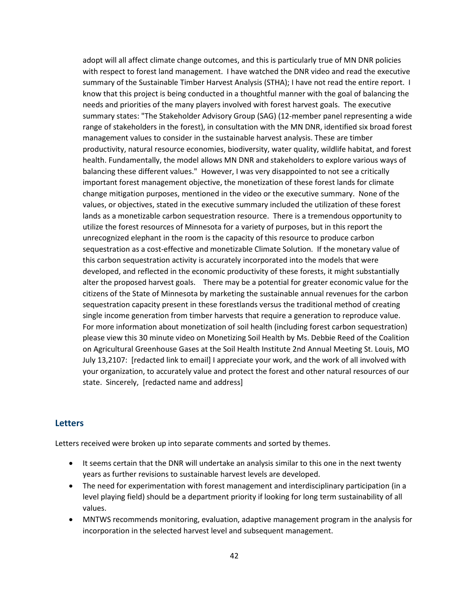adopt will all affect climate change outcomes, and this is particularly true of MN DNR policies with respect to forest land management. I have watched the DNR video and read the executive summary of the Sustainable Timber Harvest Analysis (STHA); I have not read the entire report. I know that this project is being conducted in a thoughtful manner with the goal of balancing the needs and priorities of the many players involved with forest harvest goals. The executive summary states: "The Stakeholder Advisory Group (SAG) (12-member panel representing a wide range of stakeholders in the forest), in consultation with the MN DNR, identified six broad forest management values to consider in the sustainable harvest analysis. These are timber productivity, natural resource economies, biodiversity, water quality, wildlife habitat, and forest health. Fundamentally, the model allows MN DNR and stakeholders to explore various ways of balancing these different values." However, I was very disappointed to not see a critically important forest management objective, the monetization of these forest lands for climate change mitigation purposes, mentioned in the video or the executive summary. None of the values, or objectives, stated in the executive summary included the utilization of these forest lands as a monetizable carbon sequestration resource. There is a tremendous opportunity to utilize the forest resources of Minnesota for a variety of purposes, but in this report the unrecognized elephant in the room is the capacity of this resource to produce carbon sequestration as a cost-effective and monetizable Climate Solution. If the monetary value of this carbon sequestration activity is accurately incorporated into the models that were developed, and reflected in the economic productivity of these forests, it might substantially alter the proposed harvest goals. There may be a potential for greater economic value for the citizens of the State of Minnesota by marketing the sustainable annual revenues for the carbon sequestration capacity present in these forestlands versus the traditional method of creating single income generation from timber harvests that require a generation to reproduce value. For more information about monetization of soil health (including forest carbon sequestration) please view this 30 minute video on Monetizing Soil Health by Ms. Debbie Reed of the Coalition on Agricultural Greenhouse Gases at the Soil Health Institute 2nd Annual Meeting St. Louis, MO July 13,2107: [redacted link to email] I appreciate your work, and the work of all involved with your organization, to accurately value and protect the forest and other natural resources of our state. Sincerely, [redacted name and address]

#### <span id="page-41-0"></span>**Letters**

Letters received were broken up into separate comments and sorted by themes.

- It seems certain that the DNR will undertake an analysis similar to this one in the next twenty years as further revisions to sustainable harvest levels are developed.
- The need for experimentation with forest management and interdisciplinary participation (in a level playing field) should be a department priority if looking for long term sustainability of all values.
- MNTWS recommends monitoring, evaluation, adaptive management program in the analysis for incorporation in the selected harvest level and subsequent management.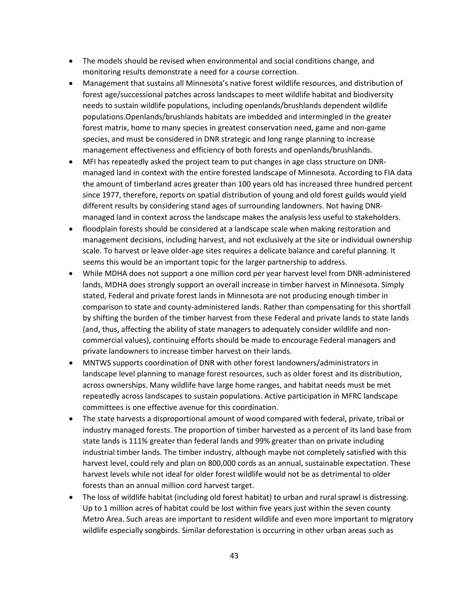- The models should be revised when environmental and social conditions change, and monitoring results demonstrate a need for a course correction.
- Management that sustains all Minnesota's native forest wildlife resources, and distribution of forest age/successional patches across landscapes to meet wildlife habitat and biodiversity needs to sustain wildlife populations, including openlands/brushlands dependent wildlife populations.Openlands/brushlands habitats are imbedded and intermingled in the greater forest matrix, home to many species in greatest conservation need, game and non-game species, and must be considered in DNR strategic and long range planning to increase management effectiveness and efficiency of both forests and openlands/brushlands.
- MFI has repeatedly asked the project team to put changes in age class structure on DNRmanaged land in context with the entire forested landscape of Minnesota. According to FIA data the amount of timberland acres greater than 100 years old has increased three hundred percent since 1977, therefore, reports on spatial distribution of young and old forest guilds would yield different results by considering stand ages of surrounding landowners. Not having DNRmanaged land in context across the landscape makes the analysis less useful to stakeholders.
- floodplain forests should be considered at a landscape scale when making restoration and management decisions, including harvest, and not exclusively at the site or individual ownership scale. To harvest or leave older-age sites requires a delicate balance and careful planning. It seems this would be an important topic for the larger partnership to address.
- While MDHA does not support a one million cord per year harvest level from DNR-administered lands, MDHA does strongly support an overall increase in timber harvest in Minnesota. Simply stated, Federal and private forest lands in Minnesota are not producing enough timber in comparison to state and county-administered lands. Rather than compensating for this shortfall by shifting the burden of the timber harvest from these Federal and private lands to state lands (and, thus, affecting the ability of state managers to adequately consider wildlife and noncommercial values), continuing efforts should be made to encourage Federal managers and private landowners to increase timber harvest on their lands.
- MNTWS supports coordination of DNR with other forest landowners/administrators in landscape level planning to manage forest resources, such as older forest and its distribution, across ownerships. Many wildlife have large home ranges, and habitat needs must be met repeatedly across landscapes to sustain populations. Active participation in MFRC landscape committees is one effective avenue for this coordination.
- The state harvests a disproportional amount of wood compared with federal, private, tribal or industry managed forests. The proportion of timber harvested as a percent of its land base from state lands is 111% greater than federal lands and 99% greater than on private including industrial timber lands. The timber industry, although maybe not completely satisfied with this harvest level, could rely and plan on 800,000 cords as an annual, sustainable expectation. These harvest levels while not ideal for older forest wildlife would not be as detrimental to older forests than an annual million cord harvest target.
- The loss of wildlife habitat (including old forest habitat) to urban and rural sprawl is distressing. Up to 1 million acres of habitat could be lost within five years just within the seven county Metro Area. Such areas are important to resident wildlife and even more important to migratory wildlife especially songbirds. Similar deforestation is occurring in other urban areas such as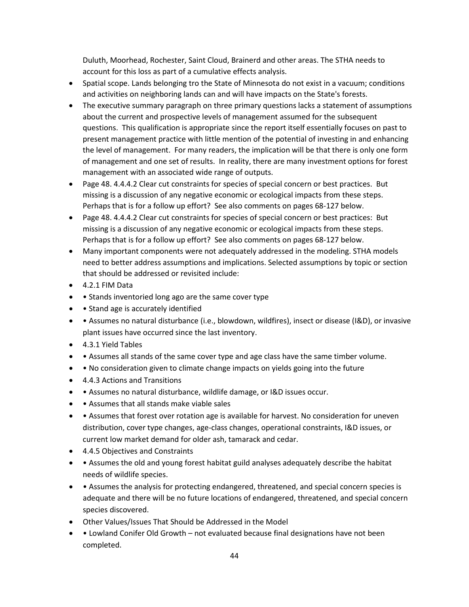Duluth, Moorhead, Rochester, Saint Cloud, Brainerd and other areas. The STHA needs to account for this loss as part of a cumulative effects analysis.

- Spatial scope. Lands belonging tro the State of Minnesota do not exist in a vacuum; conditions and activities on neighboring lands can and will have impacts on the State's forests.
- The executive summary paragraph on three primary questions lacks a statement of assumptions about the current and prospective levels of management assumed for the subsequent questions. This qualification is appropriate since the report itself essentially focuses on past to present management practice with little mention of the potential of investing in and enhancing the level of management. For many readers, the implication will be that there is only one form of management and one set of results. In reality, there are many investment options for forest management with an associated wide range of outputs.
- Page 48. 4.4.4.2 Clear cut constraints for species of special concern or best practices. But missing is a discussion of any negative economic or ecological impacts from these steps. Perhaps that is for a follow up effort? See also comments on pages 68-127 below.
- Page 48. 4.4.4.2 Clear cut constraints for species of special concern or best practices: But missing is a discussion of any negative economic or ecological impacts from these steps. Perhaps that is for a follow up effort? See also comments on pages 68-127 below.
- Many important components were not adequately addressed in the modeling. STHA models need to better address assumptions and implications. Selected assumptions by topic or section that should be addressed or revisited include:
- 4.2.1 FIM Data
- • Stands inventoried long ago are the same cover type
- • Stand age is accurately identified
- • Assumes no natural disturbance (i.e., blowdown, wildfires), insect or disease (I&D), or invasive plant issues have occurred since the last inventory.
- 4.3.1 Yield Tables
- Assumes all stands of the same cover type and age class have the same timber volume.
- No consideration given to climate change impacts on yields going into the future
- 4.4.3 Actions and Transitions
- • Assumes no natural disturbance, wildlife damage, or I&D issues occur.
- • Assumes that all stands make viable sales
- Assumes that forest over rotation age is available for harvest. No consideration for uneven distribution, cover type changes, age-class changes, operational constraints, I&D issues, or current low market demand for older ash, tamarack and cedar.
- 4.4.5 Objectives and Constraints
- Assumes the old and young forest habitat guild analyses adequately describe the habitat needs of wildlife species.
- Assumes the analysis for protecting endangered, threatened, and special concern species is adequate and there will be no future locations of endangered, threatened, and special concern species discovered.
- Other Values/Issues That Should be Addressed in the Model
- Lowland Conifer Old Growth not evaluated because final designations have not been completed.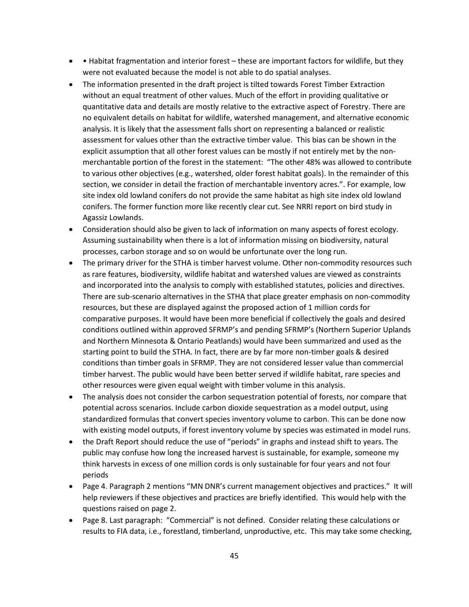- Habitat fragmentation and interior forest these are important factors for wildlife, but they were not evaluated because the model is not able to do spatial analyses.
- The information presented in the draft project is tilted towards Forest Timber Extraction without an equal treatment of other values. Much of the effort in providing qualitative or quantitative data and details are mostly relative to the extractive aspect of Forestry. There are no equivalent details on habitat for wildlife, watershed management, and alternative economic analysis. It is likely that the assessment falls short on representing a balanced or realistic assessment for values other than the extractive timber value. This bias can be shown in the explicit assumption that all other forest values can be mostly if not entirely met by the nonmerchantable portion of the forest in the statement: "The other 48% was allowed to contribute to various other objectives (e.g., watershed, older forest habitat goals). In the remainder of this section, we consider in detail the fraction of merchantable inventory acres.". For example, low site index old lowland conifers do not provide the same habitat as high site index old lowland conifers. The former function more like recently clear cut. See NRRI report on bird study in Agassiz Lowlands.
- Consideration should also be given to lack of information on many aspects of forest ecology. Assuming sustainability when there is a lot of information missing on biodiversity, natural processes, carbon storage and so on would be unfortunate over the long run.
- The primary driver for the STHA is timber harvest volume. Other non-commodity resources such as rare features, biodiversity, wildlife habitat and watershed values are viewed as constraints and incorporated into the analysis to comply with established statutes, policies and directives. There are sub-scenario alternatives in the STHA that place greater emphasis on non-commodity resources, but these are displayed against the proposed action of 1 million cords for comparative purposes. It would have been more beneficial if collectively the goals and desired conditions outlined within approved SFRMP's and pending SFRMP's (Northern Superior Uplands and Northern Minnesota & Ontario Peatlands) would have been summarized and used as the starting point to build the STHA. In fact, there are by far more non-timber goals & desired conditions than timber goals in SFRMP. They are not considered lesser value than commercial timber harvest. The public would have been better served if wildlife habitat, rare species and other resources were given equal weight with timber volume in this analysis.
- The analysis does not consider the carbon sequestration potential of forests, nor compare that potential across scenarios. Include carbon dioxide sequestration as a model output, using standardized formulas that convert species inventory volume to carbon. This can be done now with existing model outputs, if forest inventory volume by species was estimated in model runs.
- the Draft Report should reduce the use of "periods" in graphs and instead shift to years. The public may confuse how long the increased harvest is sustainable, for example, someone my think harvests in excess of one million cords is only sustainable for four years and not four periods
- Page 4. Paragraph 2 mentions "MN DNR's current management objectives and practices." It will help reviewers if these objectives and practices are briefly identified. This would help with the questions raised on page 2.
- Page 8. Last paragraph: "Commercial" is not defined. Consider relating these calculations or results to FIA data, i.e., forestland, timberland, unproductive, etc. This may take some checking,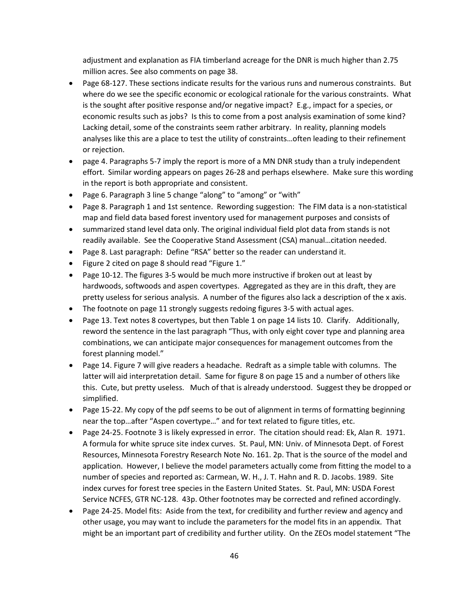adjustment and explanation as FIA timberland acreage for the DNR is much higher than 2.75 million acres. See also comments on page 38.

- Page 68-127. These sections indicate results for the various runs and numerous constraints. But where do we see the specific economic or ecological rationale for the various constraints. What is the sought after positive response and/or negative impact? E.g., impact for a species, or economic results such as jobs? Is this to come from a post analysis examination of some kind? Lacking detail, some of the constraints seem rather arbitrary. In reality, planning models analyses like this are a place to test the utility of constraints…often leading to their refinement or rejection.
- page 4. Paragraphs 5-7 imply the report is more of a MN DNR study than a truly independent effort. Similar wording appears on pages 26-28 and perhaps elsewhere. Make sure this wording in the report is both appropriate and consistent.
- Page 6. Paragraph 3 line 5 change "along" to "among" or "with"
- Page 8. Paragraph 1 and 1st sentence. Rewording suggestion: The FIM data is a non-statistical map and field data based forest inventory used for management purposes and consists of
- summarized stand level data only. The original individual field plot data from stands is not readily available. See the Cooperative Stand Assessment (CSA) manual…citation needed.
- Page 8. Last paragraph: Define "RSA" better so the reader can understand it.
- Figure 2 cited on page 8 should read "Figure 1."
- Page 10-12. The figures 3-5 would be much more instructive if broken out at least by hardwoods, softwoods and aspen covertypes. Aggregated as they are in this draft, they are pretty useless for serious analysis. A number of the figures also lack a description of the x axis.
- The footnote on page 11 strongly suggests redoing figures 3-5 with actual ages.
- Page 13. Text notes 8 covertypes, but then Table 1 on page 14 lists 10. Clarify. Additionally, reword the sentence in the last paragraph "Thus, with only eight cover type and planning area combinations, we can anticipate major consequences for management outcomes from the forest planning model."
- Page 14. Figure 7 will give readers a headache. Redraft as a simple table with columns. The latter will aid interpretation detail. Same for figure 8 on page 15 and a number of others like this. Cute, but pretty useless. Much of that is already understood. Suggest they be dropped or simplified.
- Page 15-22. My copy of the pdf seems to be out of alignment in terms of formatting beginning near the top…after "Aspen covertype…" and for text related to figure titles, etc.
- Page 24-25. Footnote 3 is likely expressed in error. The citation should read: Ek, Alan R. 1971. A formula for white spruce site index curves. St. Paul, MN: Univ. of Minnesota Dept. of Forest Resources, Minnesota Forestry Research Note No. 161. 2p. That is the source of the model and application. However, I believe the model parameters actually come from fitting the model to a number of species and reported as: Carmean, W. H., J. T. Hahn and R. D. Jacobs. 1989. Site index curves for forest tree species in the Eastern United States. St. Paul, MN: USDA Forest Service NCFES, GTR NC-128. 43p. Other footnotes may be corrected and refined accordingly.
- Page 24-25. Model fits: Aside from the text, for credibility and further review and agency and other usage, you may want to include the parameters for the model fits in an appendix. That might be an important part of credibility and further utility. On the ZEOs model statement "The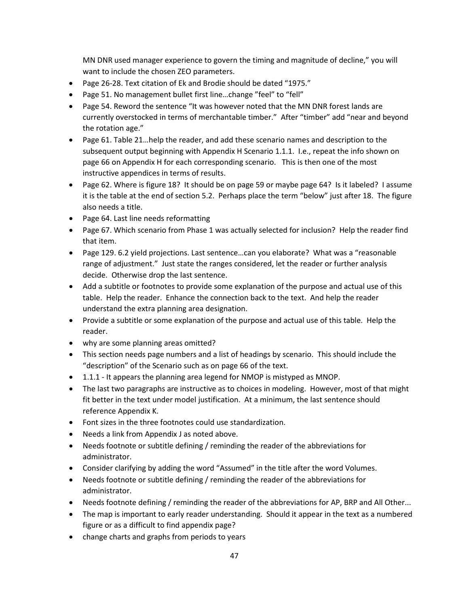MN DNR used manager experience to govern the timing and magnitude of decline," you will want to include the chosen ZEO parameters.

- Page 26-28. Text citation of Ek and Brodie should be dated "1975."
- Page 51. No management bullet first line…change "feel" to "fell"
- Page 54. Reword the sentence "It was however noted that the MN DNR forest lands are currently overstocked in terms of merchantable timber." After "timber" add "near and beyond the rotation age."
- Page 61. Table 21…help the reader, and add these scenario names and description to the subsequent output beginning with Appendix H Scenario 1.1.1. I.e., repeat the info shown on page 66 on Appendix H for each corresponding scenario. This is then one of the most instructive appendices in terms of results.
- Page 62. Where is figure 18? It should be on page 59 or maybe page 64? Is it labeled? I assume it is the table at the end of section 5.2. Perhaps place the term "below" just after 18. The figure also needs a title.
- Page 64. Last line needs reformatting
- Page 67. Which scenario from Phase 1 was actually selected for inclusion? Help the reader find that item.
- Page 129. 6.2 yield projections. Last sentence…can you elaborate? What was a "reasonable range of adjustment." Just state the ranges considered, let the reader or further analysis decide. Otherwise drop the last sentence.
- Add a subtitle or footnotes to provide some explanation of the purpose and actual use of this table. Help the reader. Enhance the connection back to the text. And help the reader understand the extra planning area designation.
- Provide a subtitle or some explanation of the purpose and actual use of this table. Help the reader.
- why are some planning areas omitted?
- This section needs page numbers and a list of headings by scenario. This should include the "description" of the Scenario such as on page 66 of the text.
- 1.1.1 It appears the planning area legend for NMOP is mistyped as MNOP.
- The last two paragraphs are instructive as to choices in modeling. However, most of that might fit better in the text under model justification. At a minimum, the last sentence should reference Appendix K.
- Font sizes in the three footnotes could use standardization.
- Needs a link from Appendix J as noted above.
- Needs footnote or subtitle defining / reminding the reader of the abbreviations for administrator.
- Consider clarifying by adding the word "Assumed" in the title after the word Volumes.
- Needs footnote or subtitle defining / reminding the reader of the abbreviations for administrator.
- Needs footnote defining / reminding the reader of the abbreviations for AP, BRP and All Other...
- The map is important to early reader understanding. Should it appear in the text as a numbered figure or as a difficult to find appendix page?
- change charts and graphs from periods to years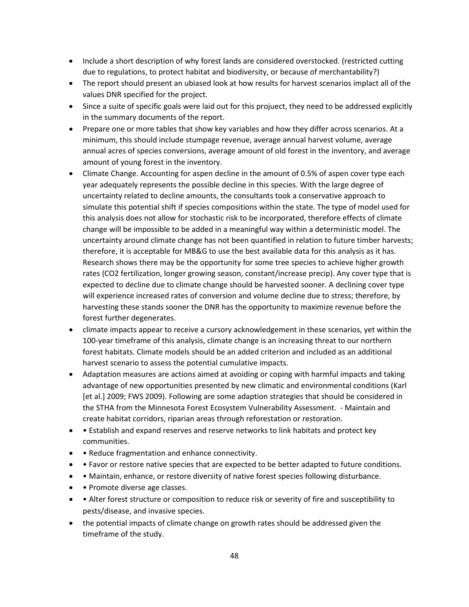- Include a short description of why forest lands are considered overstocked. (restricted cutting due to regulations, to protect habitat and biodiversity, or because of merchantability?)
- The report should present an ubiased look at how results for harvest scenarios implact all of the values DNR specified for the project.
- Since a suite of specific goals were laid out for this projuect, they need to be addressed explicitly in the summary documents of the report.
- Prepare one or more tables that show key variables and how they differ across scenarios. At a minimum, this should include stumpage revenue, average annual harvest volume, average annual acres of species conversions, average amount of old forest in the inventory, and average amount of young forest in the inventory.
- Climate Change. Accounting for aspen decline in the amount of 0.5% of aspen cover type each year adequately represents the possible decline in this species. With the large degree of uncertainty related to decline amounts, the consultants took a conservative approach to simulate this potential shift if species compositions within the state. The type of model used for this analysis does not allow for stochastic risk to be incorporated, therefore effects of climate change will be impossible to be added in a meaningful way within a deterministic model. The uncertainty around climate change has not been quantified in relation to future timber harvests; therefore, it is acceptable for MB&G to use the best available data for this analysis as it has. Research shows there may be the opportunity for some tree species to achieve higher growth rates (CO2 fertilization, longer growing season, constant/increase precip). Any cover type that is expected to decline due to climate change should be harvested sooner. A declining cover type will experience increased rates of conversion and volume decline due to stress; therefore, by harvesting these stands sooner the DNR has the opportunity to maximize revenue before the forest further degenerates.
- climate impacts appear to receive a cursory acknowledgement in these scenarios, yet within the 100-year timeframe of this analysis, climate change is an increasing threat to our northern forest habitats. Climate models should be an added criterion and included as an additional harvest scenario to assess the potential cumulative impacts.
- Adaptation measures are actions aimed at avoiding or coping with harmful impacts and taking advantage of new opportunities presented by new climatic and environmental conditions (Karl [et al.] 2009; FWS 2009). Following are some adaption strategies that should be considered in the STHA from the Minnesota Forest Ecosystem Vulnerability Assessment. - Maintain and create habitat corridors, riparian areas through reforestation or restoration.
- Establish and expand reserves and reserve networks to link habitats and protect key communities.
- • Reduce fragmentation and enhance connectivity.
- Favor or restore native species that are expected to be better adapted to future conditions.
- Maintain, enhance, or restore diversity of native forest species following disturbance.
- • Promote diverse age classes.
- • Alter forest structure or composition to reduce risk or severity of fire and susceptibility to pests/disease, and invasive species.
- the potential impacts of climate change on growth rates should be addressed given the timeframe of the study.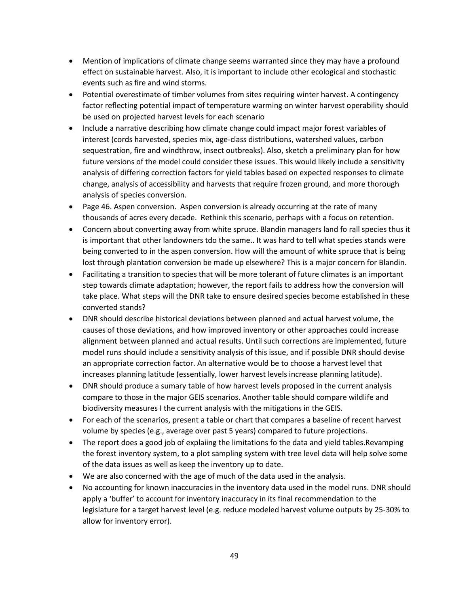- Mention of implications of climate change seems warranted since they may have a profound effect on sustainable harvest. Also, it is important to include other ecological and stochastic events such as fire and wind storms.
- Potential overestimate of timber volumes from sites requiring winter harvest. A contingency factor reflecting potential impact of temperature warming on winter harvest operability should be used on projected harvest levels for each scenario
- Include a narrative describing how climate change could impact major forest variables of interest (cords harvested, species mix, age-class distributions, watershed values, carbon sequestration, fire and windthrow, insect outbreaks). Also, sketch a preliminary plan for how future versions of the model could consider these issues. This would likely include a sensitivity analysis of differing correction factors for yield tables based on expected responses to climate change, analysis of accessibility and harvests that require frozen ground, and more thorough analysis of species conversion.
- Page 46. Aspen conversion. Aspen conversion is already occurring at the rate of many thousands of acres every decade. Rethink this scenario, perhaps with a focus on retention.
- Concern about converting away from white spruce. Blandin managers land fo rall species thus it is important that other landowners tdo the same.. It was hard to tell what species stands were being converted to in the aspen conversion. How will the amount of white spruce that is being lost through plantation conversion be made up elsewhere? This is a major concern for Blandin.
- Facilitating a transition to species that will be more tolerant of future climates is an important step towards climate adaptation; however, the report fails to address how the conversion will take place. What steps will the DNR take to ensure desired species become established in these converted stands?
- DNR should describe historical deviations between planned and actual harvest volume, the causes of those deviations, and how improved inventory or other approaches could increase alignment between planned and actual results. Until such corrections are implemented, future model runs should include a sensitivity analysis of this issue, and if possible DNR should devise an appropriate correction factor. An alternative would be to choose a harvest level that increases planning latitude (essentially, lower harvest levels increase planning latitude).
- DNR should produce a sumary table of how harvest levels proposed in the current analysis compare to those in the major GEIS scenarios. Another table should compare wildlife and biodiversity measures I the current analysis with the mitigations in the GEIS.
- For each of the scenarios, present a table or chart that compares a baseline of recent harvest volume by species (e.g., average over past 5 years) compared to future projections.
- The report does a good job of explaiing the limitations fo the data and yield tables.Revamping the forest inventory system, to a plot sampling system with tree level data will help solve some of the data issues as well as keep the inventory up to date.
- We are also concerned with the age of much of the data used in the analysis.
- No accounting for known inaccuracies in the inventory data used in the model runs. DNR should apply a 'buffer' to account for inventory inaccuracy in its final recommendation to the legislature for a target harvest level (e.g. reduce modeled harvest volume outputs by 25-30% to allow for inventory error).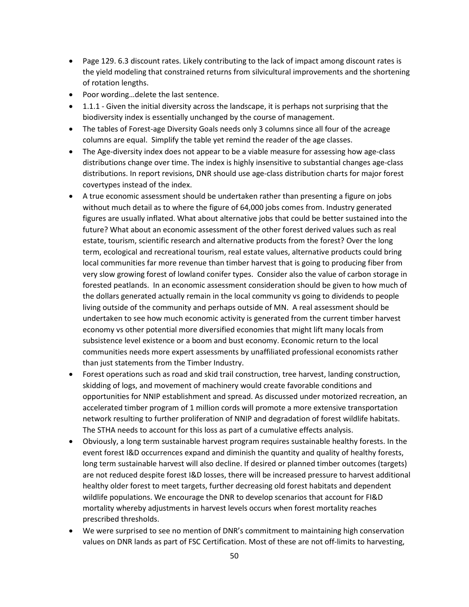- Page 129. 6.3 discount rates. Likely contributing to the lack of impact among discount rates is the yield modeling that constrained returns from silvicultural improvements and the shortening of rotation lengths.
- Poor wording…delete the last sentence.
- 1.1.1 Given the initial diversity across the landscape, it is perhaps not surprising that the biodiversity index is essentially unchanged by the course of management.
- The tables of Forest-age Diversity Goals needs only 3 columns since all four of the acreage columns are equal. Simplify the table yet remind the reader of the age classes.
- The Age-diversity index does not appear to be a viable measure for assessing how age-class distributions change over time. The index is highly insensitive to substantial changes age-class distributions. In report revisions, DNR should use age-class distribution charts for major forest covertypes instead of the index.
- A true economic assessment should be undertaken rather than presenting a figure on jobs without much detail as to where the figure of 64,000 jobs comes from. Industry generated figures are usually inflated. What about alternative jobs that could be better sustained into the future? What about an economic assessment of the other forest derived values such as real estate, tourism, scientific research and alternative products from the forest? Over the long term, ecological and recreational tourism, real estate values, alternative products could bring local communities far more revenue than timber harvest that is going to producing fiber from very slow growing forest of lowland conifer types. Consider also the value of carbon storage in forested peatlands. In an economic assessment consideration should be given to how much of the dollars generated actually remain in the local community vs going to dividends to people living outside of the community and perhaps outside of MN. A real assessment should be undertaken to see how much economic activity is generated from the current timber harvest economy vs other potential more diversified economies that might lift many locals from subsistence level existence or a boom and bust economy. Economic return to the local communities needs more expert assessments by unaffiliated professional economists rather than just statements from the Timber Industry.
- Forest operations such as road and skid trail construction, tree harvest, landing construction, skidding of logs, and movement of machinery would create favorable conditions and opportunities for NNIP establishment and spread. As discussed under motorized recreation, an accelerated timber program of 1 million cords will promote a more extensive transportation network resulting to further proliferation of NNIP and degradation of forest wildlife habitats. The STHA needs to account for this loss as part of a cumulative effects analysis.
- Obviously, a long term sustainable harvest program requires sustainable healthy forests. In the event forest I&D occurrences expand and diminish the quantity and quality of healthy forests, long term sustainable harvest will also decline. If desired or planned timber outcomes (targets) are not reduced despite forest I&D losses, there will be increased pressure to harvest additional healthy older forest to meet targets, further decreasing old forest habitats and dependent wildlife populations. We encourage the DNR to develop scenarios that account for FI&D mortality whereby adjustments in harvest levels occurs when forest mortality reaches prescribed thresholds.
- We were surprised to see no mention of DNR's commitment to maintaining high conservation values on DNR lands as part of FSC Certification. Most of these are not off-limits to harvesting,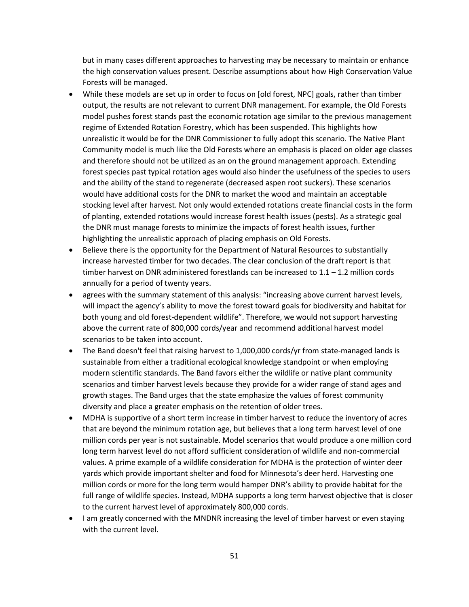but in many cases different approaches to harvesting may be necessary to maintain or enhance the high conservation values present. Describe assumptions about how High Conservation Value Forests will be managed.

- While these models are set up in order to focus on [old forest, NPC] goals, rather than timber output, the results are not relevant to current DNR management. For example, the Old Forests model pushes forest stands past the economic rotation age similar to the previous management regime of Extended Rotation Forestry, which has been suspended. This highlights how unrealistic it would be for the DNR Commissioner to fully adopt this scenario. The Native Plant Community model is much like the Old Forests where an emphasis is placed on older age classes and therefore should not be utilized as an on the ground management approach. Extending forest species past typical rotation ages would also hinder the usefulness of the species to users and the ability of the stand to regenerate (decreased aspen root suckers). These scenarios would have additional costs for the DNR to market the wood and maintain an acceptable stocking level after harvest. Not only would extended rotations create financial costs in the form of planting, extended rotations would increase forest health issues (pests). As a strategic goal the DNR must manage forests to minimize the impacts of forest health issues, further highlighting the unrealistic approach of placing emphasis on Old Forests.
- Believe there is the opportunity for the Department of Natural Resources to substantially increase harvested timber for two decades. The clear conclusion of the draft report is that timber harvest on DNR administered forestlands can be increased to  $1.1 - 1.2$  million cords annually for a period of twenty years.
- agrees with the summary statement of this analysis: "increasing above current harvest levels, will impact the agency's ability to move the forest toward goals for biodiversity and habitat for both young and old forest-dependent wildlife". Therefore, we would not support harvesting above the current rate of 800,000 cords/year and recommend additional harvest model scenarios to be taken into account.
- The Band doesn't feel that raising harvest to 1,000,000 cords/yr from state-managed lands is sustainable from either a traditional ecological knowledge standpoint or when employing modern scientific standards. The Band favors either the wildlife or native plant community scenarios and timber harvest levels because they provide for a wider range of stand ages and growth stages. The Band urges that the state emphasize the values of forest community diversity and place a greater emphasis on the retention of older trees.
- MDHA is supportive of a short term increase in timber harvest to reduce the inventory of acres that are beyond the minimum rotation age, but believes that a long term harvest level of one million cords per year is not sustainable. Model scenarios that would produce a one million cord long term harvest level do not afford sufficient consideration of wildlife and non-commercial values. A prime example of a wildlife consideration for MDHA is the protection of winter deer yards which provide important shelter and food for Minnesota's deer herd. Harvesting one million cords or more for the long term would hamper DNR's ability to provide habitat for the full range of wildlife species. Instead, MDHA supports a long term harvest objective that is closer to the current harvest level of approximately 800,000 cords.
- I am greatly concerned with the MNDNR increasing the level of timber harvest or even staying with the current level.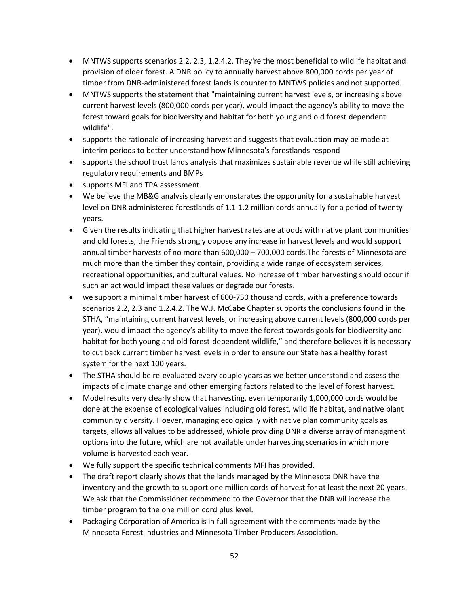- MNTWS supports scenarios 2.2, 2.3, 1.2.4.2. They're the most beneficial to wildlife habitat and provision of older forest. A DNR policy to annually harvest above 800,000 cords per year of timber from DNR-administered forest lands is counter to MNTWS policies and not supported.
- MNTWS supports the statement that "maintaining current harvest levels, or increasing above current harvest levels (800,000 cords per year), would impact the agency's ability to move the forest toward goals for biodiversity and habitat for both young and old forest dependent wildlife".
- supports the rationale of increasing harvest and suggests that evaluation may be made at interim periods to better understand how Minnesota's forestlands respond
- supports the school trust lands analysis that maximizes sustainable revenue while still achieving regulatory requirements and BMPs
- supports MFI and TPA assessment
- We believe the MB&G analysis clearly emonstarates the opporunity for a sustainable harvest level on DNR administered forestlands of 1.1-1.2 million cords annually for a period of twenty years.
- Given the results indicating that higher harvest rates are at odds with native plant communities and old forests, the Friends strongly oppose any increase in harvest levels and would support annual timber harvests of no more than 600,000 – 700,000 cords.The forests of Minnesota are much more than the timber they contain, providing a wide range of ecosystem services, recreational opportunities, and cultural values. No increase of timber harvesting should occur if such an act would impact these values or degrade our forests.
- we support a minimal timber harvest of 600-750 thousand cords, with a preference towards scenarios 2.2, 2.3 and 1.2.4.2. The W.J. McCabe Chapter supports the conclusions found in the STHA, "maintaining current harvest levels, or increasing above current levels (800,000 cords per year), would impact the agency's ability to move the forest towards goals for biodiversity and habitat for both young and old forest-dependent wildlife," and therefore believes it is necessary to cut back current timber harvest levels in order to ensure our State has a healthy forest system for the next 100 years.
- The STHA should be re-evaluated every couple years as we better understand and assess the impacts of climate change and other emerging factors related to the level of forest harvest.
- Model results very clearly show that harvesting, even temporarily 1,000,000 cords would be done at the expense of ecological values including old forest, wildlife habitat, and native plant community diversity. Hoever, managing ecologically with native plan community goals as targets, allows all values to be addressed, whiole providing DNR a diverse array of managment options into the future, which are not available under harvesting scenarios in which more volume is harvested each year.
- We fully support the specific technical comments MFI has provided.
- The draft report clearly shows that the lands managed by the Minnesota DNR have the inventory and the growth to support one million cords of harvest for at least the next 20 years. We ask that the Commissioner recommend to the Governor that the DNR wil increase the timber program to the one million cord plus level.
- Packaging Corporation of America is in full agreement with the comments made by the Minnesota Forest Industries and Minnesota Timber Producers Association.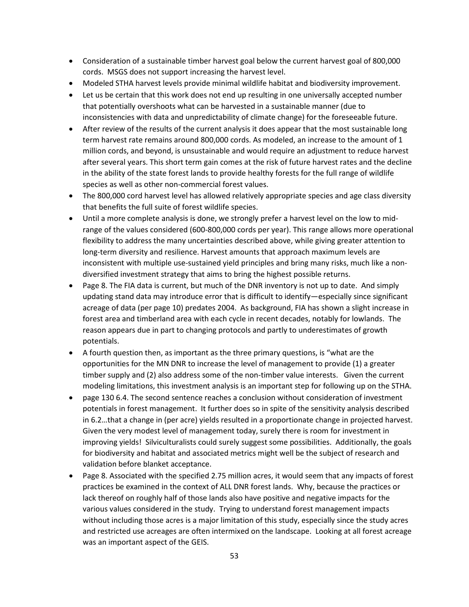- Consideration of a sustainable timber harvest goal below the current harvest goal of 800,000 cords. MSGS does not support increasing the harvest level.
- Modeled STHA harvest levels provide minimal wildlife habitat and biodiversity improvement.
- Let us be certain that this work does not end up resulting in one universally accepted number that potentially overshoots what can be harvested in a sustainable manner (due to inconsistencies with data and unpredictability of climate change) for the foreseeable future.
- After review of the results of the current analysis it does appear that the most sustainable long term harvest rate remains around 800,000 cords. As modeled, an increase to the amount of 1 million cords, and beyond, is unsustainable and would require an adjustment to reduce harvest after several years. This short term gain comes at the risk of future harvest rates and the decline in the ability of the state forest lands to provide healthy forests for the full range of wildlife species as well as other non-commercial forest values.
- The 800,000 cord harvest level has allowed relatively appropriate species and age class diversity that benefits the full suite of forest wildlife species.
- Until a more complete analysis is done, we strongly prefer a harvest level on the low to midrange of the values considered (600-800,000 cords per year). This range allows more operational flexibility to address the many uncertainties described above, while giving greater attention to long-term diversity and resilience. Harvest amounts that approach maximum levels are inconsistent with multiple use-sustained yield principles and bring many risks, much like a nondiversified investment strategy that aims to bring the highest possible returns.
- Page 8. The FIA data is current, but much of the DNR inventory is not up to date. And simply updating stand data may introduce error that is difficult to identify—especially since significant acreage of data (per page 10) predates 2004. As background, FIA has shown a slight increase in forest area and timberland area with each cycle in recent decades, notably for lowlands. The reason appears due in part to changing protocols and partly to underestimates of growth potentials.
- A fourth question then, as important as the three primary questions, is "what are the opportunities for the MN DNR to increase the level of management to provide (1) a greater timber supply and (2) also address some of the non-timber value interests. Given the current modeling limitations, this investment analysis is an important step for following up on the STHA.
- page 130 6.4. The second sentence reaches a conclusion without consideration of investment potentials in forest management. It further does so in spite of the sensitivity analysis described in 6.2…that a change in (per acre) yields resulted in a proportionate change in projected harvest. Given the very modest level of management today, surely there is room for investment in improving yields! Silviculturalists could surely suggest some possibilities. Additionally, the goals for biodiversity and habitat and associated metrics might well be the subject of research and validation before blanket acceptance.
- Page 8. Associated with the specified 2.75 million acres, it would seem that any impacts of forest practices be examined in the context of ALL DNR forest lands. Why, because the practices or lack thereof on roughly half of those lands also have positive and negative impacts for the various values considered in the study. Trying to understand forest management impacts without including those acres is a major limitation of this study, especially since the study acres and restricted use acreages are often intermixed on the landscape. Looking at all forest acreage was an important aspect of the GEIS.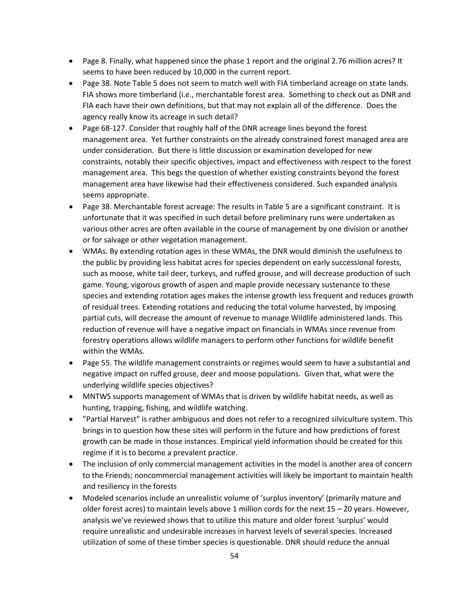- Page 8. Finally, what happened since the phase 1 report and the original 2.76 million acres? It seems to have been reduced by 10,000 in the current report.
- Page 38. Note Table 5 does not seem to match well with FIA timberland acreage on state lands. FIA shows more timberland (i.e., merchantable forest area. Something to check out as DNR and FIA each have their own definitions, but that may not explain all of the difference. Does the agency really know its acreage in such detail?
- Page 68-127. Consider that roughly half of the DNR acreage lines beyond the forest management area. Yet further constraints on the already constrained forest managed area are under consideration. But there is little discussion or examination developed for new constraints, notably their specific objectives, impact and effectiveness with respect to the forest management area. This begs the question of whether existing constraints beyond the forest management area have likewise had their effectiveness considered. Such expanded analysis seems appropriate.
- Page 38. Merchantable forest acreage: The results in Table 5 are a significant constraint. It is unfortunate that it was specified in such detail before preliminary runs were undertaken as various other acres are often available in the course of management by one division or another or for salvage or other vegetation management.
- WMAs. By extending rotation ages in these WMAs, the DNR would diminish the usefulness to the public by providing less habitat acres for species dependent on early successional forests, such as moose, white tail deer, turkeys, and ruffed grouse, and will decrease production of such game. Young, vigorous growth of aspen and maple provide necessary sustenance to these species and extending rotation ages makes the intense growth less frequent and reduces growth of residual trees. Extending rotations and reducing the total volume harvested, by imposing partial cuts, will decrease the amount of revenue to manage Wildlife administered lands. This reduction of revenue will have a negative impact on financials in WMAs since revenue from forestry operations allows wildlife managers to perform other functions for wildlife benefit within the WMAs.
- Page 55. The wildlife management constraints or regimes would seem to have a substantial and negative impact on ruffed grouse, deer and moose populations. Given that, what were the underlying wildlife species objectives?
- MNTWS supports management of WMAs that is driven by wildlife habitat needs, as well as hunting, trapping, fishing, and wildlife watching.
- "Partial Harvest" is rather ambiguous and does not refer to a recognized silviculture system. This brings in to question how these sites will perform in the future and how predictions of forest growth can be made in those instances. Empirical yield information should be created for this regime if it is to become a prevalent practice.
- The inclusion of only commercial management activities in the model is another area of concern to the Friends; noncommercial management activities will likely be important to maintain health and resiliency in the forests
- Modeled scenarios include an unrealistic volume of 'surplus inventory' (primarily mature and older forest acres) to maintain levels above 1 million cords for the next 15 – 20 years. However, analysis we've reviewed shows that to utilize this mature and older forest 'surplus' would require unrealistic and undesirable increases in harvest levels of several species. Increased utilization of some of these timber species is questionable. DNR should reduce the annual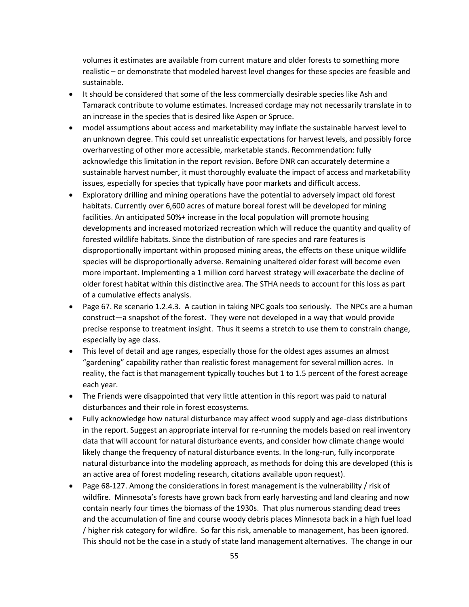volumes it estimates are available from current mature and older forests to something more realistic – or demonstrate that modeled harvest level changes for these species are feasible and sustainable.

- It should be considered that some of the less commercially desirable species like Ash and Tamarack contribute to volume estimates. Increased cordage may not necessarily translate in to an increase in the species that is desired like Aspen or Spruce.
- model assumptions about access and marketability may inflate the sustainable harvest level to an unknown degree. This could set unrealistic expectations for harvest levels, and possibly force overharvesting of other more accessible, marketable stands. Recommendation: fully acknowledge this limitation in the report revision. Before DNR can accurately determine a sustainable harvest number, it must thoroughly evaluate the impact of access and marketability issues, especially for species that typically have poor markets and difficult access.
- Exploratory drilling and mining operations have the potential to adversely impact old forest habitats. Currently over 6,600 acres of mature boreal forest will be developed for mining facilities. An anticipated 50%+ increase in the local population will promote housing developments and increased motorized recreation which will reduce the quantity and quality of forested wildlife habitats. Since the distribution of rare species and rare features is disproportionally important within proposed mining areas, the effects on these unique wildlife species will be disproportionally adverse. Remaining unaltered older forest will become even more important. Implementing a 1 million cord harvest strategy will exacerbate the decline of older forest habitat within this distinctive area. The STHA needs to account for this loss as part of a cumulative effects analysis.
- Page 67. Re scenario 1.2.4.3. A caution in taking NPC goals too seriously. The NPCs are a human construct—a snapshot of the forest. They were not developed in a way that would provide precise response to treatment insight. Thus it seems a stretch to use them to constrain change, especially by age class.
- This level of detail and age ranges, especially those for the oldest ages assumes an almost "gardening" capability rather than realistic forest management for several million acres. In reality, the fact is that management typically touches but 1 to 1.5 percent of the forest acreage each year.
- The Friends were disappointed that very little attention in this report was paid to natural disturbances and their role in forest ecosystems.
- Fully acknowledge how natural disturbance may affect wood supply and age-class distributions in the report. Suggest an appropriate interval for re-running the models based on real inventory data that will account for natural disturbance events, and consider how climate change would likely change the frequency of natural disturbance events. In the long-run, fully incorporate natural disturbance into the modeling approach, as methods for doing this are developed (this is an active area of forest modeling research, citations available upon request).
- Page 68-127. Among the considerations in forest management is the vulnerability / risk of wildfire. Minnesota's forests have grown back from early harvesting and land clearing and now contain nearly four times the biomass of the 1930s. That plus numerous standing dead trees and the accumulation of fine and course woody debris places Minnesota back in a high fuel load / higher risk category for wildfire. So far this risk, amenable to management, has been ignored. This should not be the case in a study of state land management alternatives. The change in our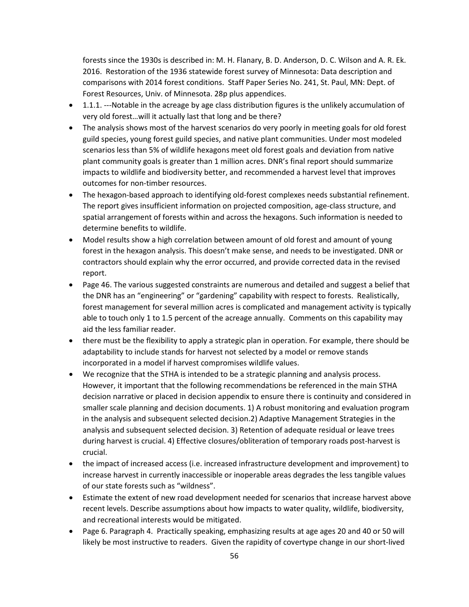forests since the 1930s is described in: M. H. Flanary, B. D. Anderson, D. C. Wilson and A. R. Ek. 2016. Restoration of the 1936 statewide forest survey of Minnesota: Data description and comparisons with 2014 forest conditions. Staff Paper Series No. 241, St. Paul, MN: Dept. of Forest Resources, Univ. of Minnesota. 28p plus appendices.

- 1.1.1. ---Notable in the acreage by age class distribution figures is the unlikely accumulation of very old forest…will it actually last that long and be there?
- The analysis shows most of the harvest scenarios do very poorly in meeting goals for old forest guild species, young forest guild species, and native plant communities. Under most modeled scenarios less than 5% of wildlife hexagons meet old forest goals and deviation from native plant community goals is greater than 1 million acres. DNR's final report should summarize impacts to wildlife and biodiversity better, and recommended a harvest level that improves outcomes for non-timber resources.
- The hexagon-based approach to identifying old-forest complexes needs substantial refinement. The report gives insufficient information on projected composition, age-class structure, and spatial arrangement of forests within and across the hexagons. Such information is needed to determine benefits to wildlife.
- Model results show a high correlation between amount of old forest and amount of young forest in the hexagon analysis. This doesn't make sense, and needs to be investigated. DNR or contractors should explain why the error occurred, and provide corrected data in the revised report.
- Page 46. The various suggested constraints are numerous and detailed and suggest a belief that the DNR has an "engineering" or "gardening" capability with respect to forests. Realistically, forest management for several million acres is complicated and management activity is typically able to touch only 1 to 1.5 percent of the acreage annually. Comments on this capability may aid the less familiar reader.
- there must be the flexibility to apply a strategic plan in operation. For example, there should be adaptability to include stands for harvest not selected by a model or remove stands incorporated in a model if harvest compromises wildlife values.
- We recognize that the STHA is intended to be a strategic planning and analysis process. However, it important that the following recommendations be referenced in the main STHA decision narrative or placed in decision appendix to ensure there is continuity and considered in smaller scale planning and decision documents. 1) A robust monitoring and evaluation program in the analysis and subsequent selected decision.2) Adaptive Management Strategies in the analysis and subsequent selected decision. 3) Retention of adequate residual or leave trees during harvest is crucial. 4) Effective closures/obliteration of temporary roads post-harvest is crucial.
- the impact of increased access (i.e. increased infrastructure development and improvement) to increase harvest in currently inaccessible or inoperable areas degrades the less tangible values of our state forests such as "wildness".
- Estimate the extent of new road development needed for scenarios that increase harvest above recent levels. Describe assumptions about how impacts to water quality, wildlife, biodiversity, and recreational interests would be mitigated.
- Page 6. Paragraph 4. Practically speaking, emphasizing results at age ages 20 and 40 or 50 will likely be most instructive to readers. Given the rapidity of covertype change in our short-lived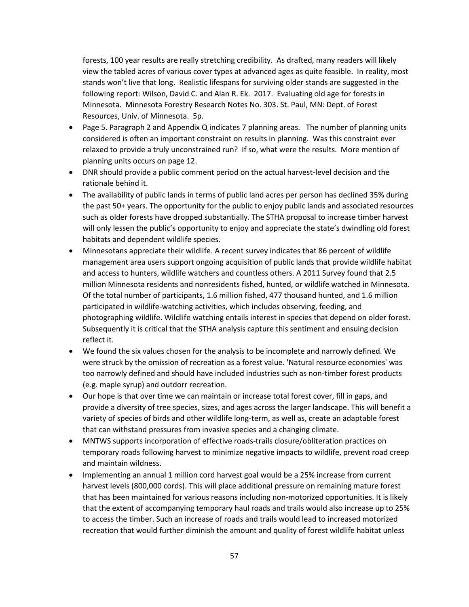forests, 100 year results are really stretching credibility. As drafted, many readers will likely view the tabled acres of various cover types at advanced ages as quite feasible. In reality, most stands won't live that long. Realistic lifespans for surviving older stands are suggested in the following report: Wilson, David C. and Alan R. Ek. 2017. Evaluating old age for forests in Minnesota. Minnesota Forestry Research Notes No. 303. St. Paul, MN: Dept. of Forest Resources, Univ. of Minnesota. 5p.

- Page 5. Paragraph 2 and Appendix Q indicates 7 planning areas. The number of planning units considered is often an important constraint on results in planning. Was this constraint ever relaxed to provide a truly unconstrained run? If so, what were the results. More mention of planning units occurs on page 12.
- DNR should provide a public comment period on the actual harvest-level decision and the rationale behind it.
- The availability of public lands in terms of public land acres per person has declined 35% during the past 50+ years. The opportunity for the public to enjoy public lands and associated resources such as older forests have dropped substantially. The STHA proposal to increase timber harvest will only lessen the public's opportunity to enjoy and appreciate the state's dwindling old forest habitats and dependent wildlife species.
- Minnesotans appreciate their wildlife. A recent survey indicates that 86 percent of wildlife management area users support ongoing acquisition of public lands that provide wildlife habitat and access to hunters, wildlife watchers and countless others. A 2011 Survey found that 2.5 million Minnesota residents and nonresidents fished, hunted, or wildlife watched in Minnesota. Of the total number of participants, 1.6 million fished, 477 thousand hunted, and 1.6 million participated in wildlife-watching activities, which includes observing, feeding, and photographing wildlife. Wildlife watching entails interest in species that depend on older forest. Subsequently it is critical that the STHA analysis capture this sentiment and ensuing decision reflect it.
- We found the six values chosen for the analysis to be incomplete and narrowly defined. We were struck by the omission of recreation as a forest value. 'Natural resource economies' was too narrowly defined and should have included industries such as non-timber forest products (e.g. maple syrup) and outdorr recreation.
- Our hope is that over time we can maintain or increase total forest cover, fill in gaps, and provide a diversity of tree species, sizes, and ages across the larger landscape. This will benefit a variety of species of birds and other wildlife long-term, as well as, create an adaptable forest that can withstand pressures from invasive species and a changing climate.
- MNTWS supports incorporation of effective roads-trails closure/obliteration practices on temporary roads following harvest to minimize negative impacts to wildlife, prevent road creep and maintain wildness.
- Implementing an annual 1 million cord harvest goal would be a 25% increase from current harvest levels (800,000 cords). This will place additional pressure on remaining mature forest that has been maintained for various reasons including non-motorized opportunities. It is likely that the extent of accompanying temporary haul roads and trails would also increase up to 25% to access the timber. Such an increase of roads and trails would lead to increased motorized recreation that would further diminish the amount and quality of forest wildlife habitat unless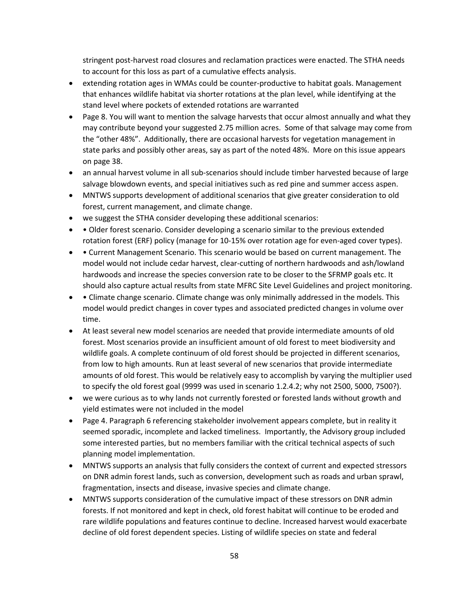stringent post-harvest road closures and reclamation practices were enacted. The STHA needs to account for this loss as part of a cumulative effects analysis.

- extending rotation ages in WMAs could be counter-productive to habitat goals. Management that enhances wildlife habitat via shorter rotations at the plan level, while identifying at the stand level where pockets of extended rotations are warranted
- Page 8. You will want to mention the salvage harvests that occur almost annually and what they may contribute beyond your suggested 2.75 million acres. Some of that salvage may come from the "other 48%". Additionally, there are occasional harvests for vegetation management in state parks and possibly other areas, say as part of the noted 48%. More on this issue appears on page 38.
- an annual harvest volume in all sub-scenarios should include timber harvested because of large salvage blowdown events, and special initiatives such as red pine and summer access aspen.
- MNTWS supports development of additional scenarios that give greater consideration to old forest, current management, and climate change.
- we suggest the STHA consider developing these additional scenarios:
- • Older forest scenario. Consider developing a scenario similar to the previous extended rotation forest (ERF) policy (manage for 10-15% over rotation age for even-aged cover types).
- Current Management Scenario. This scenario would be based on current management. The model would not include cedar harvest, clear-cutting of northern hardwoods and ash/lowland hardwoods and increase the species conversion rate to be closer to the SFRMP goals etc. It should also capture actual results from state MFRC Site Level Guidelines and project monitoring.
- Climate change scenario. Climate change was only minimally addressed in the models. This model would predict changes in cover types and associated predicted changes in volume over time.
- At least several new model scenarios are needed that provide intermediate amounts of old forest. Most scenarios provide an insufficient amount of old forest to meet biodiversity and wildlife goals. A complete continuum of old forest should be projected in different scenarios, from low to high amounts. Run at least several of new scenarios that provide intermediate amounts of old forest. This would be relatively easy to accomplish by varying the multiplier used to specify the old forest goal (9999 was used in scenario 1.2.4.2; why not 2500, 5000, 7500?).
- we were curious as to why lands not currently forested or forested lands without growth and yield estimates were not included in the model
- Page 4. Paragraph 6 referencing stakeholder involvement appears complete, but in reality it seemed sporadic, incomplete and lacked timeliness. Importantly, the Advisory group included some interested parties, but no members familiar with the critical technical aspects of such planning model implementation.
- MNTWS supports an analysis that fully considers the context of current and expected stressors on DNR admin forest lands, such as conversion, development such as roads and urban sprawl, fragmentation, insects and disease, invasive species and climate change.
- MNTWS supports consideration of the cumulative impact of these stressors on DNR admin forests. If not monitored and kept in check, old forest habitat will continue to be eroded and rare wildlife populations and features continue to decline. Increased harvest would exacerbate decline of old forest dependent species. Listing of wildlife species on state and federal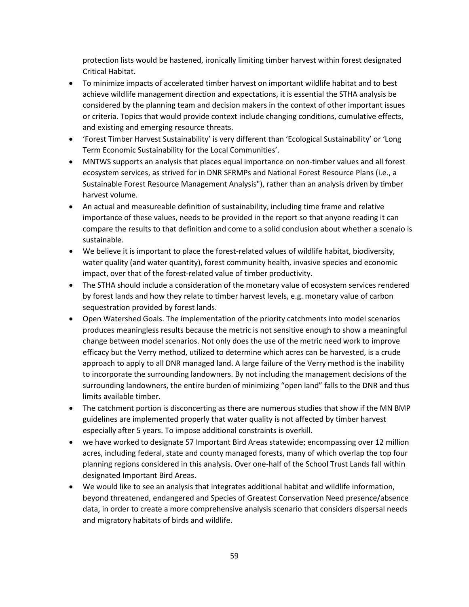protection lists would be hastened, ironically limiting timber harvest within forest designated Critical Habitat.

- To minimize impacts of accelerated timber harvest on important wildlife habitat and to best achieve wildlife management direction and expectations, it is essential the STHA analysis be considered by the planning team and decision makers in the context of other important issues or criteria. Topics that would provide context include changing conditions, cumulative effects, and existing and emerging resource threats.
- 'Forest Timber Harvest Sustainability' is very different than 'Ecological Sustainability' or 'Long Term Economic Sustainability for the Local Communities'.
- MNTWS supports an analysis that places equal importance on non-timber values and all forest ecosystem services, as strived for in DNR SFRMPs and National Forest Resource Plans (i.e., a Sustainable Forest Resource Management Analysis"), rather than an analysis driven by timber harvest volume.
- An actual and measureable definition of sustainability, including time frame and relative importance of these values, needs to be provided in the report so that anyone reading it can compare the results to that definition and come to a solid conclusion about whether a scenaio is sustainable.
- We believe it is important to place the forest-related values of wildlife habitat, biodiversity, water quality (and water quantity), forest community health, invasive species and economic impact, over that of the forest-related value of timber productivity.
- The STHA should include a consideration of the monetary value of ecosystem services rendered by forest lands and how they relate to timber harvest levels, e.g. monetary value of carbon sequestration provided by forest lands.
- Open Watershed Goals. The implementation of the priority catchments into model scenarios produces meaningless results because the metric is not sensitive enough to show a meaningful change between model scenarios. Not only does the use of the metric need work to improve efficacy but the Verry method, utilized to determine which acres can be harvested, is a crude approach to apply to all DNR managed land. A large failure of the Verry method is the inability to incorporate the surrounding landowners. By not including the management decisions of the surrounding landowners, the entire burden of minimizing "open land" falls to the DNR and thus limits available timber.
- The catchment portion is disconcerting as there are numerous studies that show if the MN BMP guidelines are implemented properly that water quality is not affected by timber harvest especially after 5 years. To impose additional constraints is overkill.
- we have worked to designate 57 Important Bird Areas statewide; encompassing over 12 million acres, including federal, state and county managed forests, many of which overlap the top four planning regions considered in this analysis. Over one-half of the School Trust Lands fall within designated Important Bird Areas.
- We would like to see an analysis that integrates additional habitat and wildlife information, beyond threatened, endangered and Species of Greatest Conservation Need presence/absence data, in order to create a more comprehensive analysis scenario that considers dispersal needs and migratory habitats of birds and wildlife.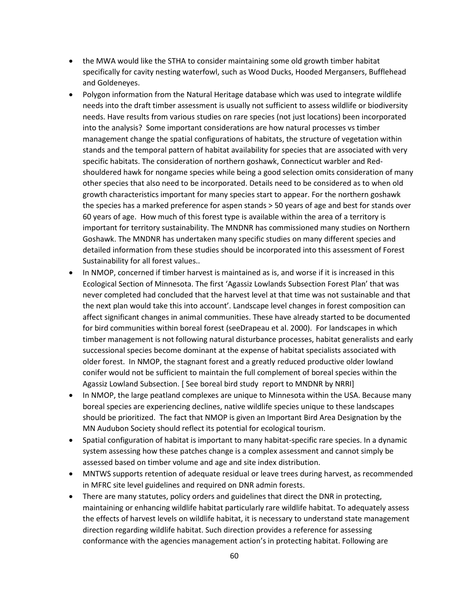- the MWA would like the STHA to consider maintaining some old growth timber habitat specifically for cavity nesting waterfowl, such as Wood Ducks, Hooded Mergansers, Bufflehead and Goldeneyes.
- Polygon information from the Natural Heritage database which was used to integrate wildlife needs into the draft timber assessment is usually not sufficient to assess wildlife or biodiversity needs. Have results from various studies on rare species (not just locations) been incorporated into the analysis? Some important considerations are how natural processes vs timber management change the spatial configurations of habitats, the structure of vegetation within stands and the temporal pattern of habitat availability for species that are associated with very specific habitats. The consideration of northern goshawk, Connecticut warbler and Redshouldered hawk for nongame species while being a good selection omits consideration of many other species that also need to be incorporated. Details need to be considered as to when old growth characteristics important for many species start to appear. For the northern goshawk the species has a marked preference for aspen stands > 50 years of age and best for stands over 60 years of age. How much of this forest type is available within the area of a territory is important for territory sustainability. The MNDNR has commissioned many studies on Northern Goshawk. The MNDNR has undertaken many specific studies on many different species and detailed information from these studies should be incorporated into this assessment of Forest Sustainability for all forest values..
- In NMOP, concerned if timber harvest is maintained as is, and worse if it is increased in this Ecological Section of Minnesota. The first 'Agassiz Lowlands Subsection Forest Plan' that was never completed had concluded that the harvest level at that time was not sustainable and that the next plan would take this into account'. Landscape level changes in forest composition can affect significant changes in animal communities. These have already started to be documented for bird communities within boreal forest (seeDrapeau et al. 2000). For landscapes in which timber management is not following natural disturbance processes, habitat generalists and early successional species become dominant at the expense of habitat specialists associated with older forest. In NMOP, the stagnant forest and a greatly reduced productive older lowland conifer would not be sufficient to maintain the full complement of boreal species within the Agassiz Lowland Subsection. [ See boreal bird study report to MNDNR by NRRI]
- In NMOP, the large peatland complexes are unique to Minnesota within the USA. Because many boreal species are experiencing declines, native wildlife species unique to these landscapes should be prioritized. The fact that NMOP is given an Important Bird Area Designation by the MN Audubon Society should reflect its potential for ecological tourism.
- Spatial configuration of habitat is important to many habitat-specific rare species. In a dynamic system assessing how these patches change is a complex assessment and cannot simply be assessed based on timber volume and age and site index distribution.
- MNTWS supports retention of adequate residual or leave trees during harvest, as recommended in MFRC site level guidelines and required on DNR admin forests.
- There are many statutes, policy orders and guidelines that direct the DNR in protecting, maintaining or enhancing wildlife habitat particularly rare wildlife habitat. To adequately assess the effects of harvest levels on wildlife habitat, it is necessary to understand state management direction regarding wildlife habitat. Such direction provides a reference for assessing conformance with the agencies management action's in protecting habitat. Following are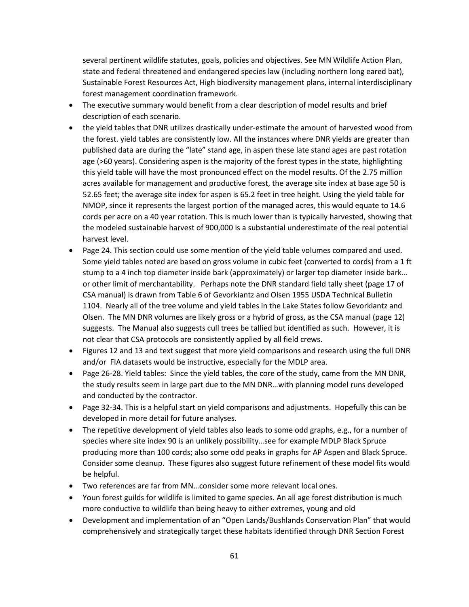several pertinent wildlife statutes, goals, policies and objectives. See MN Wildlife Action Plan, state and federal threatened and endangered species law (including northern long eared bat), Sustainable Forest Resources Act, High biodiversity management plans, internal interdisciplinary forest management coordination framework.

- The executive summary would benefit from a clear description of model results and brief description of each scenario.
- the yield tables that DNR utilizes drastically under-estimate the amount of harvested wood from the forest. yield tables are consistently low. All the instances where DNR yields are greater than published data are during the "late" stand age, in aspen these late stand ages are past rotation age (>60 years). Considering aspen is the majority of the forest types in the state, highlighting this yield table will have the most pronounced effect on the model results. Of the 2.75 million acres available for management and productive forest, the average site index at base age 50 is 52.65 feet; the average site index for aspen is 65.2 feet in tree height. Using the yield table for NMOP, since it represents the largest portion of the managed acres, this would equate to 14.6 cords per acre on a 40 year rotation. This is much lower than is typically harvested, showing that the modeled sustainable harvest of 900,000 is a substantial underestimate of the real potential harvest level.
- Page 24. This section could use some mention of the yield table volumes compared and used. Some yield tables noted are based on gross volume in cubic feet (converted to cords) from a 1 ft stump to a 4 inch top diameter inside bark (approximately) or larger top diameter inside bark… or other limit of merchantability. Perhaps note the DNR standard field tally sheet (page 17 of CSA manual) is drawn from Table 6 of Gevorkiantz and Olsen 1955 USDA Technical Bulletin 1104. Nearly all of the tree volume and yield tables in the Lake States follow Gevorkiantz and Olsen. The MN DNR volumes are likely gross or a hybrid of gross, as the CSA manual (page 12) suggests. The Manual also suggests cull trees be tallied but identified as such. However, it is not clear that CSA protocols are consistently applied by all field crews.
- Figures 12 and 13 and text suggest that more yield comparisons and research using the full DNR and/or FIA datasets would be instructive, especially for the MDLP area.
- Page 26-28. Yield tables: Since the yield tables, the core of the study, came from the MN DNR, the study results seem in large part due to the MN DNR…with planning model runs developed and conducted by the contractor.
- Page 32-34. This is a helpful start on yield comparisons and adjustments. Hopefully this can be developed in more detail for future analyses.
- The repetitive development of yield tables also leads to some odd graphs, e.g., for a number of species where site index 90 is an unlikely possibility…see for example MDLP Black Spruce producing more than 100 cords; also some odd peaks in graphs for AP Aspen and Black Spruce. Consider some cleanup. These figures also suggest future refinement of these model fits would be helpful.
- Two references are far from MN…consider some more relevant local ones.
- Youn forest guilds for wildlife is limited to game species. An all age forest distribution is much more conductive to wildlife than being heavy to either extremes, young and old
- Development and implementation of an "Open Lands/Bushlands Conservation Plan" that would comprehensively and strategically target these habitats identified through DNR Section Forest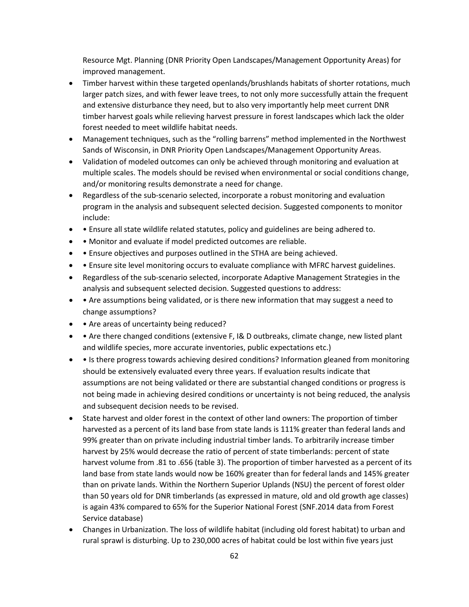Resource Mgt. Planning (DNR Priority Open Landscapes/Management Opportunity Areas) for improved management.

- Timber harvest within these targeted openlands/brushlands habitats of shorter rotations, much larger patch sizes, and with fewer leave trees, to not only more successfully attain the frequent and extensive disturbance they need, but to also very importantly help meet current DNR timber harvest goals while relieving harvest pressure in forest landscapes which lack the older forest needed to meet wildlife habitat needs.
- Management techniques, such as the "rolling barrens" method implemented in the Northwest Sands of Wisconsin, in DNR Priority Open Landscapes/Management Opportunity Areas.
- Validation of modeled outcomes can only be achieved through monitoring and evaluation at multiple scales. The models should be revised when environmental or social conditions change, and/or monitoring results demonstrate a need for change.
- Regardless of the sub-scenario selected, incorporate a robust monitoring and evaluation program in the analysis and subsequent selected decision. Suggested components to monitor include:
- • Ensure all state wildlife related statutes, policy and guidelines are being adhered to.
- • Monitor and evaluate if model predicted outcomes are reliable.
- • Ensure objectives and purposes outlined in the STHA are being achieved.
- Ensure site level monitoring occurs to evaluate compliance with MFRC harvest guidelines.
- Regardless of the sub-scenario selected, incorporate Adaptive Management Strategies in the analysis and subsequent selected decision. Suggested questions to address:
- Are assumptions being validated, or is there new information that may suggest a need to change assumptions?
- • Are areas of uncertainty being reduced?
- • Are there changed conditions (extensive F, I& D outbreaks, climate change, new listed plant and wildlife species, more accurate inventories, public expectations etc.)
- Is there progress towards achieving desired conditions? Information gleaned from monitoring should be extensively evaluated every three years. If evaluation results indicate that assumptions are not being validated or there are substantial changed conditions or progress is not being made in achieving desired conditions or uncertainty is not being reduced, the analysis and subsequent decision needs to be revised.
- State harvest and older forest in the context of other land owners: The proportion of timber harvested as a percent of its land base from state lands is 111% greater than federal lands and 99% greater than on private including industrial timber lands. To arbitrarily increase timber harvest by 25% would decrease the ratio of percent of state timberlands: percent of state harvest volume from .81 to .656 (table 3). The proportion of timber harvested as a percent of its land base from state lands would now be 160% greater than for federal lands and 145% greater than on private lands. Within the Northern Superior Uplands (NSU) the percent of forest older than 50 years old for DNR timberlands (as expressed in mature, old and old growth age classes) is again 43% compared to 65% for the Superior National Forest (SNF.2014 data from Forest Service database)
- Changes in Urbanization. The loss of wildlife habitat (including old forest habitat) to urban and rural sprawl is disturbing. Up to 230,000 acres of habitat could be lost within five years just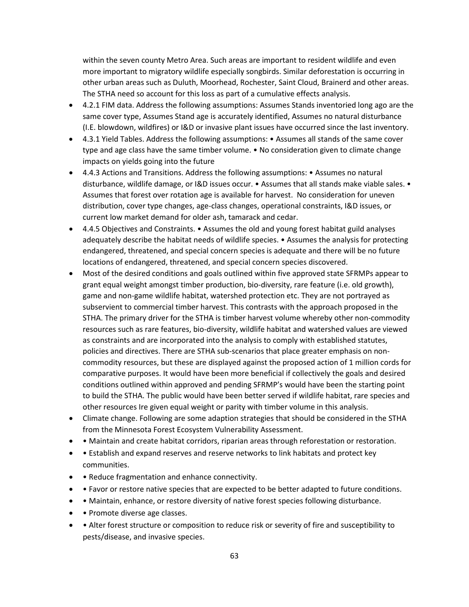within the seven county Metro Area. Such areas are important to resident wildlife and even more important to migratory wildlife especially songbirds. Similar deforestation is occurring in other urban areas such as Duluth, Moorhead, Rochester, Saint Cloud, Brainerd and other areas. The STHA need so account for this loss as part of a cumulative effects analysis.

- 4.2.1 FIM data. Address the following assumptions: Assumes Stands inventoried long ago are the same cover type, Assumes Stand age is accurately identified, Assumes no natural disturbance (I.E. blowdown, wildfires) or I&D or invasive plant issues have occurred since the last inventory.
- 4.3.1 Yield Tables. Address the following assumptions: Assumes all stands of the same cover type and age class have the same timber volume. • No consideration given to climate change impacts on yields going into the future
- 4.4.3 Actions and Transitions. Address the following assumptions: Assumes no natural disturbance, wildlife damage, or I&D issues occur. • Assumes that all stands make viable sales. • Assumes that forest over rotation age is available for harvest. No consideration for uneven distribution, cover type changes, age-class changes, operational constraints, I&D issues, or current low market demand for older ash, tamarack and cedar.
- 4.4.5 Objectives and Constraints. Assumes the old and young forest habitat guild analyses adequately describe the habitat needs of wildlife species. • Assumes the analysis for protecting endangered, threatened, and special concern species is adequate and there will be no future locations of endangered, threatened, and special concern species discovered.
- Most of the desired conditions and goals outlined within five approved state SFRMPs appear to grant equal weight amongst timber production, bio-diversity, rare feature (i.e. old growth), game and non-game wildlife habitat, watershed protection etc. They are not portrayed as subservient to commercial timber harvest. This contrasts with the approach proposed in the STHA. The primary driver for the STHA is timber harvest volume whereby other non-commodity resources such as rare features, bio-diversity, wildlife habitat and watershed values are viewed as constraints and are incorporated into the analysis to comply with established statutes, policies and directives. There are STHA sub-scenarios that place greater emphasis on noncommodity resources, but these are displayed against the proposed action of 1 million cords for comparative purposes. It would have been more beneficial if collectively the goals and desired conditions outlined within approved and pending SFRMP's would have been the starting point to build the STHA. The public would have been better served if wildlife habitat, rare species and other resources Ire given equal weight or parity with timber volume in this analysis.
- Climate change. Following are some adaption strategies that should be considered in the STHA from the Minnesota Forest Ecosystem Vulnerability Assessment.
- • Maintain and create habitat corridors, riparian areas through reforestation or restoration.
- Establish and expand reserves and reserve networks to link habitats and protect key communities.
- • Reduce fragmentation and enhance connectivity.
- Favor or restore native species that are expected to be better adapted to future conditions.
- Maintain, enhance, or restore diversity of native forest species following disturbance.
- • Promote diverse age classes.
- • Alter forest structure or composition to reduce risk or severity of fire and susceptibility to pests/disease, and invasive species.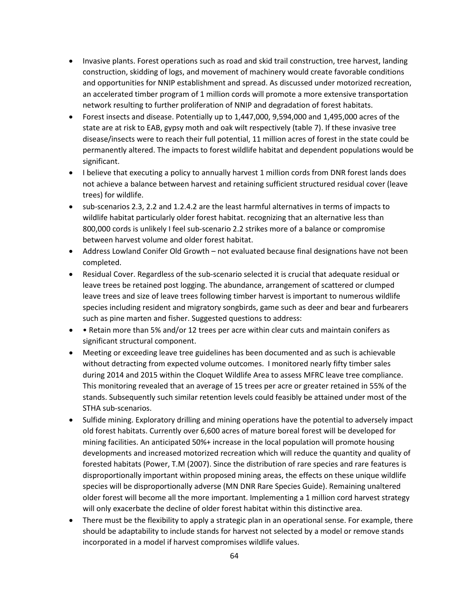- Invasive plants. Forest operations such as road and skid trail construction, tree harvest, landing construction, skidding of logs, and movement of machinery would create favorable conditions and opportunities for NNIP establishment and spread. As discussed under motorized recreation, an accelerated timber program of 1 million cords will promote a more extensive transportation network resulting to further proliferation of NNIP and degradation of forest habitats.
- Forest insects and disease. Potentially up to 1,447,000, 9,594,000 and 1,495,000 acres of the state are at risk to EAB, gypsy moth and oak wilt respectively (table 7). If these invasive tree disease/insects were to reach their full potential, 11 million acres of forest in the state could be permanently altered. The impacts to forest wildlife habitat and dependent populations would be significant.
- I believe that executing a policy to annually harvest 1 million cords from DNR forest lands does not achieve a balance between harvest and retaining sufficient structured residual cover (leave trees) for wildlife.
- sub-scenarios 2.3, 2.2 and 1.2.4.2 are the least harmful alternatives in terms of impacts to wildlife habitat particularly older forest habitat. recognizing that an alternative less than 800,000 cords is unlikely I feel sub-scenario 2.2 strikes more of a balance or compromise between harvest volume and older forest habitat.
- Address Lowland Conifer Old Growth not evaluated because final designations have not been completed.
- Residual Cover. Regardless of the sub-scenario selected it is crucial that adequate residual or leave trees be retained post logging. The abundance, arrangement of scattered or clumped leave trees and size of leave trees following timber harvest is important to numerous wildlife species including resident and migratory songbirds, game such as deer and bear and furbearers such as pine marten and fisher. Suggested questions to address:
- • Retain more than 5% and/or 12 trees per acre within clear cuts and maintain conifers as significant structural component.
- Meeting or exceeding leave tree guidelines has been documented and as such is achievable without detracting from expected volume outcomes. I monitored nearly fifty timber sales during 2014 and 2015 within the Cloquet Wildlife Area to assess MFRC leave tree compliance. This monitoring revealed that an average of 15 trees per acre or greater retained in 55% of the stands. Subsequently such similar retention levels could feasibly be attained under most of the STHA sub-scenarios.
- Sulfide mining. Exploratory drilling and mining operations have the potential to adversely impact old forest habitats. Currently over 6,600 acres of mature boreal forest will be developed for mining facilities. An anticipated 50%+ increase in the local population will promote housing developments and increased motorized recreation which will reduce the quantity and quality of forested habitats (Power, T.M (2007). Since the distribution of rare species and rare features is disproportionally important within proposed mining areas, the effects on these unique wildlife species will be disproportionally adverse (MN DNR Rare Species Guide). Remaining unaltered older forest will become all the more important. Implementing a 1 million cord harvest strategy will only exacerbate the decline of older forest habitat within this distinctive area.
- There must be the flexibility to apply a strategic plan in an operational sense. For example, there should be adaptability to include stands for harvest not selected by a model or remove stands incorporated in a model if harvest compromises wildlife values.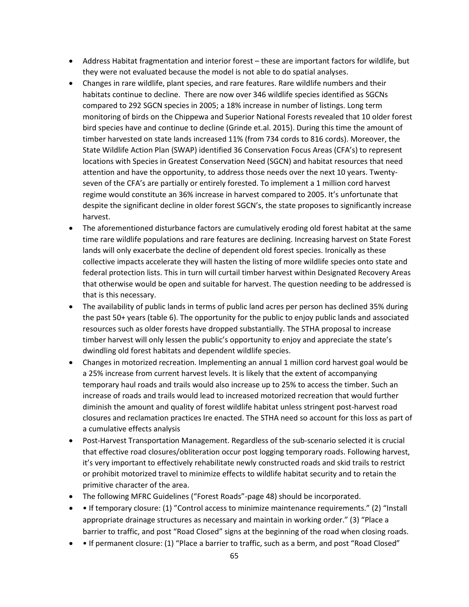- Address Habitat fragmentation and interior forest these are important factors for wildlife, but they were not evaluated because the model is not able to do spatial analyses.
- Changes in rare wildlife, plant species, and rare features. Rare wildlife numbers and their habitats continue to decline. There are now over 346 wildlife species identified as SGCNs compared to 292 SGCN species in 2005; a 18% increase in number of listings. Long term monitoring of birds on the Chippewa and Superior National Forests revealed that 10 older forest bird species have and continue to decline (Grinde et.al. 2015). During this time the amount of timber harvested on state lands increased 11% (from 734 cords to 816 cords). Moreover, the State Wildlife Action Plan (SWAP) identified 36 Conservation Focus Areas (CFA's) to represent locations with Species in Greatest Conservation Need (SGCN) and habitat resources that need attention and have the opportunity, to address those needs over the next 10 years. Twentyseven of the CFA's are partially or entirely forested. To implement a 1 million cord harvest regime would constitute an 36% increase in harvest compared to 2005. It's unfortunate that despite the significant decline in older forest SGCN's, the state proposes to significantly increase harvest.
- The aforementioned disturbance factors are cumulatively eroding old forest habitat at the same time rare wildlife populations and rare features are declining. Increasing harvest on State Forest lands will only exacerbate the decline of dependent old forest species. Ironically as these collective impacts accelerate they will hasten the listing of more wildlife species onto state and federal protection lists. This in turn will curtail timber harvest within Designated Recovery Areas that otherwise would be open and suitable for harvest. The question needing to be addressed is that is this necessary.
- The availability of public lands in terms of public land acres per person has declined 35% during the past 50+ years (table 6). The opportunity for the public to enjoy public lands and associated resources such as older forests have dropped substantially. The STHA proposal to increase timber harvest will only lessen the public's opportunity to enjoy and appreciate the state's dwindling old forest habitats and dependent wildlife species.
- Changes in motorized recreation. Implementing an annual 1 million cord harvest goal would be a 25% increase from current harvest levels. It is likely that the extent of accompanying temporary haul roads and trails would also increase up to 25% to access the timber. Such an increase of roads and trails would lead to increased motorized recreation that would further diminish the amount and quality of forest wildlife habitat unless stringent post-harvest road closures and reclamation practices Ire enacted. The STHA need so account for this loss as part of a cumulative effects analysis
- Post-Harvest Transportation Management. Regardless of the sub-scenario selected it is crucial that effective road closures/obliteration occur post logging temporary roads. Following harvest, it's very important to effectively rehabilitate newly constructed roads and skid trails to restrict or prohibit motorized travel to minimize effects to wildlife habitat security and to retain the primitive character of the area.
- The following MFRC Guidelines ("Forest Roads"-page 48) should be incorporated.
- • If temporary closure: (1) "Control access to minimize maintenance requirements." (2) "Install appropriate drainage structures as necessary and maintain in working order." (3) "Place a barrier to traffic, and post "Road Closed" signs at the beginning of the road when closing roads.
- • If permanent closure: (1) "Place a barrier to traffic, such as a berm, and post "Road Closed"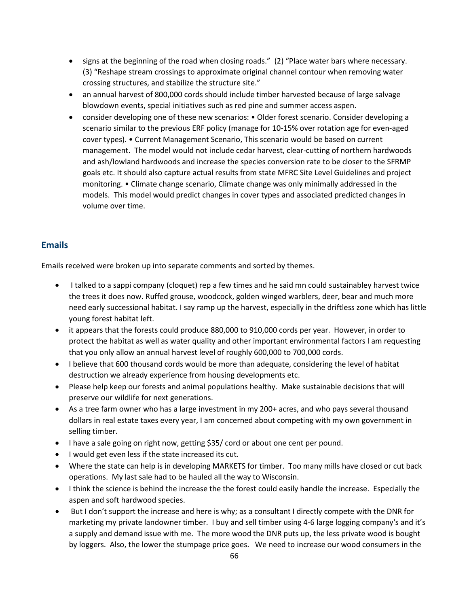- signs at the beginning of the road when closing roads." (2) "Place water bars where necessary. (3) "Reshape stream crossings to approximate original channel contour when removing water crossing structures, and stabilize the structure site."
- an annual harvest of 800,000 cords should include timber harvested because of large salvage blowdown events, special initiatives such as red pine and summer access aspen.
- consider developing one of these new scenarios: Older forest scenario. Consider developing a scenario similar to the previous ERF policy (manage for 10-15% over rotation age for even-aged cover types). • Current Management Scenario, This scenario would be based on current management. The model would not include cedar harvest, clear-cutting of northern hardwoods and ash/lowland hardwoods and increase the species conversion rate to be closer to the SFRMP goals etc. It should also capture actual results from state MFRC Site Level Guidelines and project monitoring. • Climate change scenario, Climate change was only minimally addressed in the models. This model would predict changes in cover types and associated predicted changes in volume over time.

#### <span id="page-65-0"></span>**Emails**

Emails received were broken up into separate comments and sorted by themes.

- I talked to a sappi company (cloquet) rep a few times and he said mn could sustainabley harvest twice the trees it does now. Ruffed grouse, woodcock, golden winged warblers, deer, bear and much more need early successional habitat. I say ramp up the harvest, especially in the driftless zone which has little young forest habitat left.
- it appears that the forests could produce 880,000 to 910,000 cords per year. However, in order to protect the habitat as well as water quality and other important environmental factors I am requesting that you only allow an annual harvest level of roughly 600,000 to 700,000 cords.
- I believe that 600 thousand cords would be more than adequate, considering the level of habitat destruction we already experience from housing developments etc.
- Please help keep our forests and animal populations healthy. Make sustainable decisions that will preserve our wildlife for next generations.
- As a tree farm owner who has a large investment in my 200+ acres, and who pays several thousand dollars in real estate taxes every year, I am concerned about competing with my own government in selling timber.
- I have a sale going on right now, getting \$35/ cord or about one cent per pound.
- I would get even less if the state increased its cut.
- Where the state can help is in developing MARKETS for timber. Too many mills have closed or cut back operations. My last sale had to be hauled all the way to Wisconsin.
- I think the science is behind the increase the the forest could easily handle the increase. Especially the aspen and soft hardwood species.
- But I don't support the increase and here is why; as a consultant I directly compete with the DNR for marketing my private landowner timber. I buy and sell timber using 4-6 large logging company's and it's a supply and demand issue with me. The more wood the DNR puts up, the less private wood is bought by loggers. Also, the lower the stumpage price goes. We need to increase our wood consumers in the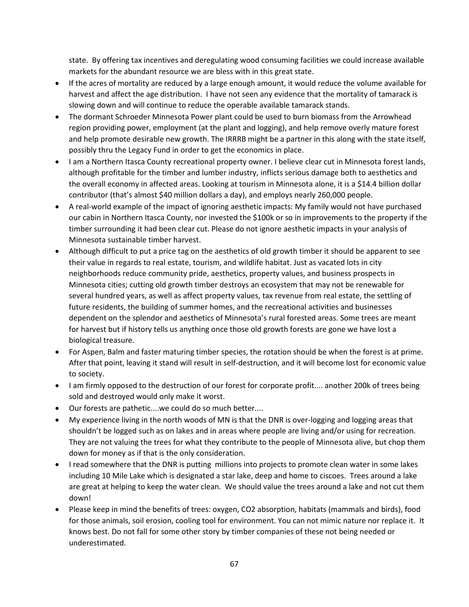state. By offering tax incentives and deregulating wood consuming facilities we could increase available markets for the abundant resource we are bless with in this great state.

- If the acres of mortality are reduced by a large enough amount, it would reduce the volume available for harvest and affect the age distribution. I have not seen any evidence that the mortality of tamarack is slowing down and will continue to reduce the operable available tamarack stands.
- The dormant Schroeder Minnesota Power plant could be used to burn biomass from the Arrowhead region providing power, employment (at the plant and logging), and help remove overly mature forest and help promote desirable new growth. The IRRRB might be a partner in this along with the state itself, possibly thru the Legacy Fund in order to get the economics in place.
- I am a Northern Itasca County recreational property owner. I believe clear cut in Minnesota forest lands, although profitable for the timber and lumber industry, inflicts serious damage both to aesthetics and the overall economy in affected areas. Looking at tourism in Minnesota alone, it is a \$14.4 billion dollar contributor (that's almost \$40 million dollars a day), and employs nearly 260,000 people.
- A real-world example of the impact of ignoring aesthetic impacts: My family would not have purchased our cabin in Northern Itasca County, nor invested the \$100k or so in improvements to the property if the timber surrounding it had been clear cut. Please do not ignore aesthetic impacts in your analysis of Minnesota sustainable timber harvest.
- Although difficult to put a price tag on the aesthetics of old growth timber it should be apparent to see their value in regards to real estate, tourism, and wildlife habitat. Just as vacated lots in city neighborhoods reduce community pride, aesthetics, property values, and business prospects in Minnesota cities; cutting old growth timber destroys an ecosystem that may not be renewable for several hundred years, as well as affect property values, tax revenue from real estate, the settling of future residents, the building of summer homes, and the recreational activities and businesses dependent on the splendor and aesthetics of Minnesota's rural forested areas. Some trees are meant for harvest but if history tells us anything once those old growth forests are gone we have lost a biological treasure.
- For Aspen, Balm and faster maturing timber species, the rotation should be when the forest is at prime. After that point, leaving it stand will result in self-destruction, and it will become lost for economic value to society.
- I am firmly opposed to the destruction of our forest for corporate profit.... another 200k of trees being sold and destroyed would only make it worst.
- Our forests are pathetic....we could do so much better....
- My experience living in the north woods of MN is that the DNR is over-logging and logging areas that shouldn't be logged such as on lakes and in areas where people are living and/or using for recreation. They are not valuing the trees for what they contribute to the people of Minnesota alive, but chop them down for money as if that is the only consideration.
- I read somewhere that the DNR is putting millions into projects to promote clean water in some lakes including 10 Mile Lake which is designated a star lake, deep and home to ciscoes. Trees around a lake are great at helping to keep the water clean. We should value the trees around a lake and not cut them down!
- Please keep in mind the benefits of trees: oxygen, CO2 absorption, habitats (mammals and birds), food for those animals, soil erosion, cooling tool for environment. You can not mimic nature nor replace it. It knows best. Do not fall for some other story by timber companies of these not being needed or underestimated.